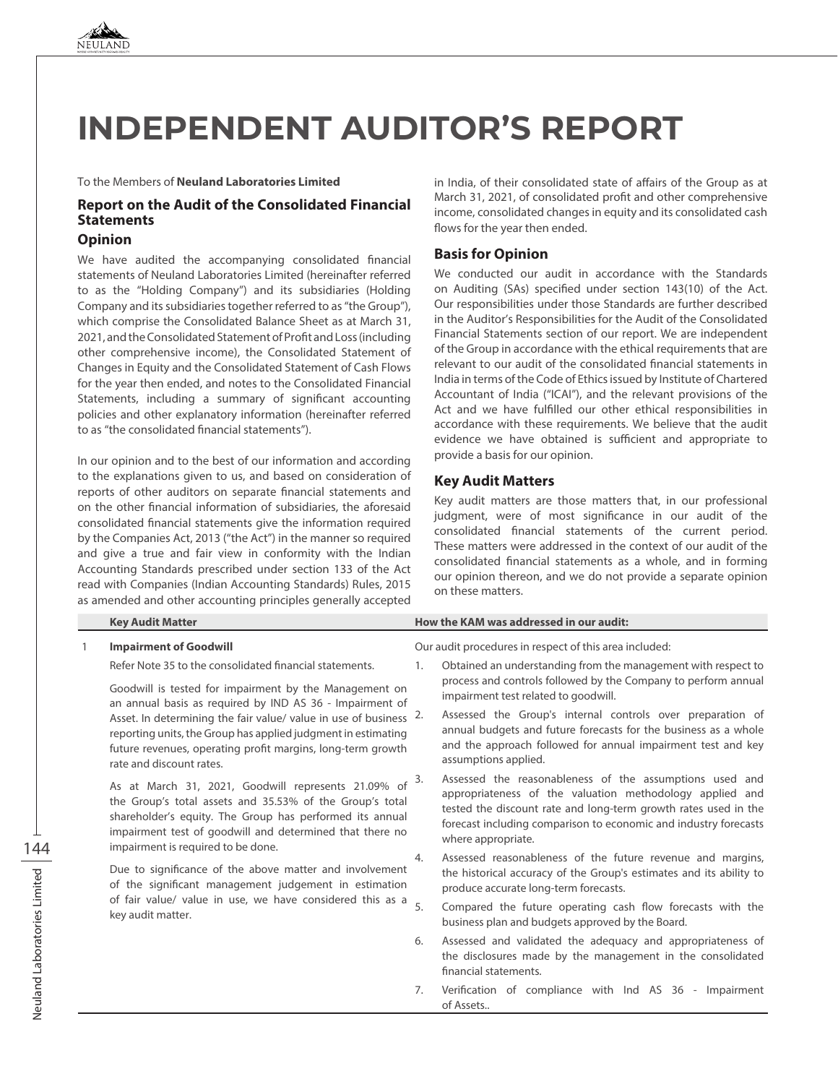

# **INDEPENDENT AUDITOR'S REPORT**

### To the Members of **Neuland Laboratories Limited**

### **Report on the Audit of the Consolidated Financial Statements**

### **Opinion**

We have audited the accompanying consolidated financial statements of Neuland Laboratories Limited (hereinafter referred to as the "Holding Company") and its subsidiaries (Holding Company and its subsidiaries together referred to as "the Group"), which comprise the Consolidated Balance Sheet as at March 31, 2021, and the Consolidated Statement of Profit and Loss (including other comprehensive income), the Consolidated Statement of Changes in Equity and the Consolidated Statement of Cash Flows for the year then ended, and notes to the Consolidated Financial Statements, including a summary of significant accounting policies and other explanatory information (hereinafter referred to as "the consolidated financial statements").

In our opinion and to the best of our information and according to the explanations given to us, and based on consideration of reports of other auditors on separate financial statements and on the other financial information of subsidiaries, the aforesaid consolidated financial statements give the information required by the Companies Act, 2013 ("the Act") in the manner so required and give a true and fair view in conformity with the Indian Accounting Standards prescribed under section 133 of the Act read with Companies (Indian Accounting Standards) Rules, 2015 as amended and other accounting principles generally accepted

in India, of their consolidated state of affairs of the Group as at March 31, 2021, of consolidated profit and other comprehensive income, consolidated changes in equity and its consolidated cash flows for the year then ended.

### **Basis for Opinion**

We conducted our audit in accordance with the Standards on Auditing (SAs) specified under section 143(10) of the Act. Our responsibilities under those Standards are further described in the Auditor's Responsibilities for the Audit of the Consolidated Financial Statements section of our report. We are independent of the Group in accordance with the ethical requirements that are relevant to our audit of the consolidated financial statements in India in terms of the Code of Ethics issued by Institute of Chartered Accountant of India ("ICAI"), and the relevant provisions of the Act and we have fulfilled our other ethical responsibilities in accordance with these requirements. We believe that the audit evidence we have obtained is sufficient and appropriate to provide a basis for our opinion.

### **Key Audit Matters**

Key audit matters are those matters that, in our professional judgment, were of most significance in our audit of the consolidated financial statements of the current period. These matters were addressed in the context of our audit of the consolidated financial statements as a whole, and in forming our opinion thereon, and we do not provide a separate opinion on these matters.

|   | <b>Key Audit Matter</b>                                                                                                                                                                                                                                                                                                                                                                                                   |    | How the KAM was addressed in our audit:                                                                                                                                                                                                                                                                                                                                                          |
|---|---------------------------------------------------------------------------------------------------------------------------------------------------------------------------------------------------------------------------------------------------------------------------------------------------------------------------------------------------------------------------------------------------------------------------|----|--------------------------------------------------------------------------------------------------------------------------------------------------------------------------------------------------------------------------------------------------------------------------------------------------------------------------------------------------------------------------------------------------|
| 1 | <b>Impairment of Goodwill</b>                                                                                                                                                                                                                                                                                                                                                                                             |    | Our audit procedures in respect of this area included:                                                                                                                                                                                                                                                                                                                                           |
|   | Refer Note 35 to the consolidated financial statements.<br>Goodwill is tested for impairment by the Management on<br>an annual basis as required by IND AS 36 - Impairment of<br>Asset. In determining the fair value/ value in use of business <sup>2.</sup><br>reporting units, the Group has applied judgment in estimating<br>future revenues, operating profit margins, long-term growth<br>rate and discount rates. | 1. | Obtained an understanding from the management with respect to<br>process and controls followed by the Company to perform annual<br>impairment test related to goodwill.<br>Assessed the Group's internal controls over preparation of<br>annual budgets and future forecasts for the business as a whole<br>and the approach followed for annual impairment test and key<br>assumptions applied. |
|   | As at March 31, 2021, Goodwill represents 21.09% of<br>the Group's total assets and 35.53% of the Group's total<br>shareholder's equity. The Group has performed its annual<br>impairment test of goodwill and determined that there no<br>impairment is required to be done.                                                                                                                                             | 3. | Assessed the reasonableness of the assumptions used and<br>appropriateness of the valuation methodology applied and<br>tested the discount rate and long-term growth rates used in the<br>forecast including comparison to economic and industry forecasts<br>where appropriate.                                                                                                                 |
|   | Due to significance of the above matter and involvement<br>of the significant management judgement in estimation<br>of fair value/ value in use, we have considered this as a<br>key audit matter.                                                                                                                                                                                                                        | 4. | Assessed reasonableness of the future revenue and margins,<br>the historical accuracy of the Group's estimates and its ability to<br>produce accurate long-term forecasts.                                                                                                                                                                                                                       |
|   |                                                                                                                                                                                                                                                                                                                                                                                                                           | 5. | Compared the future operating cash flow forecasts with the<br>business plan and budgets approved by the Board.                                                                                                                                                                                                                                                                                   |
|   |                                                                                                                                                                                                                                                                                                                                                                                                                           | 6. | Assessed and validated the adequacy and appropriateness of<br>the disclosures made by the management in the consolidated<br>financial statements.                                                                                                                                                                                                                                                |
|   |                                                                                                                                                                                                                                                                                                                                                                                                                           | 7. | Verification of compliance with Ind AS 36 - Impairment<br>of Assets                                                                                                                                                                                                                                                                                                                              |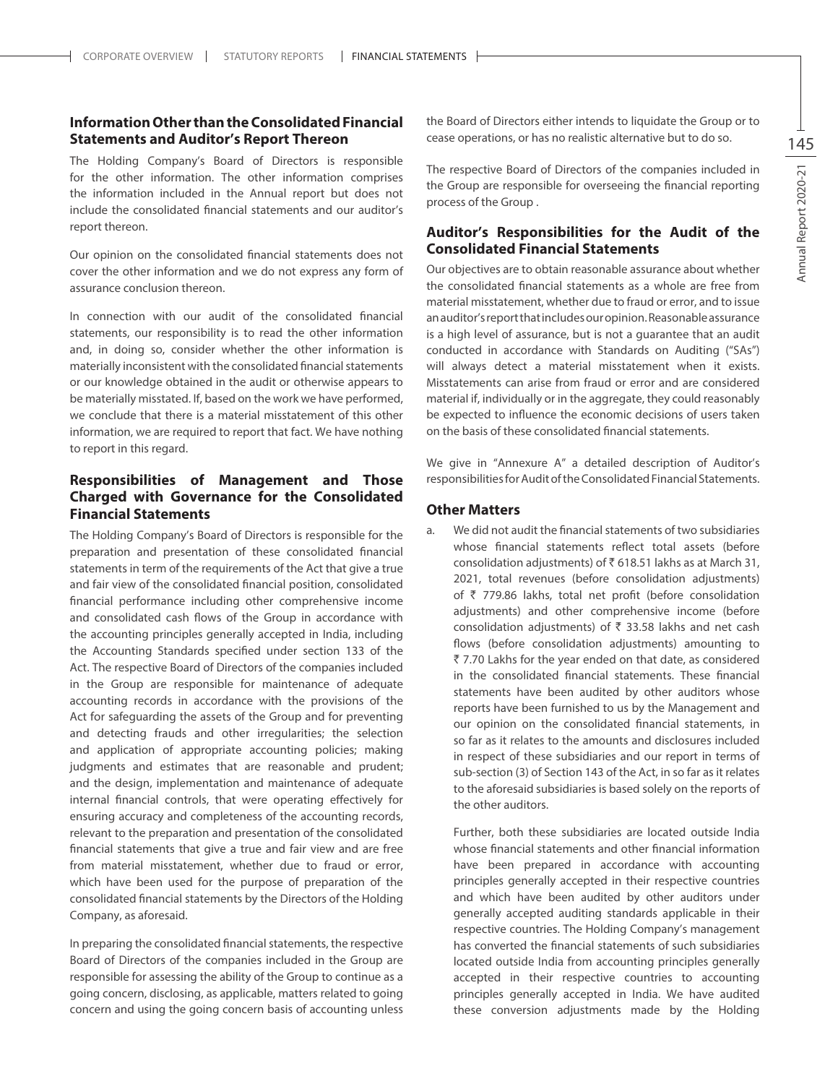### **Information Other than the Consolidated Financial Statements and Auditor's Report Thereon**

The Holding Company's Board of Directors is responsible for the other information. The other information comprises the information included in the Annual report but does not include the consolidated financial statements and our auditor's report thereon.

Our opinion on the consolidated financial statements does not cover the other information and we do not express any form of assurance conclusion thereon.

In connection with our audit of the consolidated financial statements, our responsibility is to read the other information and, in doing so, consider whether the other information is materially inconsistent with the consolidated financial statements or our knowledge obtained in the audit or otherwise appears to be materially misstated. If, based on the work we have performed, we conclude that there is a material misstatement of this other information, we are required to report that fact. We have nothing to report in this regard.

### **Responsibilities of Management and Those Charged with Governance for the Consolidated Financial Statements**

The Holding Company's Board of Directors is responsible for the preparation and presentation of these consolidated financial statements in term of the requirements of the Act that give a true and fair view of the consolidated financial position, consolidated financial performance including other comprehensive income and consolidated cash flows of the Group in accordance with the accounting principles generally accepted in India, including the Accounting Standards specified under section 133 of the Act. The respective Board of Directors of the companies included in the Group are responsible for maintenance of adequate accounting records in accordance with the provisions of the Act for safeguarding the assets of the Group and for preventing and detecting frauds and other irregularities; the selection and application of appropriate accounting policies; making judgments and estimates that are reasonable and prudent; and the design, implementation and maintenance of adequate internal financial controls, that were operating effectively for ensuring accuracy and completeness of the accounting records, relevant to the preparation and presentation of the consolidated financial statements that give a true and fair view and are free from material misstatement, whether due to fraud or error, which have been used for the purpose of preparation of the consolidated financial statements by the Directors of the Holding Company, as aforesaid.

In preparing the consolidated financial statements, the respective Board of Directors of the companies included in the Group are responsible for assessing the ability of the Group to continue as a going concern, disclosing, as applicable, matters related to going concern and using the going concern basis of accounting unless

the Board of Directors either intends to liquidate the Group or to cease operations, or has no realistic alternative but to do so.

The respective Board of Directors of the companies included in the Group are responsible for overseeing the financial reporting process of the Group .

### **Auditor's Responsibilities for the Audit of the Consolidated Financial Statements**

Our objectives are to obtain reasonable assurance about whether the consolidated financial statements as a whole are free from material misstatement, whether due to fraud or error, and to issue an auditor's report that includes our opinion. Reasonable assurance is a high level of assurance, but is not a guarantee that an audit conducted in accordance with Standards on Auditing ("SAs") will always detect a material misstatement when it exists. Misstatements can arise from fraud or error and are considered material if, individually or in the aggregate, they could reasonably be expected to influence the economic decisions of users taken on the basis of these consolidated financial statements.

We give in "Annexure A" a detailed description of Auditor's responsibilities for Audit of the Consolidated Financial Statements.

### **Other Matters**

a. We did not audit the financial statements of two subsidiaries whose financial statements reflect total assets (before consolidation adjustments) of  $\bar{z}$  618.51 lakhs as at March 31, 2021, total revenues (before consolidation adjustments) of ` 779.86 lakhs, total net profit (before consolidation adjustments) and other comprehensive income (before consolidation adjustments) of  $\bar{\tau}$  33.58 lakhs and net cash flows (before consolidation adjustments) amounting to ₹7.70 Lakhs for the year ended on that date, as considered in the consolidated financial statements. These financial statements have been audited by other auditors whose reports have been furnished to us by the Management and our opinion on the consolidated financial statements, in so far as it relates to the amounts and disclosures included in respect of these subsidiaries and our report in terms of sub-section (3) of Section 143 of the Act, in so far as it relates to the aforesaid subsidiaries is based solely on the reports of the other auditors.

Further, both these subsidiaries are located outside India whose financial statements and other financial information have been prepared in accordance with accounting principles generally accepted in their respective countries and which have been audited by other auditors under generally accepted auditing standards applicable in their respective countries. The Holding Company's management has converted the financial statements of such subsidiaries located outside India from accounting principles generally accepted in their respective countries to accounting principles generally accepted in India. We have audited these conversion adjustments made by the Holding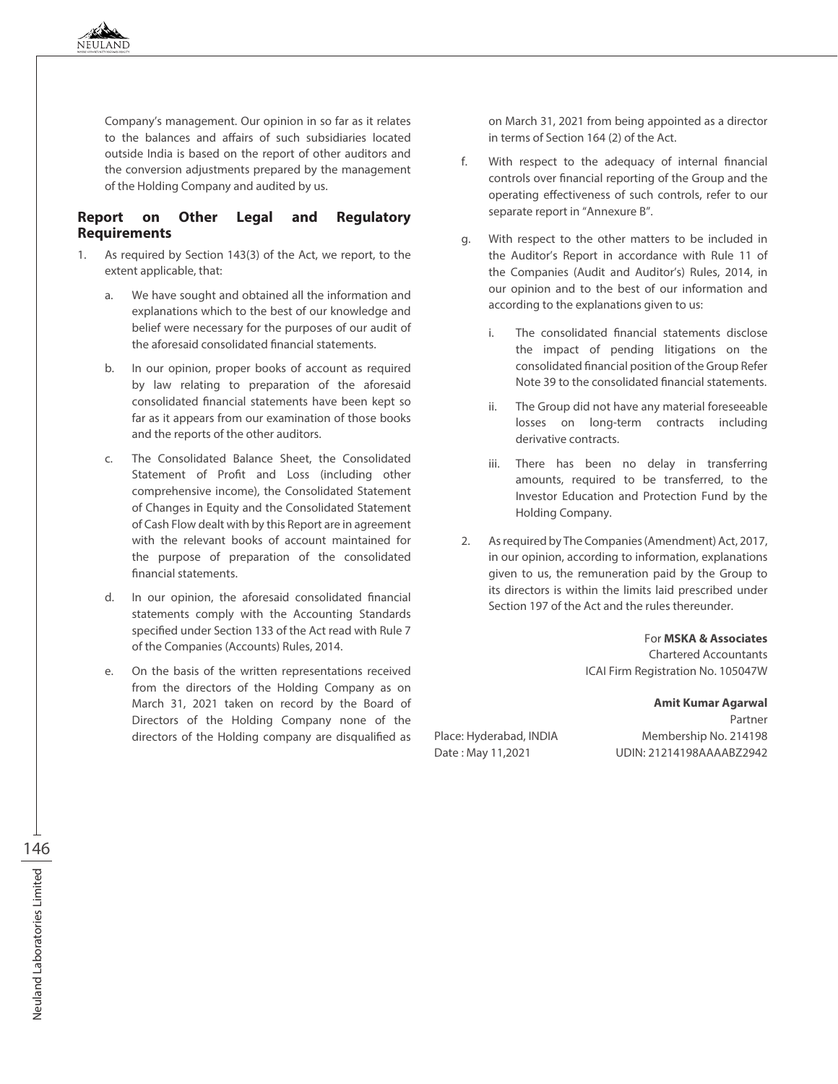Company's management. Our opinion in so far as it relates to the balances and affairs of such subsidiaries located outside India is based on the report of other auditors and the conversion adjustments prepared by the management of the Holding Company and audited by us.

### **Report on Other Legal and Regulatory Requirements**

- 1. As required by Section 143(3) of the Act, we report, to the extent applicable, that:
	- a. We have sought and obtained all the information and explanations which to the best of our knowledge and belief were necessary for the purposes of our audit of the aforesaid consolidated financial statements.
	- b. In our opinion, proper books of account as required by law relating to preparation of the aforesaid consolidated financial statements have been kept so far as it appears from our examination of those books and the reports of the other auditors.
	- c. The Consolidated Balance Sheet, the Consolidated Statement of Profit and Loss (including other comprehensive income), the Consolidated Statement of Changes in Equity and the Consolidated Statement of Cash Flow dealt with by this Report are in agreement with the relevant books of account maintained for the purpose of preparation of the consolidated financial statements.
	- d. In our opinion, the aforesaid consolidated financial statements comply with the Accounting Standards specified under Section 133 of the Act read with Rule 7 of the Companies (Accounts) Rules, 2014.
	- e. On the basis of the written representations received from the directors of the Holding Company as on March 31, 2021 taken on record by the Board of Directors of the Holding Company none of the directors of the Holding company are disqualified as

on March 31, 2021 from being appointed as a director in terms of Section 164 (2) of the Act.

- f. With respect to the adequacy of internal financial controls over financial reporting of the Group and the operating effectiveness of such controls, refer to our separate report in "Annexure B".
- g. With respect to the other matters to be included in the Auditor's Report in accordance with Rule 11 of the Companies (Audit and Auditor's) Rules, 2014, in our opinion and to the best of our information and according to the explanations given to us:
	- i. The consolidated financial statements disclose the impact of pending litigations on the consolidated financial position of the Group Refer Note 39 to the consolidated financial statements.
	- ii. The Group did not have any material foreseeable losses on long-term contracts including derivative contracts.
	- iii. There has been no delay in transferring amounts, required to be transferred, to the Investor Education and Protection Fund by the Holding Company.
- 2. As required by The Companies (Amendment) Act, 2017, in our opinion, according to information, explanations given to us, the remuneration paid by the Group to its directors is within the limits laid prescribed under Section 197 of the Act and the rules thereunder.

For **MSKA & Associates** Chartered Accountants ICAI Firm Registration No. 105047W

**Amit Kumar Agarwal** Partner Place: Hyderabad, INDIA Membership No. 214198

Date : May 11,2021 UDIN: 21214198AAAABZ2942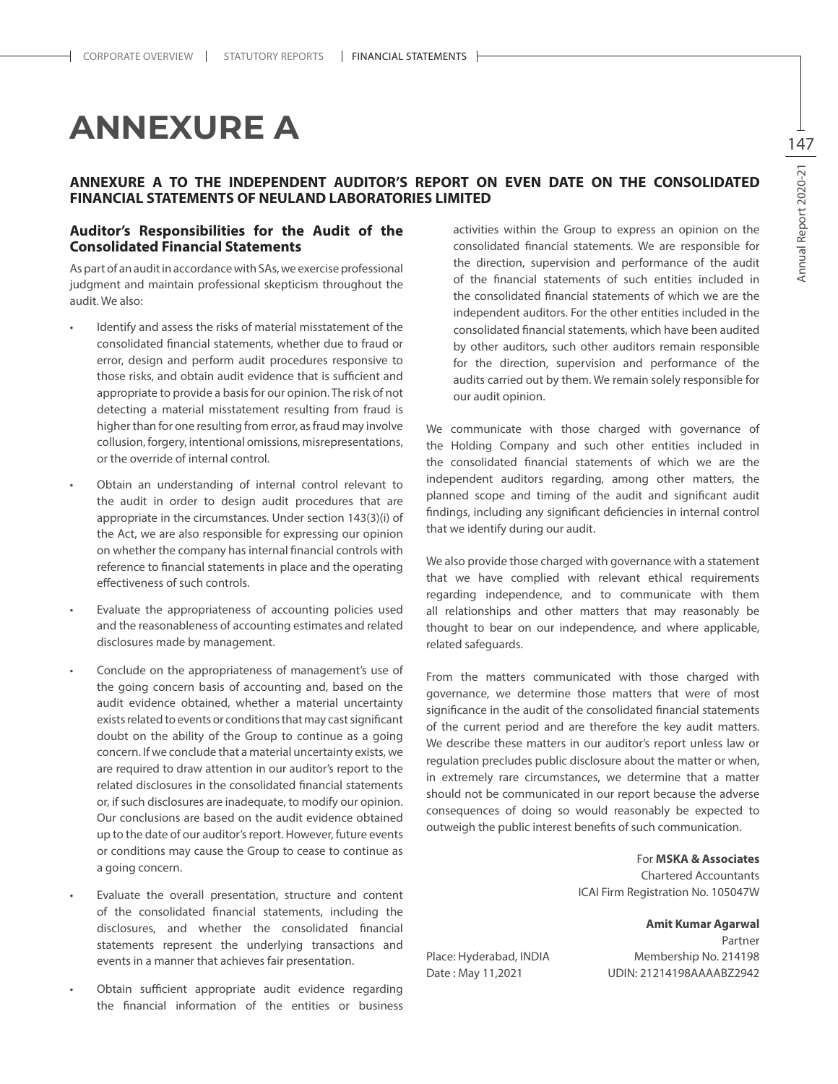# **ANNEXURE A**

### **ANNEXURE A TO THE INDEPENDENT AUDITOR'S REPORT ON EVEN DATE ON THE CONSOLIDATED FINANCIAL STATEMENTS OF NEULAND LABORATORIES LIMITED**

### **Auditor's Responsibilities for the Audit of the Consolidated Financial Statements**

As part of an audit in accordance with SAs, we exercise professional judgment and maintain professional skepticism throughout the audit. We also:

- Identify and assess the risks of material misstatement of the consolidated financial statements, whether due to fraud or error, design and perform audit procedures responsive to those risks, and obtain audit evidence that is sufficient and appropriate to provide a basis for our opinion. The risk of not detecting a material misstatement resulting from fraud is higher than for one resulting from error, as fraud may involve collusion, forgery, intentional omissions, misrepresentations, or the override of internal control.
- Obtain an understanding of internal control relevant to the audit in order to design audit procedures that are appropriate in the circumstances. Under section 143(3)(i) of the Act, we are also responsible for expressing our opinion on whether the company has internal financial controls with reference to financial statements in place and the operating effectiveness of such controls.
- Evaluate the appropriateness of accounting policies used and the reasonableness of accounting estimates and related disclosures made by management.
- Conclude on the appropriateness of management's use of the going concern basis of accounting and, based on the audit evidence obtained, whether a material uncertainty exists related to events or conditions that may cast significant doubt on the ability of the Group to continue as a going concern. If we conclude that a material uncertainty exists, we are required to draw attention in our auditor's report to the related disclosures in the consolidated financial statements or, if such disclosures are inadequate, to modify our opinion. Our conclusions are based on the audit evidence obtained up to the date of our auditor's report. However, future events or conditions may cause the Group to cease to continue as a going concern.
- Evaluate the overall presentation, structure and content of the consolidated financial statements, including the disclosures, and whether the consolidated financial statements represent the underlying transactions and events in a manner that achieves fair presentation.
- Obtain sufficient appropriate audit evidence regarding the financial information of the entities or business

activities within the Group to express an opinion on the consolidated financial statements. We are responsible for the direction, supervision and performance of the audit of the financial statements of such entities included in the consolidated financial statements of which we are the independent auditors. For the other entities included in the consolidated financial statements, which have been audited by other auditors, such other auditors remain responsible for the direction, supervision and performance of the audits carried out by them. We remain solely responsible for our audit opinion.

We communicate with those charged with governance of the Holding Company and such other entities included in the consolidated financial statements of which we are the independent auditors regarding, among other matters, the planned scope and timing of the audit and significant audit findings, including any significant deficiencies in internal control that we identify during our audit.

We also provide those charged with governance with a statement that we have complied with relevant ethical requirements regarding independence, and to communicate with them all relationships and other matters that may reasonably be thought to bear on our independence, and where applicable, related safeguards.

From the matters communicated with those charged with governance, we determine those matters that were of most significance in the audit of the consolidated financial statements of the current period and are therefore the key audit matters. We describe these matters in our auditor's report unless law or regulation precludes public disclosure about the matter or when, in extremely rare circumstances, we determine that a matter should not be communicated in our report because the adverse consequences of doing so would reasonably be expected to outweigh the public interest benefits of such communication.

> For **MSKA & Associates** Chartered Accountants ICAI Firm Registration No. 105047W

**Amit Kumar Agarwal** Partner Place: Hyderabad, INDIA Membership No. 214198 Date : May 11,2021 UDIN: 21214198AAAABZ2942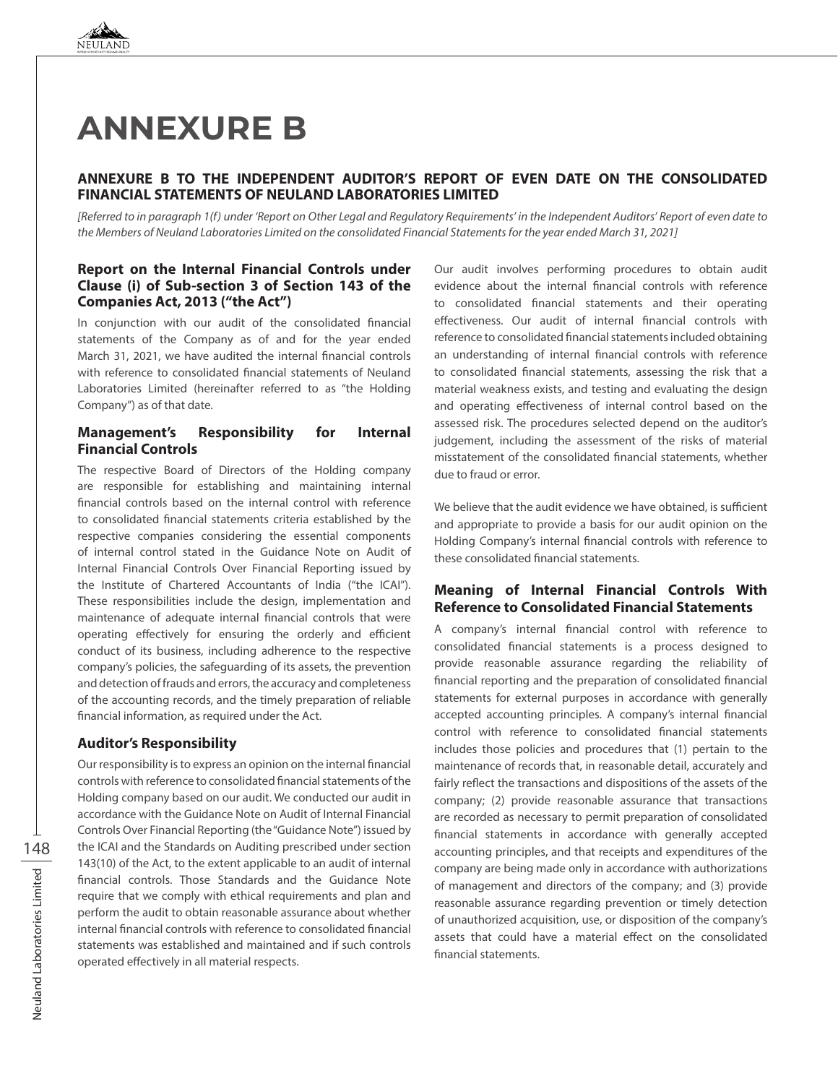

# **ANNEXURE B**

### **ANNEXURE B TO THE INDEPENDENT AUDITOR'S REPORT OF EVEN DATE ON THE CONSOLIDATED FINANCIAL STATEMENTS OF NEULAND LABORATORIES LIMITED**

*[Referred to in paragraph 1(f) under 'Report on Other Legal and Regulatory Requirements' in the Independent Auditors' Report of even date to the Members of Neuland Laboratories Limited on the consolidated Financial Statements for the year ended March 31, 2021]*

### **Report on the Internal Financial Controls under Clause (i) of Sub-section 3 of Section 143 of the Companies Act, 2013 ("the Act")**

In conjunction with our audit of the consolidated financial statements of the Company as of and for the year ended March 31, 2021, we have audited the internal financial controls with reference to consolidated financial statements of Neuland Laboratories Limited (hereinafter referred to as "the Holding Company") as of that date.

### **Management's Responsibility for Internal Financial Controls**

The respective Board of Directors of the Holding company are responsible for establishing and maintaining internal financial controls based on the internal control with reference to consolidated financial statements criteria established by the respective companies considering the essential components of internal control stated in the Guidance Note on Audit of Internal Financial Controls Over Financial Reporting issued by the Institute of Chartered Accountants of India ("the ICAI"). These responsibilities include the design, implementation and maintenance of adequate internal financial controls that were operating effectively for ensuring the orderly and efficient conduct of its business, including adherence to the respective company's policies, the safeguarding of its assets, the prevention and detection of frauds and errors, the accuracy and completeness of the accounting records, and the timely preparation of reliable financial information, as required under the Act.

### **Auditor's Responsibility**

Our responsibility is to express an opinion on the internal financial controls with reference to consolidated financial statements of the Holding company based on our audit. We conducted our audit in accordance with the Guidance Note on Audit of Internal Financial Controls Over Financial Reporting (the "Guidance Note") issued by the ICAI and the Standards on Auditing prescribed under section 143(10) of the Act, to the extent applicable to an audit of internal financial controls. Those Standards and the Guidance Note require that we comply with ethical requirements and plan and perform the audit to obtain reasonable assurance about whether internal financial controls with reference to consolidated financial statements was established and maintained and if such controls operated effectively in all material respects.

Our audit involves performing procedures to obtain audit evidence about the internal financial controls with reference to consolidated financial statements and their operating effectiveness. Our audit of internal financial controls with reference to consolidated financial statements included obtaining an understanding of internal financial controls with reference to consolidated financial statements, assessing the risk that a material weakness exists, and testing and evaluating the design and operating effectiveness of internal control based on the assessed risk. The procedures selected depend on the auditor's judgement, including the assessment of the risks of material misstatement of the consolidated financial statements, whether due to fraud or error.

We believe that the audit evidence we have obtained, is sufficient and appropriate to provide a basis for our audit opinion on the Holding Company's internal financial controls with reference to these consolidated financial statements.

### **Meaning of Internal Financial Controls With Reference to Consolidated Financial Statements**

A company's internal financial control with reference to consolidated financial statements is a process designed to provide reasonable assurance regarding the reliability of financial reporting and the preparation of consolidated financial statements for external purposes in accordance with generally accepted accounting principles. A company's internal financial control with reference to consolidated financial statements includes those policies and procedures that (1) pertain to the maintenance of records that, in reasonable detail, accurately and fairly reflect the transactions and dispositions of the assets of the company; (2) provide reasonable assurance that transactions are recorded as necessary to permit preparation of consolidated financial statements in accordance with generally accepted accounting principles, and that receipts and expenditures of the company are being made only in accordance with authorizations of management and directors of the company; and (3) provide reasonable assurance regarding prevention or timely detection of unauthorized acquisition, use, or disposition of the company's assets that could have a material effect on the consolidated financial statements.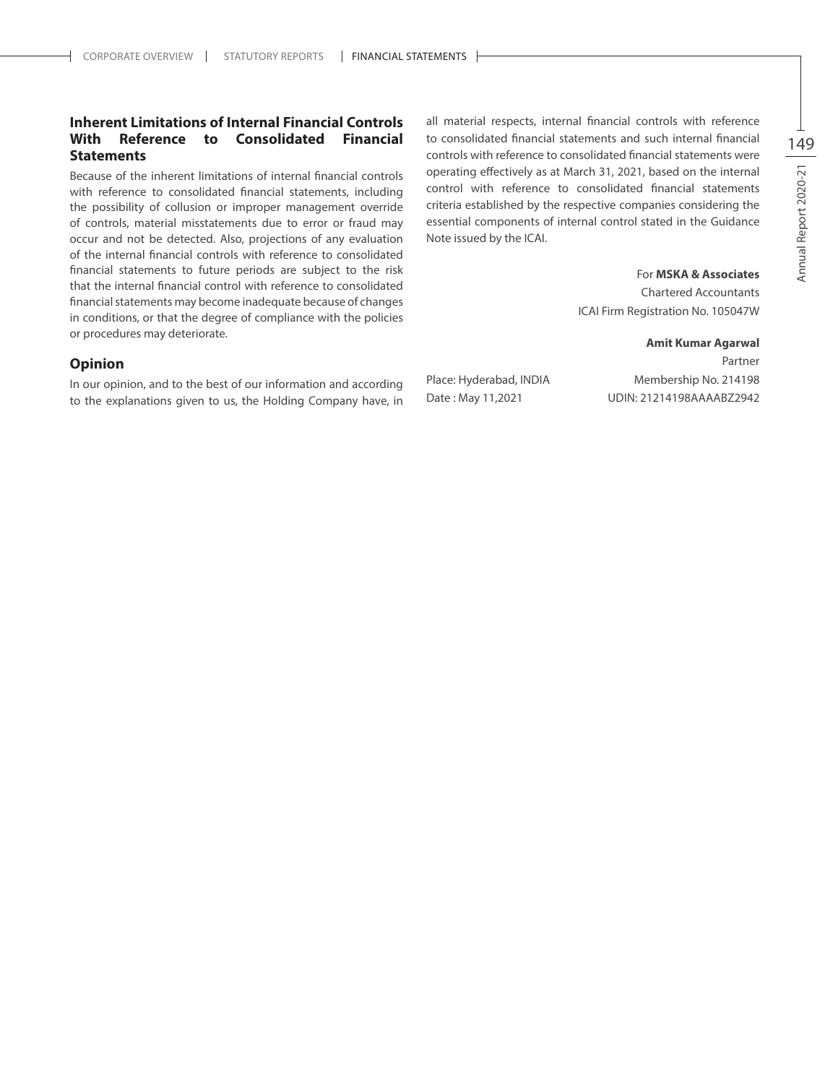### **Inherent Limitations of Internal Financial Controls With Reference to Consolidated Financial Statements**

Because of the inherent limitations of internal financial controls with reference to consolidated financial statements, including the possibility of collusion or improper management override of controls, material misstatements due to error or fraud may occur and not be detected. Also, projections of any evaluation of the internal financial controls with reference to consolidated financial statements to future periods are subject to the risk that the internal financial control with reference to consolidated financial statements may become inadequate because of changes in conditions, or that the degree of compliance with the policies or procedures may deteriorate.

all material respects, internal financial controls with reference to consolidated financial statements and such internal financial controls with reference to consolidated financial statements were operating effectively as at March 31, 2021, based on the internal control with reference to consolidated financial statements criteria established by the respective companies considering the essential components of internal control stated in the Guidance Note issued by the ICAI.

For **MSKA & Associates**

Chartered Accountants ICAI Firm Registration No. 105047W

**Amit Kumar Agarwal**

Partner Place: Hyderabad, INDIA Membership No. 214198 Date : May 11,2021 UDIN: 21214198AAAABZ2942

### **Opinion**

In our opinion, and to the best of our information and according to the explanations given to us, the Holding Company have, in

Annual Report 2020-21 Annual Report 2020-21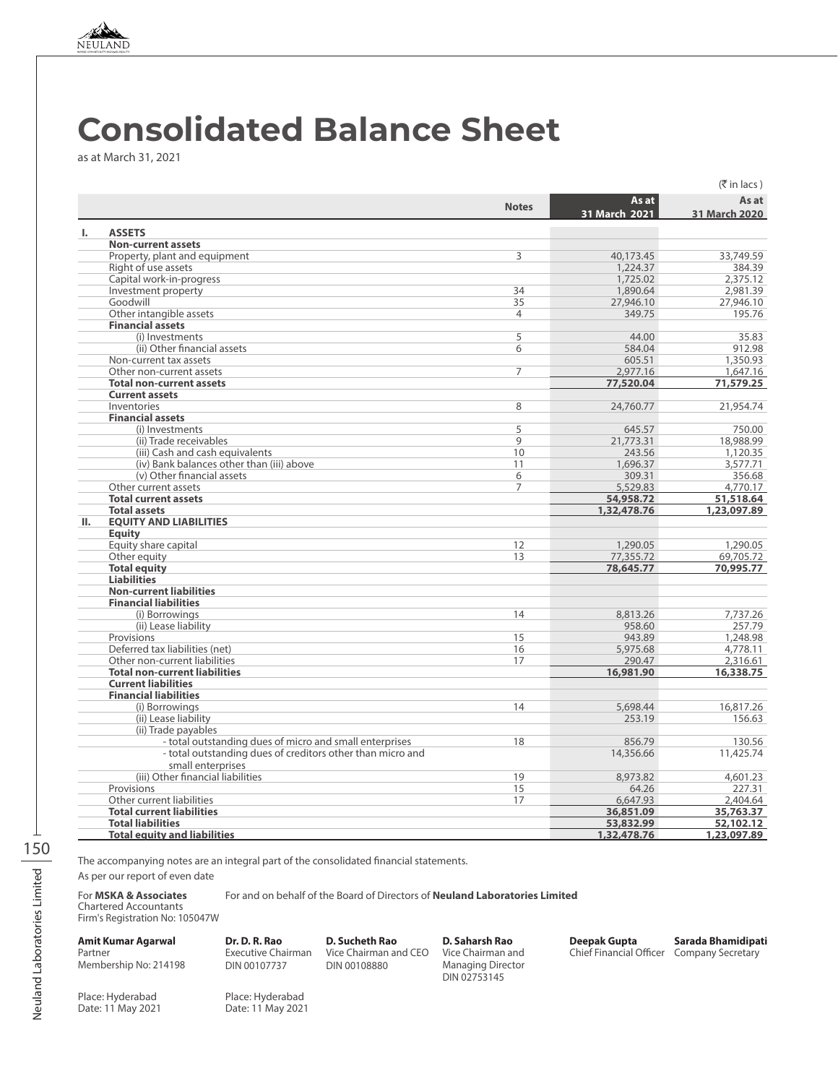# **Consolidated Balance Sheet**

as at March 31, 2021

|    |                                                            | $(\overline{\mathfrak{k}}$ in lacs) |                        |                        |  |
|----|------------------------------------------------------------|-------------------------------------|------------------------|------------------------|--|
|    |                                                            | <b>Notes</b>                        | As at<br>31 March 2021 | As at<br>31 March 2020 |  |
| L. | <b>ASSETS</b>                                              |                                     |                        |                        |  |
|    | <b>Non-current assets</b>                                  |                                     |                        |                        |  |
|    | Property, plant and equipment                              | 3                                   | 40,173.45              | 33,749.59              |  |
|    | Right of use assets                                        |                                     | 1,224.37               | 384.39                 |  |
|    | Capital work-in-progress                                   |                                     | 1,725.02               | 2,375.12               |  |
|    | Investment property                                        | 34                                  | 1,890.64               | 2,981.39               |  |
|    | Goodwill                                                   | 35                                  | 27,946.10              | 27,946.10              |  |
|    | Other intangible assets                                    | $\overline{4}$                      | 349.75                 | 195.76                 |  |
|    | <b>Financial assets</b>                                    |                                     |                        |                        |  |
|    | (i) Investments                                            | 5                                   | 44.00                  | 35.83                  |  |
|    | (ii) Other financial assets                                | 6                                   | 584.04                 | 912.98                 |  |
|    | Non-current tax assets                                     |                                     | 605.51                 | 1,350.93               |  |
|    | Other non-current assets                                   | $\overline{7}$                      | 2,977.16               | 1,647.16               |  |
|    | <b>Total non-current assets</b>                            |                                     | 77,520.04              | 71,579.25              |  |
|    | <b>Current assets</b>                                      |                                     |                        |                        |  |
|    | Inventories                                                | 8                                   | 24,760.77              | 21,954.74              |  |
|    | <b>Financial assets</b>                                    |                                     |                        |                        |  |
|    | (i) Investments                                            | 5                                   | 645.57                 | 750.00                 |  |
|    | (ii) Trade receivables                                     | 9                                   | 21,773.31              | 18,988.99              |  |
|    | (iii) Cash and cash equivalents                            | 10                                  | 243.56                 | 1,120.35               |  |
|    | (iv) Bank balances other than (iii) above                  | 11                                  | 1,696.37               | 3,577.71               |  |
|    | (v) Other financial assets                                 | 6                                   | 309.31                 | 356.68                 |  |
|    | Other current assets                                       | $\overline{7}$                      | 5,529.83               | 4,770.17               |  |
|    | <b>Total current assets</b>                                |                                     | 54,958.72              | 51,518.64              |  |
|    | <b>Total assets</b>                                        |                                     | 1,32,478.76            | 1,23,097.89            |  |
| н. | <b>EQUITY AND LIABILITIES</b>                              |                                     |                        |                        |  |
|    | Equity                                                     |                                     |                        |                        |  |
|    | Equity share capital                                       | 12                                  | 1,290.05               | 1,290.05               |  |
|    | Other equity                                               | 13                                  | 77,355.72              | 69,705.72              |  |
|    | <b>Total equity</b>                                        |                                     | 78,645.77              | 70,995.77              |  |
|    | <b>Liabilities</b>                                         |                                     |                        |                        |  |
|    | <b>Non-current liabilities</b>                             |                                     |                        |                        |  |
|    | <b>Financial liabilities</b>                               |                                     |                        |                        |  |
|    | (i) Borrowings                                             | 14                                  | 8,813.26               | 7,737.26               |  |
|    | (ii) Lease liability                                       |                                     | 958.60                 | 257.79                 |  |
|    | Provisions                                                 | 15                                  | 943.89                 | 1,248.98               |  |
|    | Deferred tax liabilities (net)                             | 16                                  | 5.975.68               | 4.778.11               |  |
|    | Other non-current liabilities                              | 17                                  | 290.47                 | 2,316.61               |  |
|    | <b>Total non-current liabilities</b>                       |                                     | 16,981.90              | 16,338.75              |  |
|    | <b>Current liabilities</b>                                 |                                     |                        |                        |  |
|    | <b>Financial liabilities</b>                               |                                     |                        |                        |  |
|    | (i) Borrowings                                             | 14                                  | 5,698.44               | 16,817.26              |  |
|    | (ii) Lease liability                                       |                                     | 253.19                 | 156.63                 |  |
|    | (ii) Trade payables                                        |                                     |                        |                        |  |
|    | - total outstanding dues of micro and small enterprises    | 18                                  | 856.79                 | 130.56                 |  |
|    | - total outstanding dues of creditors other than micro and |                                     | 14,356.66              | 11,425.74              |  |
|    | small enterprises                                          |                                     |                        |                        |  |
|    | (iii) Other financial liabilities                          | 19                                  | 8,973.82               | 4,601.23               |  |
|    | Provisions                                                 | 15                                  | 64.26                  | 227.31                 |  |
|    | Other current liabilities                                  | 17                                  | 6,647.93               | 2,404.64               |  |
|    | <b>Total current liabilities</b>                           |                                     | 36,851.09              | 35,763.37              |  |
|    | <b>Total liabilities</b>                                   |                                     | 53,832.99              | 52,102.12              |  |
|    | <b>Total equity and liabilities</b>                        |                                     | 1,32,478.76            | 1,23,097.89            |  |

150<br>Neuland Laboratories Limited

Neuland Laboratories Limited

The accompanying notes are an integral part of the consolidated financial statements.

As per our report of even date

For **MSKA & Associates** For and on behalf of the Board of Directors of **Neuland Laboratories Limited**

Chartered Accountants Firm's Registration No: 105047W

| <b>Amit Kumar Agarwal</b> |  |
|---------------------------|--|
| Partner                   |  |
| Membership No: 214198     |  |

DIN 00107737

Vice Chairman and CEO DIN 00108880

Vice Chairman and Managing Director DIN 02753145

Chief Financial Officer Company Secretary

**Amit Kumar Agarwal Dr. D. R. Rao D. Sucheth Rao D. Saharsh Rao Deepak Gupta Sarada Bhamidipati** 

Place: Hyderabad Place: Hyderabad<br>
Date: 11 May 2021 Date: 11 May 2021

Date: 11 May 2021

Executive Chairman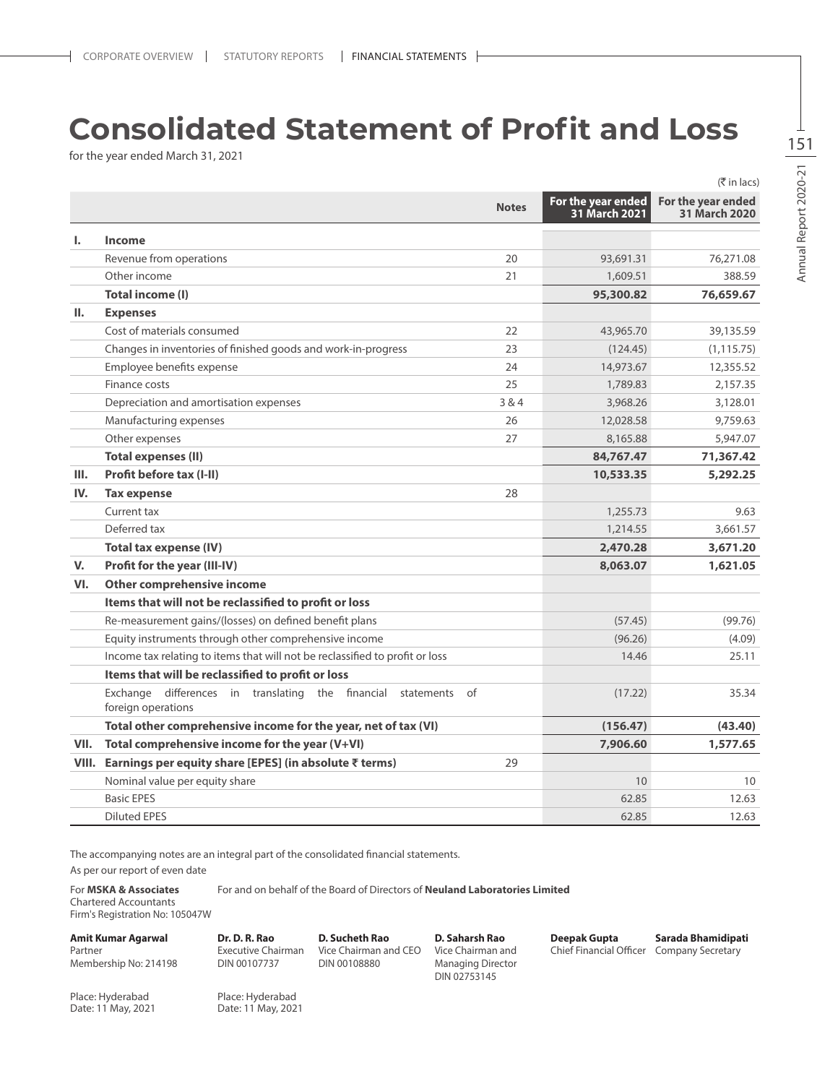# **Consolidated Statement of Profit and Loss**

for the year ended March 31, 2021

┥

|       |                                                                                          |              |                                     | (K in iacs)                         |
|-------|------------------------------------------------------------------------------------------|--------------|-------------------------------------|-------------------------------------|
|       |                                                                                          | <b>Notes</b> | For the year ended<br>31 March 2021 | For the year ended<br>31 March 2020 |
| Ъ.    | Income                                                                                   |              |                                     |                                     |
|       | Revenue from operations                                                                  | 20           | 93,691.31                           | 76,271.08                           |
|       | Other income                                                                             | 21           | 1,609.51                            | 388.59                              |
|       | Total income (I)                                                                         |              | 95,300.82                           | 76,659.67                           |
| П.    | <b>Expenses</b>                                                                          |              |                                     |                                     |
|       | Cost of materials consumed                                                               | 22           | 43,965.70                           | 39,135.59                           |
|       | Changes in inventories of finished goods and work-in-progress                            | 23           | (124.45)                            | (1, 115.75)                         |
|       | Employee benefits expense                                                                | 24           | 14,973.67                           | 12,355.52                           |
|       | Finance costs                                                                            | 25           | 1,789.83                            | 2,157.35                            |
|       | Depreciation and amortisation expenses                                                   | 3 & 4        | 3,968.26                            | 3,128.01                            |
|       | Manufacturing expenses                                                                   | 26           | 12,028.58                           | 9,759.63                            |
|       | Other expenses                                                                           | 27           | 8,165.88                            | 5,947.07                            |
|       | <b>Total expenses (II)</b>                                                               |              | 84,767.47                           | 71,367.42                           |
| III.  | <b>Profit before tax (I-II)</b>                                                          |              | 10,533.35                           | 5,292.25                            |
| IV.   | <b>Tax expense</b>                                                                       | 28           |                                     |                                     |
|       | Current tax                                                                              |              | 1,255.73                            | 9.63                                |
|       | Deferred tax                                                                             |              | 1,214.55                            | 3,661.57                            |
|       | <b>Total tax expense (IV)</b>                                                            |              | 2,470.28                            | 3,671.20                            |
| V.    | Profit for the year (III-IV)                                                             |              | 8,063.07                            | 1,621.05                            |
| VI.   | Other comprehensive income                                                               |              |                                     |                                     |
|       | Items that will not be reclassified to profit or loss                                    |              |                                     |                                     |
|       | Re-measurement gains/(losses) on defined benefit plans                                   |              | (57.45)                             | (99.76)                             |
|       | Equity instruments through other comprehensive income                                    |              | (96.26)                             | (4.09)                              |
|       | Income tax relating to items that will not be reclassified to profit or loss             |              | 14.46                               | 25.11                               |
|       | Items that will be reclassified to profit or loss                                        |              |                                     |                                     |
|       | Exchange differences in translating the financial<br>statements of<br>foreign operations |              | (17.22)                             | 35.34                               |
|       | Total other comprehensive income for the year, net of tax (VI)                           |              | (156.47)                            | (43.40)                             |
| VII.  | Total comprehensive income for the year $(V+VI)$                                         |              | 7,906.60                            | 1,577.65                            |
| VIII. | Earnings per equity share [EPES] (in absolute ₹ terms)                                   | 29           |                                     |                                     |
|       | Nominal value per equity share                                                           |              | 10                                  | 10                                  |
|       | <b>Basic EPES</b>                                                                        |              | 62.85                               | 12.63                               |
|       | <b>Diluted EPES</b>                                                                      |              | 62.85                               | 12.63                               |

The accompanying notes are an integral part of the consolidated financial statements.

As per our report of even date

For **MSKA & Associates** For and on behalf of the Board of Directors of **Neuland Laboratories Limited** Chartered Accountants Firm's Registration No: 105047W

**Amit Kumar Agarwal Dr. D. R. Rao D. Sucheth Rao D. Saharsh Rao Deepak Gupta Sarada Bhamidipati**  Partner Membership No: 214198

Executive Chairman DIN 00107737

Vice Chairman and CEO DIN 00108880

Vice Chairman and Managing Director DIN 02753145

Chief Financial Officer Company Secretary

Place: Hyderabad Place: Hyderabad Date: 11 May, 2021 Date: 11 May, 202 Date: 11 May, 2021  $(\pm \infty)$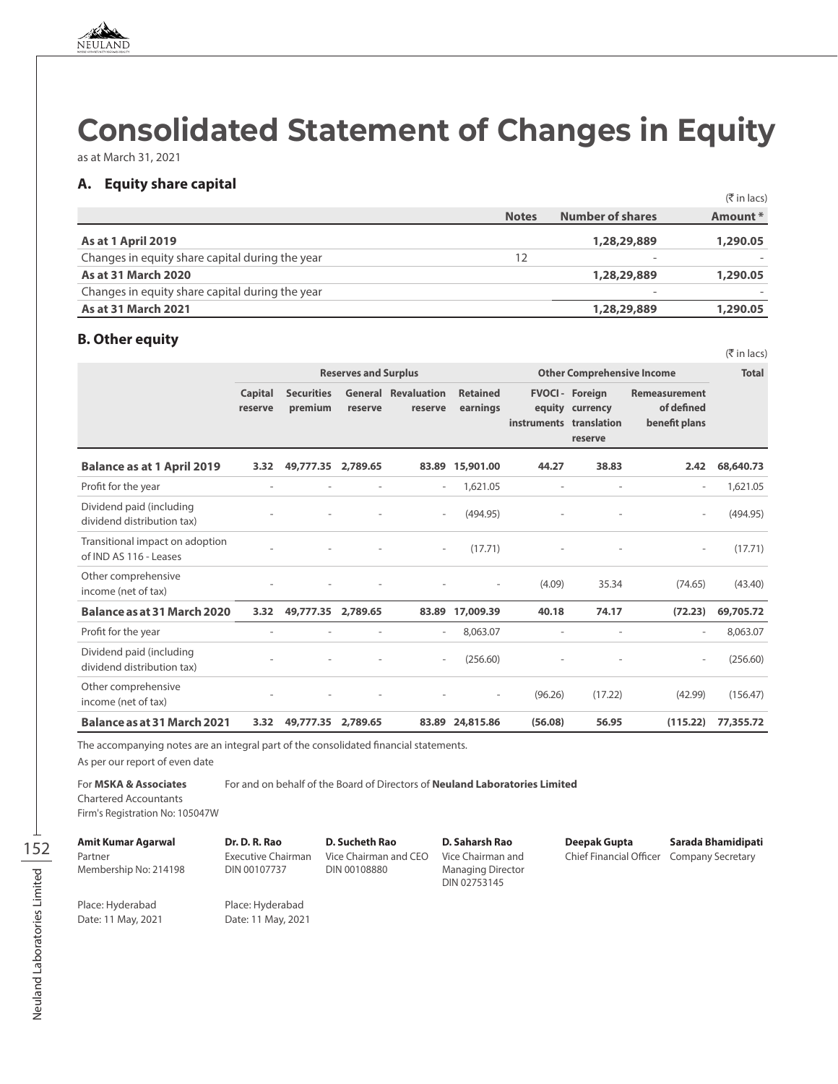# **Consolidated Statement of Changes in Equity**

 $\approx$  in lacks

 $(\overline{\mathfrak{k}}$  in lacs)

as at March 31, 2021

### **A. Equity share capital**

|                                                 |              |                          | (K in lacs) |
|-------------------------------------------------|--------------|--------------------------|-------------|
|                                                 | <b>Notes</b> | <b>Number of shares</b>  | Amount*     |
| As at 1 April 2019                              |              | 1,28,29,889              | 1,290.05    |
| Changes in equity share capital during the year | 12           | $\overline{\phantom{0}}$ |             |
| <b>As at 31 March 2020</b>                      |              | 1,28,29,889              | 1,290.05    |
| Changes in equity share capital during the year |              | $\overline{\phantom{a}}$ |             |
| As at 31 March 2021                             |              | 1,28,29,889              | 1,290.05    |

### **B. Other equity**

|                                                           |                          | <b>Reserves and Surplus</b>  |          |                                       | <b>Other Comprehensive Income</b> | <b>Total</b>             |                                               |                                              |           |
|-----------------------------------------------------------|--------------------------|------------------------------|----------|---------------------------------------|-----------------------------------|--------------------------|-----------------------------------------------|----------------------------------------------|-----------|
|                                                           | Capital<br>reserve       | <b>Securities</b><br>premium | reserve  | <b>General Revaluation</b><br>reserve | <b>Retained</b><br>earnings       | instruments translation  | FVOCI - Foreign<br>equity currency<br>reserve | Remeasurement<br>of defined<br>benefit plans |           |
| <b>Balance as at 1 April 2019</b>                         | 3.32                     | 49,777.35 2,789.65           |          |                                       | 83.89 15,901.00                   | 44.27                    | 38.83                                         | 2.42                                         | 68,640.73 |
| Profit for the year                                       | $\overline{\phantom{a}}$ |                              |          | $\overline{\phantom{a}}$              | 1,621.05                          | $\overline{\phantom{a}}$ | $\overline{\phantom{a}}$                      | $\overline{\phantom{a}}$                     | 1,621.05  |
| Dividend paid (including<br>dividend distribution tax)    |                          |                              |          | $\overline{\phantom{a}}$              | (494.95)                          |                          |                                               | ۰                                            | (494.95)  |
| Transitional impact on adoption<br>of IND AS 116 - Leases |                          |                              |          | $\overline{\phantom{a}}$              | (17.71)                           |                          |                                               | $\overline{\phantom{a}}$                     | (17.71)   |
| Other comprehensive<br>income (net of tax)                |                          |                              |          |                                       |                                   | (4.09)                   | 35.34                                         | (74.65)                                      | (43.40)   |
| Balance as at 31 March 2020                               | 3.32                     | 49,777.35 2,789.65           |          | 83.89                                 | 17,009.39                         | 40.18                    | 74.17                                         | (72.23)                                      | 69,705.72 |
| Profit for the year                                       |                          |                              |          | $\overline{\phantom{a}}$              | 8,063.07                          |                          |                                               |                                              | 8,063.07  |
| Dividend paid (including<br>dividend distribution tax)    |                          |                              |          | $\overline{\phantom{a}}$              | (256.60)                          |                          |                                               | $\overline{\phantom{a}}$                     | (256.60)  |
| Other comprehensive<br>income (net of tax)                |                          |                              |          |                                       | $\overline{a}$                    | (96.26)                  | (17.22)                                       | (42.99)                                      | (156.47)  |
| Balance as at 31 March 2021                               | 3.32                     | 49,777.35                    | 2,789.65 |                                       | 83.89 24,815.86                   | (56.08)                  | 56.95                                         | (115.22)                                     | 77,355.72 |

The accompanying notes are an integral part of the consolidated financial statements. As per our report of even date

For **MSKA & Associates** For and on behalf of the Board of Directors of **Neuland Laboratories Limited**

Chartered Accountants Firm's Registration No: 105047W

| Amit Kumar Agarwal                     | Dr. D. R. Rao                          | D. Sucheth Rao                        | D. Saharsh Rao                                                | Deepak Gupta                   | Sarada Bhamidipati       |
|----------------------------------------|----------------------------------------|---------------------------------------|---------------------------------------------------------------|--------------------------------|--------------------------|
| Partner<br>Membership No: 214198       | Executive Chairman<br>DIN 00107737     | Vice Chairman and CEO<br>DIN 00108880 | Vice Chairman and<br><b>Managing Director</b><br>DIN 02753145 | <b>Chief Financial Officer</b> | <b>Company Secretary</b> |
| Place: Hyderabad<br>Date: 11 May, 2021 | Place: Hyderabad<br>Date: 11 May, 2021 |                                       |                                                               |                                |                          |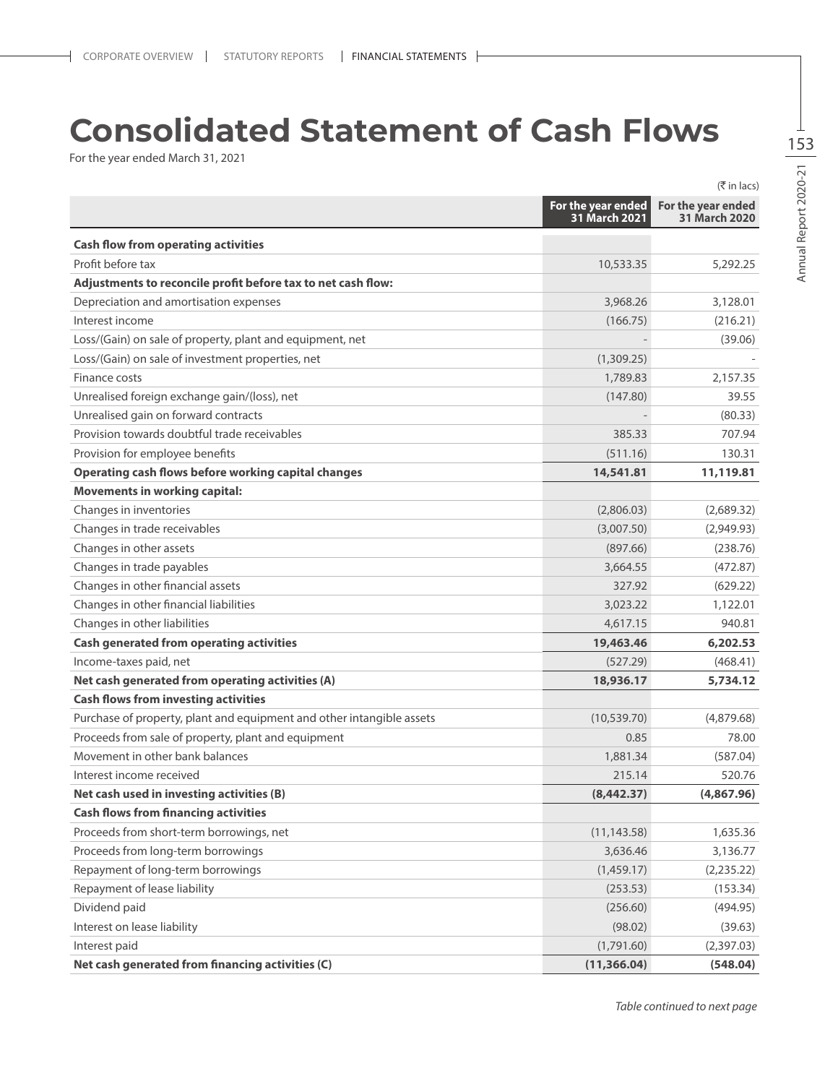# **Consolidated Statement of Cash Flows**

For the year ended March 31, 2021

|                                                                       |                                     | $(\overline{\mathfrak{k}})$ in lacs) |
|-----------------------------------------------------------------------|-------------------------------------|--------------------------------------|
|                                                                       | For the year ended<br>31 March 2021 | For the year ended<br>31 March 2020  |
| <b>Cash flow from operating activities</b>                            |                                     |                                      |
| Profit before tax                                                     | 10,533.35                           | 5,292.25                             |
| Adjustments to reconcile profit before tax to net cash flow:          |                                     |                                      |
| Depreciation and amortisation expenses                                | 3,968.26                            | 3,128.01                             |
| Interest income                                                       | (166.75)                            | (216.21)                             |
| Loss/(Gain) on sale of property, plant and equipment, net             |                                     | (39.06)                              |
| Loss/(Gain) on sale of investment properties, net                     | (1,309.25)                          |                                      |
| Finance costs                                                         | 1,789.83                            | 2,157.35                             |
| Unrealised foreign exchange gain/(loss), net                          | (147.80)                            | 39.55                                |
| Unrealised gain on forward contracts                                  |                                     | (80.33)                              |
| Provision towards doubtful trade receivables                          | 385.33                              | 707.94                               |
| Provision for employee benefits                                       | (511.16)                            | 130.31                               |
| Operating cash flows before working capital changes                   | 14,541.81                           | 11,119.81                            |
| <b>Movements in working capital:</b>                                  |                                     |                                      |
| Changes in inventories                                                | (2,806.03)                          | (2,689.32)                           |
| Changes in trade receivables                                          | (3,007.50)                          | (2,949.93)                           |
| Changes in other assets                                               | (897.66)                            | (238.76)                             |
| Changes in trade payables                                             | 3,664.55                            | (472.87)                             |
| Changes in other financial assets                                     | 327.92                              | (629.22)                             |
| Changes in other financial liabilities                                | 3,023.22                            | 1,122.01                             |
| Changes in other liabilities                                          | 4,617.15                            | 940.81                               |
| <b>Cash generated from operating activities</b>                       | 19,463.46                           | 6,202.53                             |
| Income-taxes paid, net                                                | (527.29)                            | (468.41)                             |
| Net cash generated from operating activities (A)                      | 18,936.17                           | 5,734.12                             |
| <b>Cash flows from investing activities</b>                           |                                     |                                      |
| Purchase of property, plant and equipment and other intangible assets | (10, 539.70)                        | (4,879.68)                           |
| Proceeds from sale of property, plant and equipment                   | 0.85                                | 78.00                                |
| Movement in other bank balances                                       | 1,881.34                            | (587.04)                             |
| Interest income received                                              | 215.14                              | 520.76                               |
| Net cash used in investing activities (B)                             | (8,442.37)                          | (4,867.96)                           |
| <b>Cash flows from financing activities</b>                           |                                     |                                      |
| Proceeds from short-term borrowings, net                              | (11, 143.58)                        | 1,635.36                             |
| Proceeds from long-term borrowings                                    | 3,636.46                            | 3,136.77                             |
| Repayment of long-term borrowings                                     | (1,459.17)                          | (2,235.22)                           |
| Repayment of lease liability                                          | (253.53)                            | (153.34)                             |
| Dividend paid                                                         | (256.60)                            | (494.95)                             |
| Interest on lease liability                                           | (98.02)                             | (39.63)                              |
| Interest paid                                                         | (1,791.60)                          | (2,397.03)                           |
| Net cash generated from financing activities (C)                      | (11, 366.04)                        | (548.04)                             |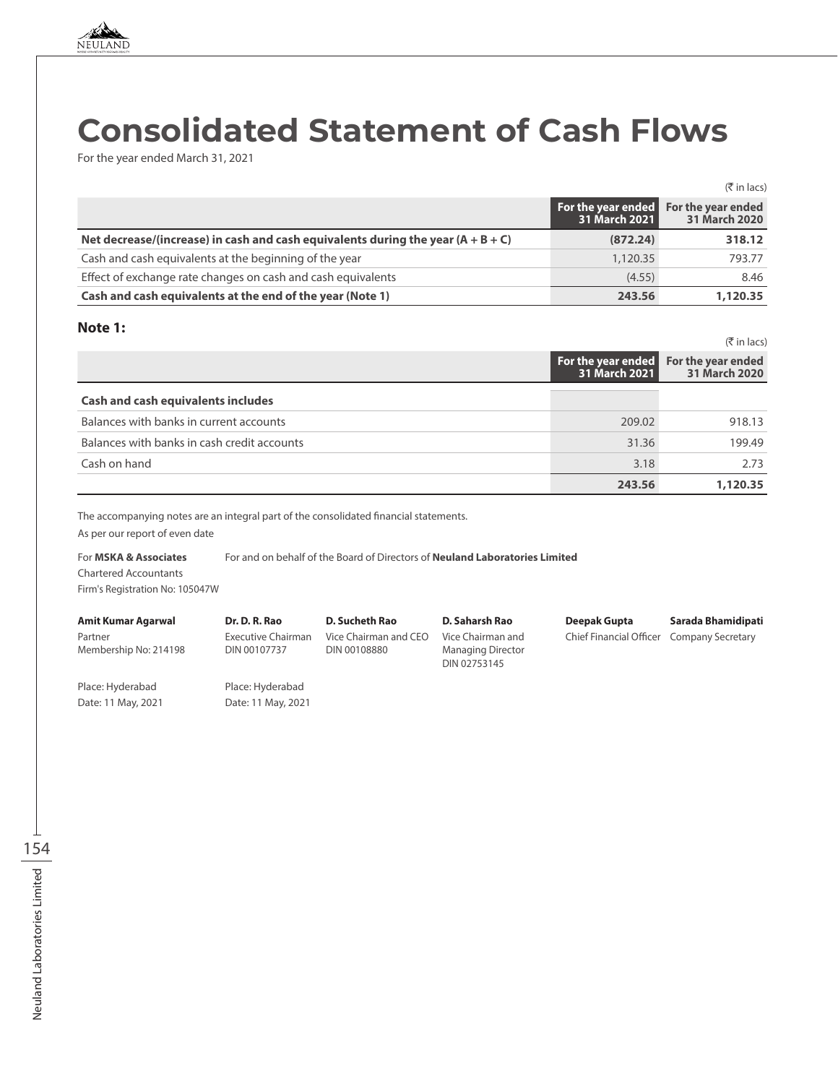# **Consolidated Statement of Cash Flows**

For the year ended March 31, 2021

|                                                                                    |                                                    | $(\overline{\mathfrak{F}})$ in lacs) |
|------------------------------------------------------------------------------------|----------------------------------------------------|--------------------------------------|
|                                                                                    | For the year ended $\blacksquare$<br>31 March 2021 | For the year ended<br>31 March 2020  |
| Net decrease/(increase) in cash and cash equivalents during the year $(A + B + C)$ | (872.24)                                           | 318.12                               |
| Cash and cash equivalents at the beginning of the year                             | 1,120.35                                           | 793.77                               |
| Effect of exchange rate changes on cash and cash equivalents                       | (4.55)                                             | 8.46                                 |
| Cash and cash equivalents at the end of the year (Note 1)                          | 243.56                                             | 1,120.35                             |

### **Note 1:**

**NEULAN** 

|                                             |                                     | (K in lacs)                         |
|---------------------------------------------|-------------------------------------|-------------------------------------|
|                                             | For the year ended<br>31 March 2021 | For the year ended<br>31 March 2020 |
| <b>Cash and cash equivalents includes</b>   |                                     |                                     |
| Balances with banks in current accounts     | 209.02                              | 918.13                              |
| Balances with banks in cash credit accounts | 31.36                               | 199.49                              |
| Cash on hand                                | 3.18                                | 2.73                                |
|                                             | 243.56                              | 1,120.35                            |

 $\equiv$   $\cdots$ 

The accompanying notes are an integral part of the consolidated financial statements.

As per our report of even date

For **MSKA & Associates** For and on behalf of the Board of Directors of **Neuland Laboratories Limited**

Chartered Accountants Firm's Registration No: 105047W

**Amit Kumar Agarwal Dr. D. R. Rao D. Sucheth Rao D. Saharsh Rao Deepak Gupta Sarada Bhamidipati**  Partner Membership No: 214198 Executive Chairman DIN 00107737 Vice Chairman and CEO DIN 00108880 Vice Chairman and Managing Director DIN 02753145 Chief Financial Officer Company Secretary Place: Hyderabad Place: Hyderabad Date: 11 May, 2021 Date: 11 May, 2021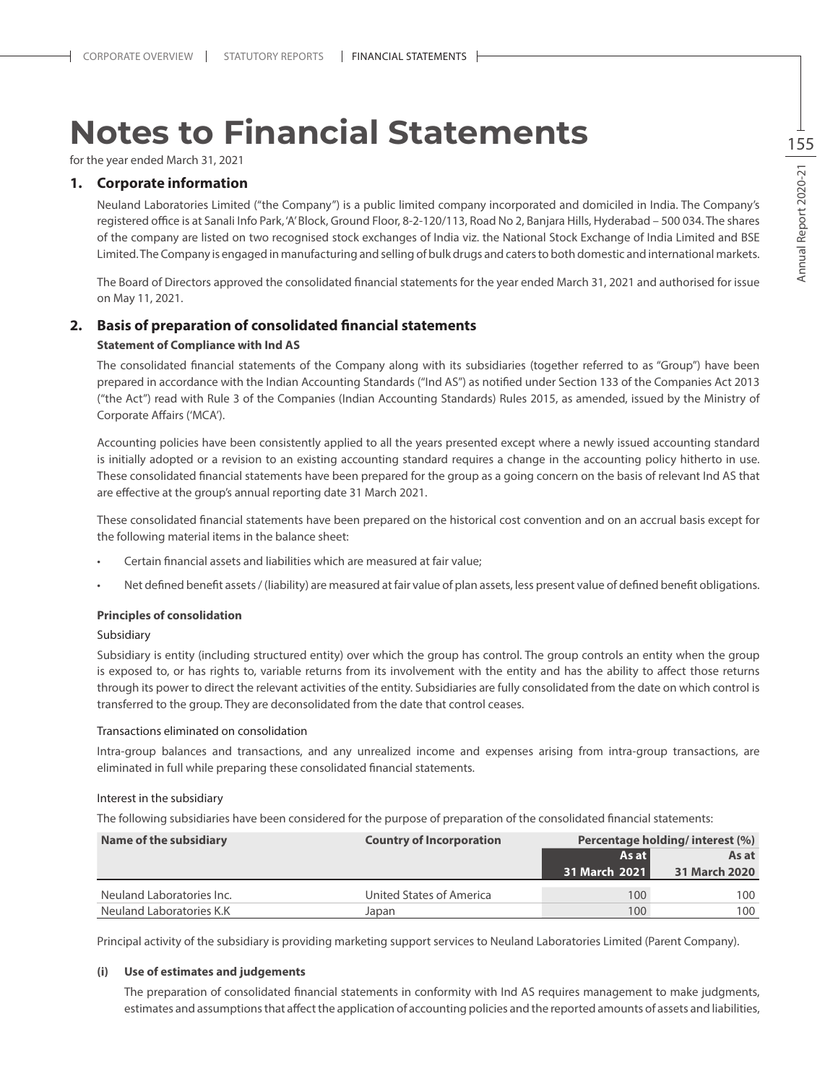for the year ended March 31, 2021

### **1. Corporate information**

 Neuland Laboratories Limited ("the Company") is a public limited company incorporated and domiciled in India. The Company's registered office is at Sanali Info Park, 'A' Block, Ground Floor, 8-2-120/113, Road No 2, Banjara Hills, Hyderabad – 500 034. The shares of the company are listed on two recognised stock exchanges of India viz. the National Stock Exchange of India Limited and BSE Limited. The Company is engaged in manufacturing and selling of bulk drugs and caters to both domestic and international markets.

The Board of Directors approved the consolidated financial statements for the year ended March 31, 2021 and authorised for issue on May 11, 2021.

### **2. Basis of preparation of consolidated financial statements**

### **Statement of Compliance with Ind AS**

The consolidated financial statements of the Company along with its subsidiaries (together referred to as "Group") have been prepared in accordance with the Indian Accounting Standards ("Ind AS") as notified under Section 133 of the Companies Act 2013 ("the Act") read with Rule 3 of the Companies (Indian Accounting Standards) Rules 2015, as amended, issued by the Ministry of Corporate Affairs ('MCA').

Accounting policies have been consistently applied to all the years presented except where a newly issued accounting standard is initially adopted or a revision to an existing accounting standard requires a change in the accounting policy hitherto in use. These consolidated financial statements have been prepared for the group as a going concern on the basis of relevant Ind AS that are effective at the group's annual reporting date 31 March 2021.

These consolidated financial statements have been prepared on the historical cost convention and on an accrual basis except for the following material items in the balance sheet:

- Certain financial assets and liabilities which are measured at fair value;
- Net defined benefit assets / (liability) are measured at fair value of plan assets, less present value of defined benefit obligations.

### **Principles of consolidation**

### Subsidiary

Subsidiary is entity (including structured entity) over which the group has control. The group controls an entity when the group is exposed to, or has rights to, variable returns from its involvement with the entity and has the ability to affect those returns through its power to direct the relevant activities of the entity. Subsidiaries are fully consolidated from the date on which control is transferred to the group. They are deconsolidated from the date that control ceases.

### Transactions eliminated on consolidation

Intra-group balances and transactions, and any unrealized income and expenses arising from intra-group transactions, are eliminated in full while preparing these consolidated financial statements.

### Interest in the subsidiary

The following subsidiaries have been considered for the purpose of preparation of the consolidated financial statements:

| Name of the subsidiary    | <b>Country of Incorporation</b> |               | Percentage holding/interest (%) |  |  |
|---------------------------|---------------------------------|---------------|---------------------------------|--|--|
|                           |                                 | As at         | As at                           |  |  |
|                           |                                 | 31 March 2021 | <b>31 March 2020</b>            |  |  |
| Neuland Laboratories Inc. | United States of America        | 100           | 100                             |  |  |
| Neuland Laboratories K.K  | Japan                           | 100           | 100                             |  |  |

Principal activity of the subsidiary is providing marketing support services to Neuland Laboratories Limited (Parent Company).

### **(i) Use of estimates and judgements**

 The preparation of consolidated financial statements in conformity with Ind AS requires management to make judgments, estimates and assumptions that affect the application of accounting policies and the reported amounts of assets and liabilities,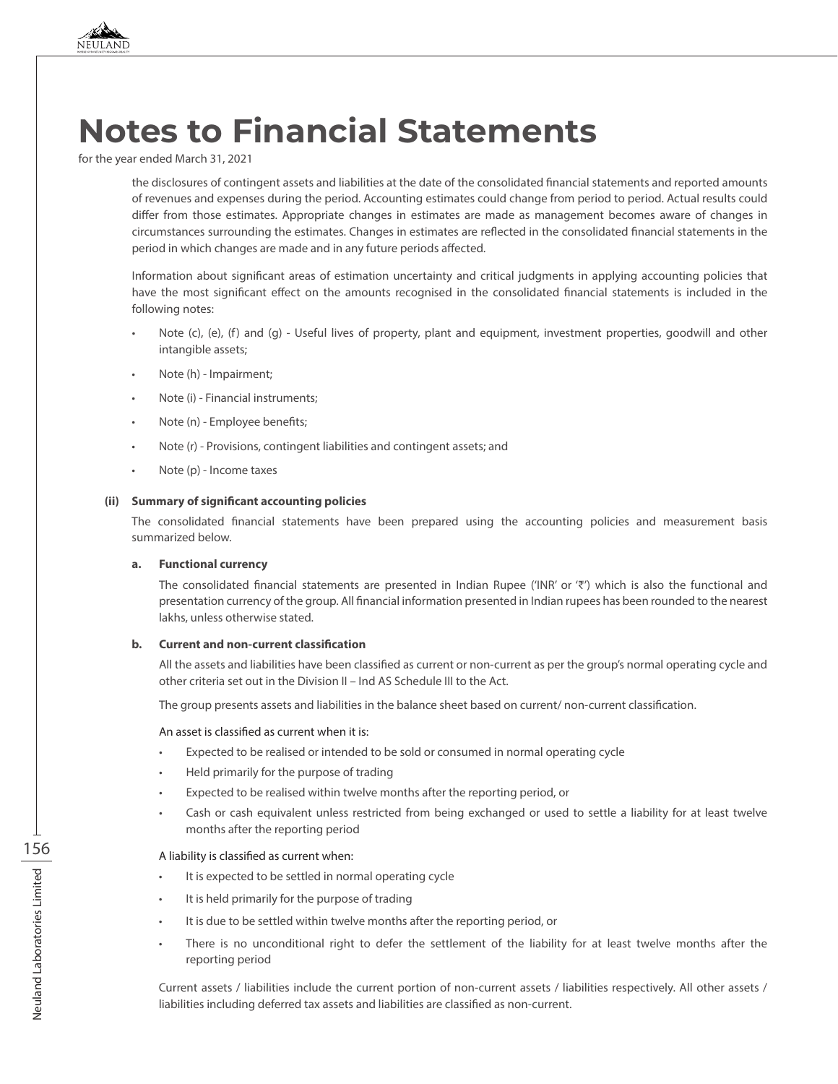for the year ended March 31, 2021

the disclosures of contingent assets and liabilities at the date of the consolidated financial statements and reported amounts of revenues and expenses during the period. Accounting estimates could change from period to period. Actual results could differ from those estimates. Appropriate changes in estimates are made as management becomes aware of changes in circumstances surrounding the estimates. Changes in estimates are reflected in the consolidated financial statements in the period in which changes are made and in any future periods affected.

 Information about significant areas of estimation uncertainty and critical judgments in applying accounting policies that have the most significant effect on the amounts recognised in the consolidated financial statements is included in the following notes:

- Note (c), (e), (f) and (g) Useful lives of property, plant and equipment, investment properties, goodwill and other intangible assets;
- Note (h) Impairment;
- Note (i) Financial instruments;
- Note (n) Employee benefits;
- Note (r) Provisions, contingent liabilities and contingent assets; and
- Note (p) Income taxes

### **(ii) Summary of significant accounting policies**

 The consolidated financial statements have been prepared using the accounting policies and measurement basis summarized below.

### **a. Functional currency**

 The consolidated financial statements are presented in Indian Rupee ('INR' or '₹') which is also the functional and presentation currency of the group. All financial information presented in Indian rupees has been rounded to the nearest lakhs, unless otherwise stated.

### **b. Current and non-current classification**

 All the assets and liabilities have been classified as current or non-current as per the group's normal operating cycle and other criteria set out in the Division II – Ind AS Schedule III to the Act.

The group presents assets and liabilities in the balance sheet based on current/ non-current classification.

### An asset is classified as current when it is:

- Expected to be realised or intended to be sold or consumed in normal operating cycle
- Held primarily for the purpose of trading
- Expected to be realised within twelve months after the reporting period, or
- Cash or cash equivalent unless restricted from being exchanged or used to settle a liability for at least twelve months after the reporting period

### A liability is classified as current when:

- • It is expected to be settled in normal operating cycle
- It is held primarily for the purpose of trading
- It is due to be settled within twelve months after the reporting period, or
- There is no unconditional right to defer the settlement of the liability for at least twelve months after the reporting period

 Current assets / liabilities include the current portion of non-current assets / liabilities respectively. All other assets / liabilities including deferred tax assets and liabilities are classified as non-current.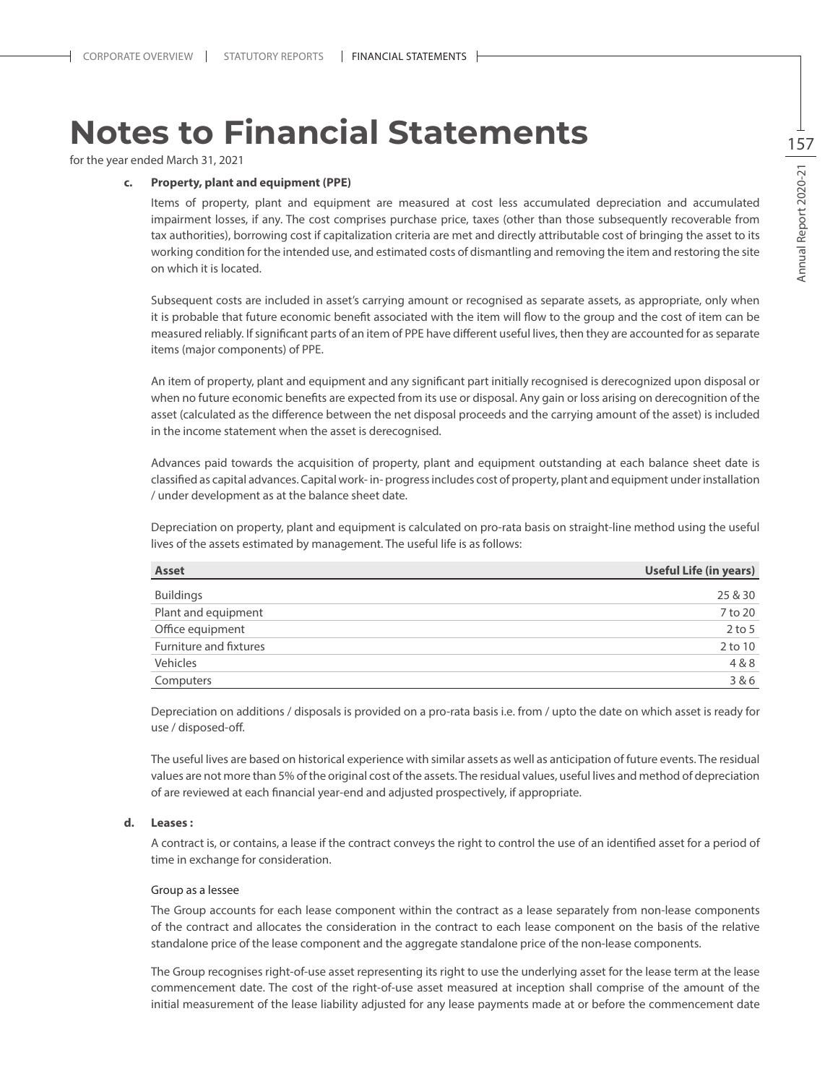for the year ended March 31, 2021

### **c. Property, plant and equipment (PPE)**

 Items of property, plant and equipment are measured at cost less accumulated depreciation and accumulated impairment losses, if any. The cost comprises purchase price, taxes (other than those subsequently recoverable from tax authorities), borrowing cost if capitalization criteria are met and directly attributable cost of bringing the asset to its working condition for the intended use, and estimated costs of dismantling and removing the item and restoring the site on which it is located.

 Subsequent costs are included in asset's carrying amount or recognised as separate assets, as appropriate, only when it is probable that future economic benefit associated with the item will flow to the group and the cost of item can be measured reliably. If significant parts of an item of PPE have different useful lives, then they are accounted for as separate items (major components) of PPE.

 An item of property, plant and equipment and any significant part initially recognised is derecognized upon disposal or when no future economic benefits are expected from its use or disposal. Any gain or loss arising on derecognition of the asset (calculated as the difference between the net disposal proceeds and the carrying amount of the asset) is included in the income statement when the asset is derecognised.

 Advances paid towards the acquisition of property, plant and equipment outstanding at each balance sheet date is classified as capital advances. Capital work- in- progress includes cost of property, plant and equipment under installation / under development as at the balance sheet date.

 Depreciation on property, plant and equipment is calculated on pro-rata basis on straight-line method using the useful lives of the assets estimated by management. The useful life is as follows:

| Asset                  | Useful Life (in years) |
|------------------------|------------------------|
| <b>Buildings</b>       | 25 & 30                |
| Plant and equipment    | 7 to 20                |
| Office equipment       | $2$ to 5               |
| Furniture and fixtures | 2 to 10                |
| Vehicles               | 4 & 8                  |
| Computers              | 3&6                    |

 Depreciation on additions / disposals is provided on a pro-rata basis i.e. from / upto the date on which asset is ready for use / disposed-off.

 The useful lives are based on historical experience with similar assets as well as anticipation of future events. The residual values are not more than 5% of the original cost of the assets. The residual values, useful lives and method of depreciation of are reviewed at each financial year-end and adjusted prospectively, if appropriate.

### **d. Leases :**

 A contract is, or contains, a lease if the contract conveys the right to control the use of an identified asset for a period of time in exchange for consideration.

### Group as a lessee

 The Group accounts for each lease component within the contract as a lease separately from non-lease components of the contract and allocates the consideration in the contract to each lease component on the basis of the relative standalone price of the lease component and the aggregate standalone price of the non-lease components.

 The Group recognises right-of-use asset representing its right to use the underlying asset for the lease term at the lease commencement date. The cost of the right-of-use asset measured at inception shall comprise of the amount of the initial measurement of the lease liability adjusted for any lease payments made at or before the commencement date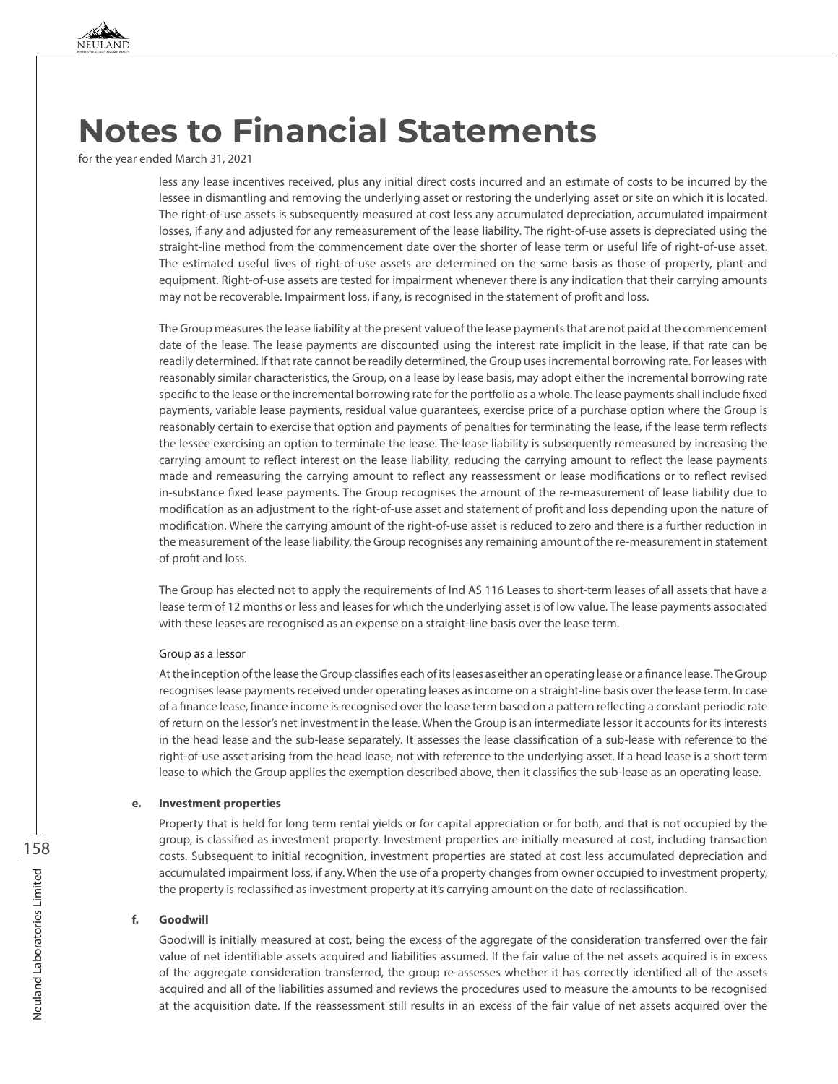

for the year ended March 31, 2021

less any lease incentives received, plus any initial direct costs incurred and an estimate of costs to be incurred by the lessee in dismantling and removing the underlying asset or restoring the underlying asset or site on which it is located. The right-of-use assets is subsequently measured at cost less any accumulated depreciation, accumulated impairment losses, if any and adjusted for any remeasurement of the lease liability. The right-of-use assets is depreciated using the straight-line method from the commencement date over the shorter of lease term or useful life of right-of-use asset. The estimated useful lives of right-of-use assets are determined on the same basis as those of property, plant and equipment. Right-of-use assets are tested for impairment whenever there is any indication that their carrying amounts may not be recoverable. Impairment loss, if any, is recognised in the statement of profit and loss.

 The Group measures the lease liability at the present value of the lease payments that are not paid at the commencement date of the lease. The lease payments are discounted using the interest rate implicit in the lease, if that rate can be readily determined. If that rate cannot be readily determined, the Group uses incremental borrowing rate. For leases with reasonably similar characteristics, the Group, on a lease by lease basis, may adopt either the incremental borrowing rate specific to the lease or the incremental borrowing rate for the portfolio as a whole. The lease payments shall include fixed payments, variable lease payments, residual value guarantees, exercise price of a purchase option where the Group is reasonably certain to exercise that option and payments of penalties for terminating the lease, if the lease term reflects the lessee exercising an option to terminate the lease. The lease liability is subsequently remeasured by increasing the carrying amount to reflect interest on the lease liability, reducing the carrying amount to reflect the lease payments made and remeasuring the carrying amount to reflect any reassessment or lease modifications or to reflect revised in-substance fixed lease payments. The Group recognises the amount of the re-measurement of lease liability due to modification as an adjustment to the right-of-use asset and statement of profit and loss depending upon the nature of modification. Where the carrying amount of the right-of-use asset is reduced to zero and there is a further reduction in the measurement of the lease liability, the Group recognises any remaining amount of the re-measurement in statement of profit and loss.

 The Group has elected not to apply the requirements of Ind AS 116 Leases to short-term leases of all assets that have a lease term of 12 months or less and leases for which the underlying asset is of low value. The lease payments associated with these leases are recognised as an expense on a straight-line basis over the lease term.

### Group as a lessor

 At the inception of the lease the Group classifies each of its leases as either an operating lease or a finance lease. The Group recognises lease payments received under operating leases as income on a straight-line basis over the lease term. In case of a finance lease, finance income is recognised over the lease term based on a pattern reflecting a constant periodic rate of return on the lessor's net investment in the lease. When the Group is an intermediate lessor it accounts for its interests in the head lease and the sub-lease separately. It assesses the lease classification of a sub-lease with reference to the right-of-use asset arising from the head lease, not with reference to the underlying asset. If a head lease is a short term lease to which the Group applies the exemption described above, then it classifies the sub-lease as an operating lease.

### **e. Investment properties**

 Property that is held for long term rental yields or for capital appreciation or for both, and that is not occupied by the group, is classified as investment property. Investment properties are initially measured at cost, including transaction costs. Subsequent to initial recognition, investment properties are stated at cost less accumulated depreciation and accumulated impairment loss, if any. When the use of a property changes from owner occupied to investment property, the property is reclassified as investment property at it's carrying amount on the date of reclassification.

### **f. Goodwill**

 Goodwill is initially measured at cost, being the excess of the aggregate of the consideration transferred over the fair value of net identifiable assets acquired and liabilities assumed. If the fair value of the net assets acquired is in excess of the aggregate consideration transferred, the group re-assesses whether it has correctly identified all of the assets acquired and all of the liabilities assumed and reviews the procedures used to measure the amounts to be recognised at the acquisition date. If the reassessment still results in an excess of the fair value of net assets acquired over the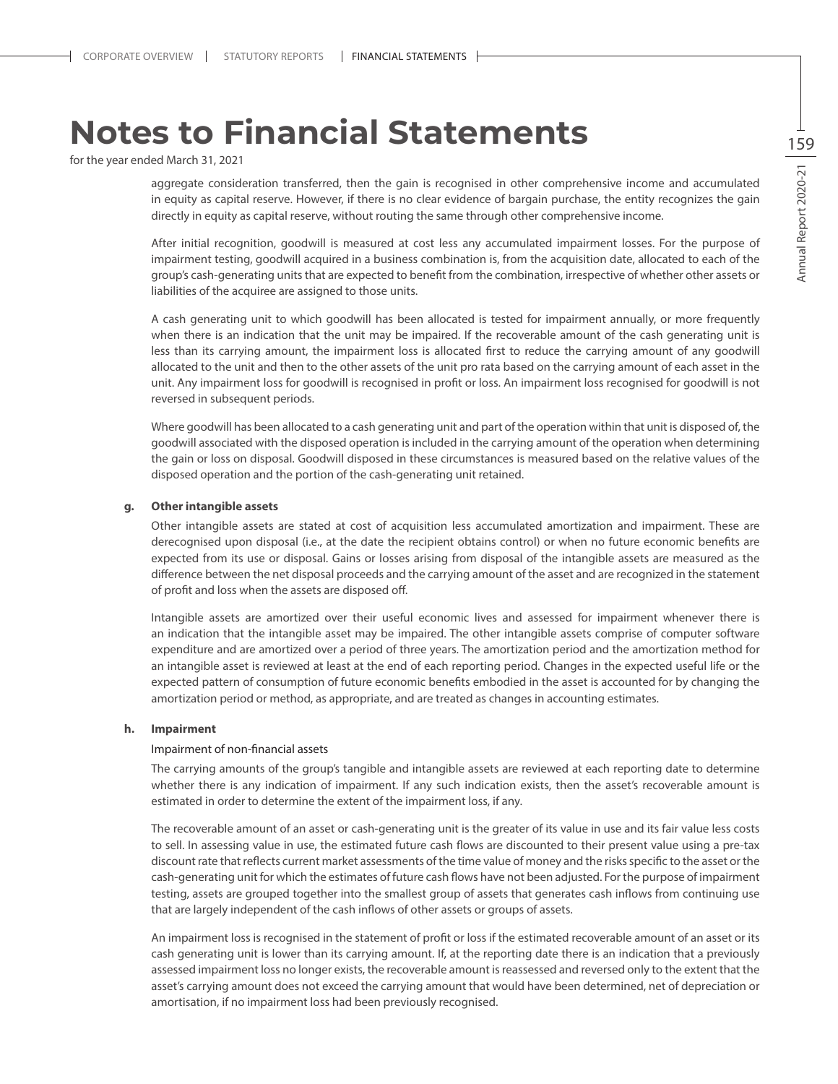for the year ended March 31, 2021

aggregate consideration transferred, then the gain is recognised in other comprehensive income and accumulated in equity as capital reserve. However, if there is no clear evidence of bargain purchase, the entity recognizes the gain directly in equity as capital reserve, without routing the same through other comprehensive income.

 After initial recognition, goodwill is measured at cost less any accumulated impairment losses. For the purpose of impairment testing, goodwill acquired in a business combination is, from the acquisition date, allocated to each of the group's cash-generating units that are expected to benefit from the combination, irrespective of whether other assets or liabilities of the acquiree are assigned to those units.

 A cash generating unit to which goodwill has been allocated is tested for impairment annually, or more frequently when there is an indication that the unit may be impaired. If the recoverable amount of the cash generating unit is less than its carrying amount, the impairment loss is allocated first to reduce the carrying amount of any goodwill allocated to the unit and then to the other assets of the unit pro rata based on the carrying amount of each asset in the unit. Any impairment loss for goodwill is recognised in profit or loss. An impairment loss recognised for goodwill is not reversed in subsequent periods.

 Where goodwill has been allocated to a cash generating unit and part of the operation within that unit is disposed of, the goodwill associated with the disposed operation is included in the carrying amount of the operation when determining the gain or loss on disposal. Goodwill disposed in these circumstances is measured based on the relative values of the disposed operation and the portion of the cash-generating unit retained.

### **g. Other intangible assets**

 Other intangible assets are stated at cost of acquisition less accumulated amortization and impairment. These are derecognised upon disposal (i.e., at the date the recipient obtains control) or when no future economic benefits are expected from its use or disposal. Gains or losses arising from disposal of the intangible assets are measured as the difference between the net disposal proceeds and the carrying amount of the asset and are recognized in the statement of profit and loss when the assets are disposed off.

 Intangible assets are amortized over their useful economic lives and assessed for impairment whenever there is an indication that the intangible asset may be impaired. The other intangible assets comprise of computer software expenditure and are amortized over a period of three years. The amortization period and the amortization method for an intangible asset is reviewed at least at the end of each reporting period. Changes in the expected useful life or the expected pattern of consumption of future economic benefits embodied in the asset is accounted for by changing the amortization period or method, as appropriate, and are treated as changes in accounting estimates.

### **h. Impairment**

### Impairment of non-financial assets

 The carrying amounts of the group's tangible and intangible assets are reviewed at each reporting date to determine whether there is any indication of impairment. If any such indication exists, then the asset's recoverable amount is estimated in order to determine the extent of the impairment loss, if any.

 The recoverable amount of an asset or cash-generating unit is the greater of its value in use and its fair value less costs to sell. In assessing value in use, the estimated future cash flows are discounted to their present value using a pre-tax discount rate that reflects current market assessments of the time value of money and the risks specific to the asset or the cash-generating unit for which the estimates of future cash flows have not been adjusted. For the purpose of impairment testing, assets are grouped together into the smallest group of assets that generates cash inflows from continuing use that are largely independent of the cash inflows of other assets or groups of assets.

 An impairment loss is recognised in the statement of profit or loss if the estimated recoverable amount of an asset or its cash generating unit is lower than its carrying amount. If, at the reporting date there is an indication that a previously assessed impairment loss no longer exists, the recoverable amount is reassessed and reversed only to the extent that the asset's carrying amount does not exceed the carrying amount that would have been determined, net of depreciation or amortisation, if no impairment loss had been previously recognised.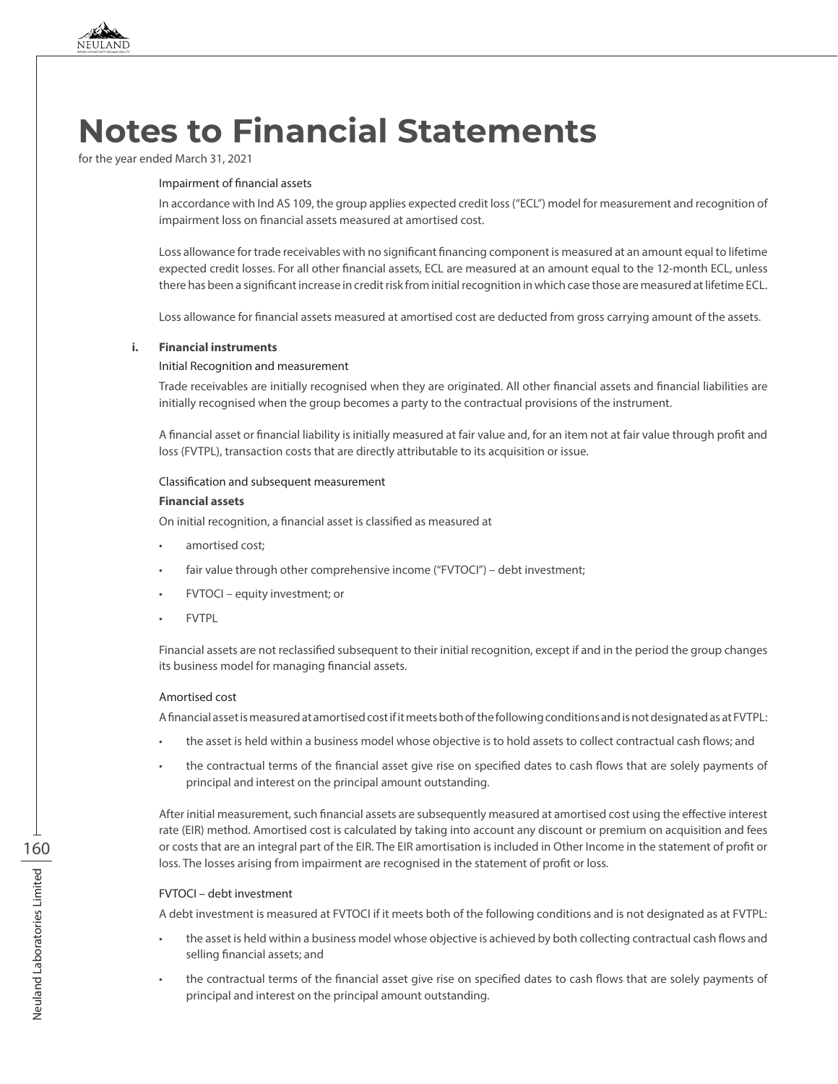for the year ended March 31, 2021

### Impairment of financial assets

 In accordance with Ind AS 109, the group applies expected credit loss ("ECL") model for measurement and recognition of impairment loss on financial assets measured at amortised cost.

 Loss allowance for trade receivables with no significant financing component is measured at an amount equal to lifetime expected credit losses. For all other financial assets, ECL are measured at an amount equal to the 12-month ECL, unless there has been a significant increase in credit risk from initial recognition in which case those are measured at lifetime ECL.

Loss allowance for financial assets measured at amortised cost are deducted from gross carrying amount of the assets.

### **i. Financial instruments**

### Initial Recognition and measurement

 Trade receivables are initially recognised when they are originated. All other financial assets and financial liabilities are initially recognised when the group becomes a party to the contractual provisions of the instrument.

 A financial asset or financial liability is initially measured at fair value and, for an item not at fair value through profit and loss (FVTPL), transaction costs that are directly attributable to its acquisition or issue.

### Classification and subsequent measurement

### **Financial assets**

On initial recognition, a financial asset is classified as measured at

- amortised cost;
- fair value through other comprehensive income ("FVTOCI") debt investment;
- FVTOCI equity investment; or
- **FVTPL**

 Financial assets are not reclassified subsequent to their initial recognition, except if and in the period the group changes its business model for managing financial assets.

### Amortised cost

A financial asset is measured at amortised cost if it meets both of the following conditions and is not designated as at FVTPL:

- the asset is held within a business model whose objective is to hold assets to collect contractual cash flows; and
- the contractual terms of the financial asset give rise on specified dates to cash flows that are solely payments of principal and interest on the principal amount outstanding.

 After initial measurement, such financial assets are subsequently measured at amortised cost using the effective interest rate (EIR) method. Amortised cost is calculated by taking into account any discount or premium on acquisition and fees or costs that are an integral part of the EIR. The EIR amortisation is included in Other Income in the statement of profit or loss. The losses arising from impairment are recognised in the statement of profit or loss.

### FVTOCI – debt investment

A debt investment is measured at FVTOCI if it meets both of the following conditions and is not designated as at FVTPL:

- the asset is held within a business model whose objective is achieved by both collecting contractual cash flows and selling financial assets; and
- the contractual terms of the financial asset give rise on specified dates to cash flows that are solely payments of principal and interest on the principal amount outstanding.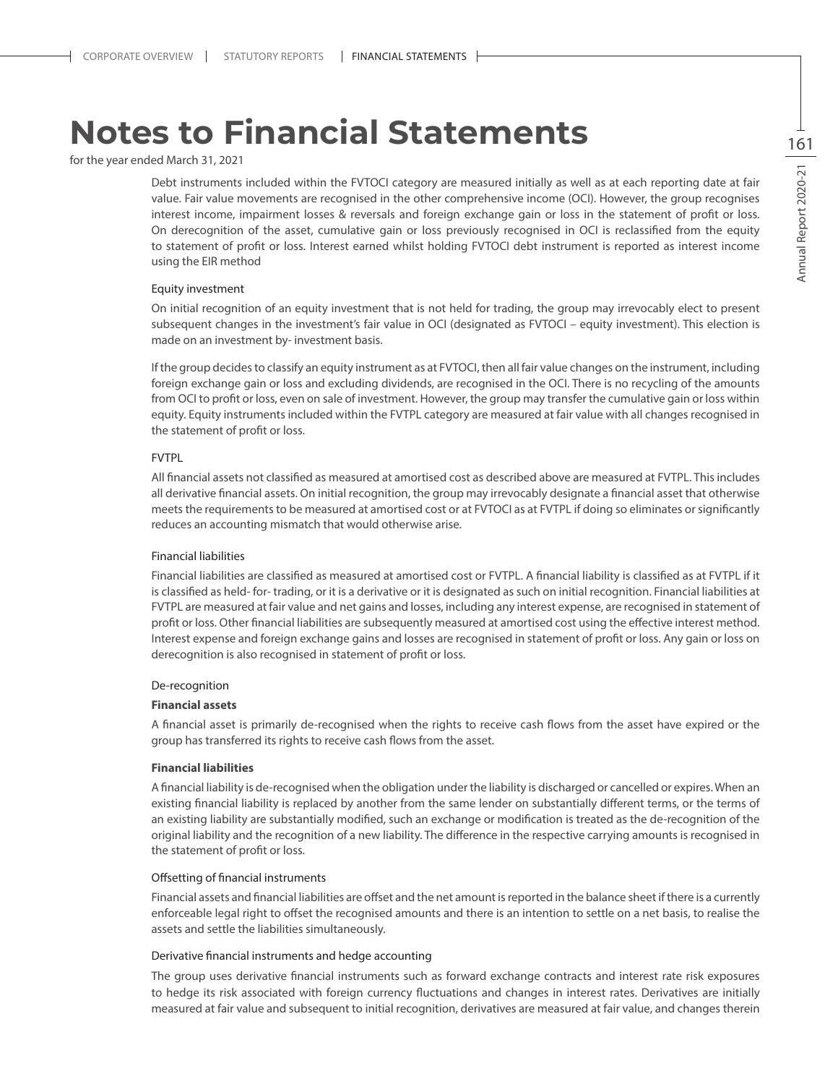for the year ended March 31, 2021

 Debt instruments included within the FVTOCI category are measured initially as well as at each reporting date at fair value. Fair value movements are recognised in the other comprehensive income (OCI). However, the group recognises interest income, impairment losses & reversals and foreign exchange gain or loss in the statement of profit or loss. On derecognition of the asset, cumulative gain or loss previously recognised in OCI is reclassified from the equity to statement of profit or loss. Interest earned whilst holding FVTOCI debt instrument is reported as interest income using the EIR method

### Equity investment

 On initial recognition of an equity investment that is not held for trading, the group may irrevocably elect to present subsequent changes in the investment's fair value in OCI (designated as FVTOCI – equity investment). This election is made on an investment by- investment basis.

 If the group decides to classify an equity instrument as at FVTOCI, then all fair value changes on the instrument, including foreign exchange gain or loss and excluding dividends, are recognised in the OCI. There is no recycling of the amounts from OCI to profit or loss, even on sale of investment. However, the group may transfer the cumulative gain or loss within equity. Equity instruments included within the FVTPL category are measured at fair value with all changes recognised in the statement of profit or loss.

### FVTPL

 All financial assets not classified as measured at amortised cost as described above are measured at FVTPL. This includes all derivative financial assets. On initial recognition, the group may irrevocably designate a financial asset that otherwise meets the requirements to be measured at amortised cost or at FVTOCI as at FVTPL if doing so eliminates or significantly reduces an accounting mismatch that would otherwise arise.

### Financial liabilities

 Financial liabilities are classified as measured at amortised cost or FVTPL. A financial liability is classified as at FVTPL if it is classified as held- for- trading, or it is a derivative or it is designated as such on initial recognition. Financial liabilities at FVTPL are measured at fair value and net gains and losses, including any interest expense, are recognised in statement of profit or loss. Other financial liabilities are subsequently measured at amortised cost using the effective interest method. Interest expense and foreign exchange gains and losses are recognised in statement of profit or loss. Any gain or loss on derecognition is also recognised in statement of profit or loss.

### De-recognition

### **Financial assets**

 A financial asset is primarily de-recognised when the rights to receive cash flows from the asset have expired or the group has transferred its rights to receive cash flows from the asset.

### **Financial liabilities**

 A financial liability is de-recognised when the obligation under the liability is discharged or cancelled or expires. When an existing financial liability is replaced by another from the same lender on substantially different terms, or the terms of an existing liability are substantially modified, such an exchange or modification is treated as the de-recognition of the original liability and the recognition of a new liability. The difference in the respective carrying amounts is recognised in the statement of profit or loss.

### Offsetting of financial instruments

 Financial assets and financial liabilities are offset and the net amount is reported in the balance sheet if there is a currently enforceable legal right to offset the recognised amounts and there is an intention to settle on a net basis, to realise the assets and settle the liabilities simultaneously.

### Derivative financial instruments and hedge accounting

 The group uses derivative financial instruments such as forward exchange contracts and interest rate risk exposures to hedge its risk associated with foreign currency fluctuations and changes in interest rates. Derivatives are initially measured at fair value and subsequent to initial recognition, derivatives are measured at fair value, and changes therein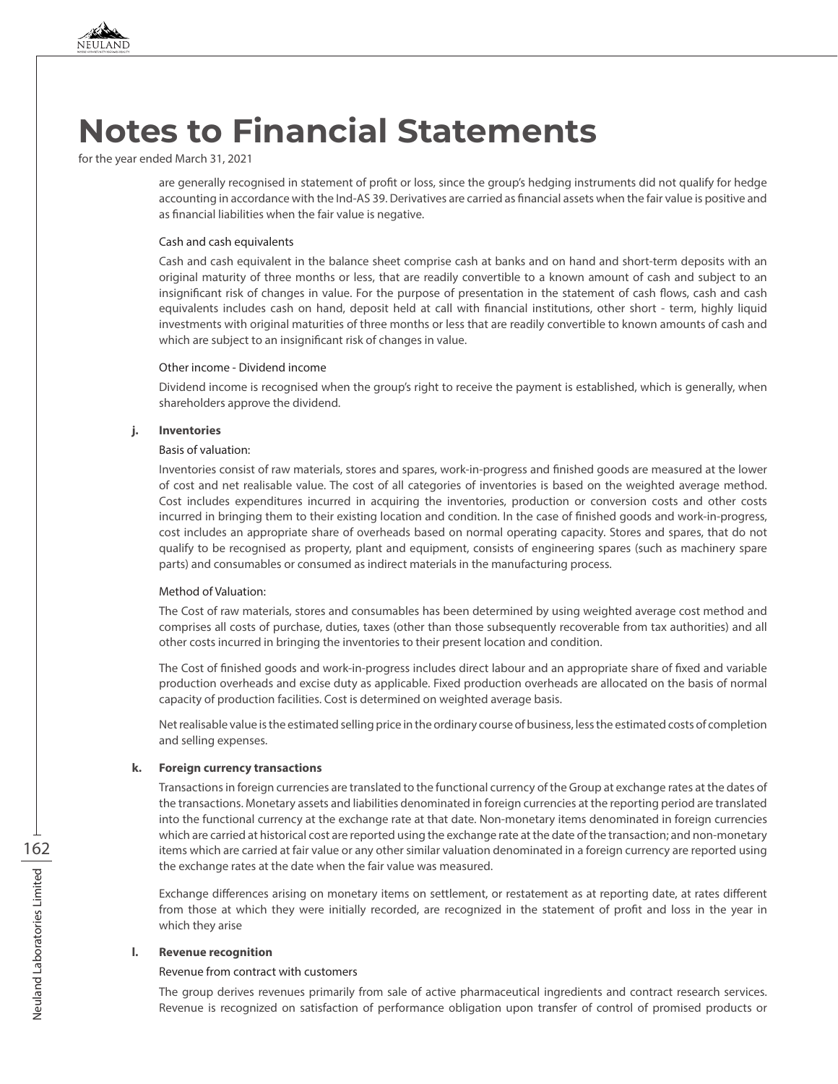

for the year ended March 31, 2021

are generally recognised in statement of profit or loss, since the group's hedging instruments did not qualify for hedge accounting in accordance with the Ind-AS 39. Derivatives are carried as financial assets when the fair value is positive and as financial liabilities when the fair value is negative.

### Cash and cash equivalents

 Cash and cash equivalent in the balance sheet comprise cash at banks and on hand and short-term deposits with an original maturity of three months or less, that are readily convertible to a known amount of cash and subject to an insignificant risk of changes in value. For the purpose of presentation in the statement of cash flows, cash and cash equivalents includes cash on hand, deposit held at call with financial institutions, other short - term, highly liquid investments with original maturities of three months or less that are readily convertible to known amounts of cash and which are subject to an insignificant risk of changes in value.

### Other income - Dividend income

 Dividend income is recognised when the group's right to receive the payment is established, which is generally, when shareholders approve the dividend.

### **j. Inventories**

### Basis of valuation:

 Inventories consist of raw materials, stores and spares, work-in-progress and finished goods are measured at the lower of cost and net realisable value. The cost of all categories of inventories is based on the weighted average method. Cost includes expenditures incurred in acquiring the inventories, production or conversion costs and other costs incurred in bringing them to their existing location and condition. In the case of finished goods and work-in-progress, cost includes an appropriate share of overheads based on normal operating capacity. Stores and spares, that do not qualify to be recognised as property, plant and equipment, consists of engineering spares (such as machinery spare parts) and consumables or consumed as indirect materials in the manufacturing process.

### Method of Valuation:

 The Cost of raw materials, stores and consumables has been determined by using weighted average cost method and comprises all costs of purchase, duties, taxes (other than those subsequently recoverable from tax authorities) and all other costs incurred in bringing the inventories to their present location and condition.

 The Cost of finished goods and work-in-progress includes direct labour and an appropriate share of fixed and variable production overheads and excise duty as applicable. Fixed production overheads are allocated on the basis of normal capacity of production facilities. Cost is determined on weighted average basis.

 Net realisable value is the estimated selling price in the ordinary course of business, less the estimated costs of completion and selling expenses.

### **k. Foreign currency transactions**

 Transactions in foreign currencies are translated to the functional currency of the Group at exchange rates at the dates of the transactions. Monetary assets and liabilities denominated in foreign currencies at the reporting period are translated into the functional currency at the exchange rate at that date. Non-monetary items denominated in foreign currencies which are carried at historical cost are reported using the exchange rate at the date of the transaction; and non-monetary items which are carried at fair value or any other similar valuation denominated in a foreign currency are reported using the exchange rates at the date when the fair value was measured.

 Exchange differences arising on monetary items on settlement, or restatement as at reporting date, at rates different from those at which they were initially recorded, are recognized in the statement of profit and loss in the year in which they arise

### **l. Revenue recognition**

### Revenue from contract with customers

 The group derives revenues primarily from sale of active pharmaceutical ingredients and contract research services. Revenue is recognized on satisfaction of performance obligation upon transfer of control of promised products or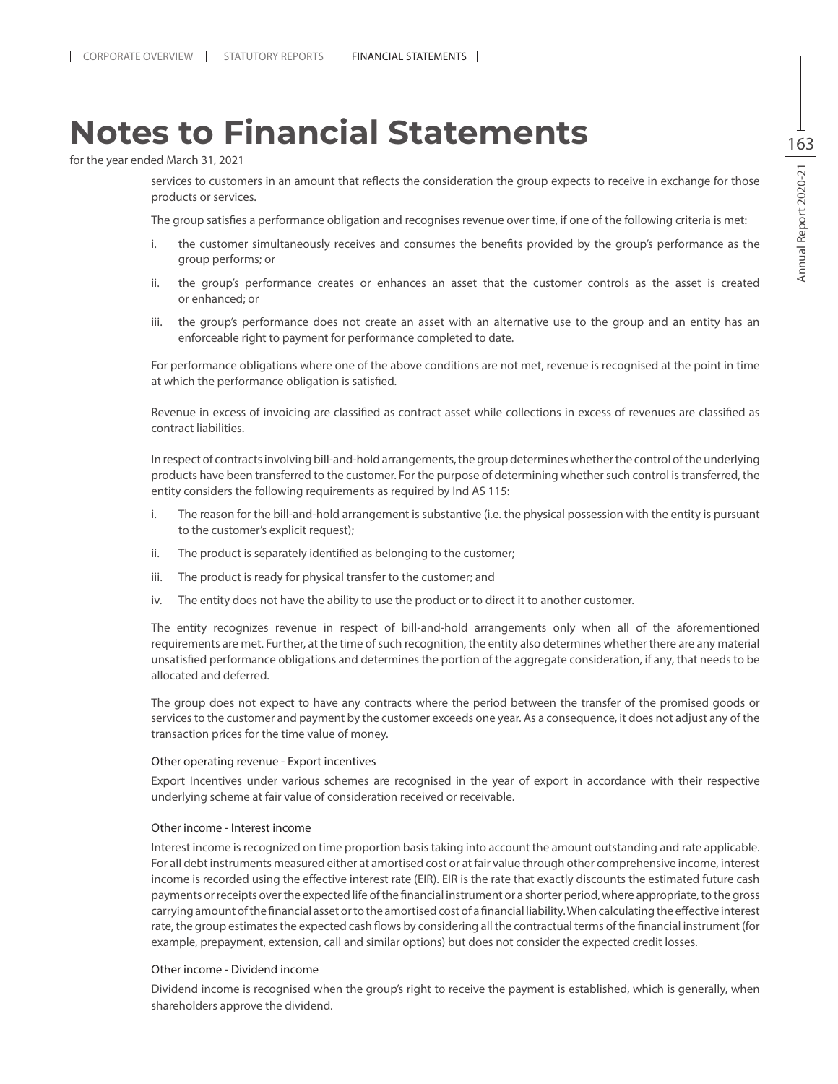for the year ended March 31, 2021

services to customers in an amount that reflects the consideration the group expects to receive in exchange for those products or services.

The group satisfies a performance obligation and recognises revenue over time, if one of the following criteria is met:

- i. the customer simultaneously receives and consumes the benefits provided by the group's performance as the group performs; or
- ii. the group's performance creates or enhances an asset that the customer controls as the asset is created or enhanced; or
- iii. the group's performance does not create an asset with an alternative use to the group and an entity has an enforceable right to payment for performance completed to date.

 For performance obligations where one of the above conditions are not met, revenue is recognised at the point in time at which the performance obligation is satisfied.

 Revenue in excess of invoicing are classified as contract asset while collections in excess of revenues are classified as contract liabilities.

 In respect of contracts involving bill-and-hold arrangements, the group determines whether the control of the underlying products have been transferred to the customer. For the purpose of determining whether such control is transferred, the entity considers the following requirements as required by Ind AS 115:

- i. The reason for the bill-and-hold arrangement is substantive (i.e. the physical possession with the entity is pursuant to the customer's explicit request);
- ii. The product is separately identified as belonging to the customer;
- iii. The product is ready for physical transfer to the customer; and
- iv. The entity does not have the ability to use the product or to direct it to another customer.

 The entity recognizes revenue in respect of bill-and-hold arrangements only when all of the aforementioned requirements are met. Further, at the time of such recognition, the entity also determines whether there are any material unsatisfied performance obligations and determines the portion of the aggregate consideration, if any, that needs to be allocated and deferred.

 The group does not expect to have any contracts where the period between the transfer of the promised goods or services to the customer and payment by the customer exceeds one year. As a consequence, it does not adjust any of the transaction prices for the time value of money.

### Other operating revenue - Export incentives

 Export Incentives under various schemes are recognised in the year of export in accordance with their respective underlying scheme at fair value of consideration received or receivable.

### Other income - Interest income

 Interest income is recognized on time proportion basis taking into account the amount outstanding and rate applicable. For all debt instruments measured either at amortised cost or at fair value through other comprehensive income, interest income is recorded using the effective interest rate (EIR). EIR is the rate that exactly discounts the estimated future cash payments or receipts over the expected life of the financial instrument or a shorter period, where appropriate, to the gross carrying amount of the financial asset or to the amortised cost of a financial liability. When calculating the effective interest rate, the group estimates the expected cash flows by considering all the contractual terms of the financial instrument (for example, prepayment, extension, call and similar options) but does not consider the expected credit losses.

### Other income - Dividend income

 Dividend income is recognised when the group's right to receive the payment is established, which is generally, when shareholders approve the dividend.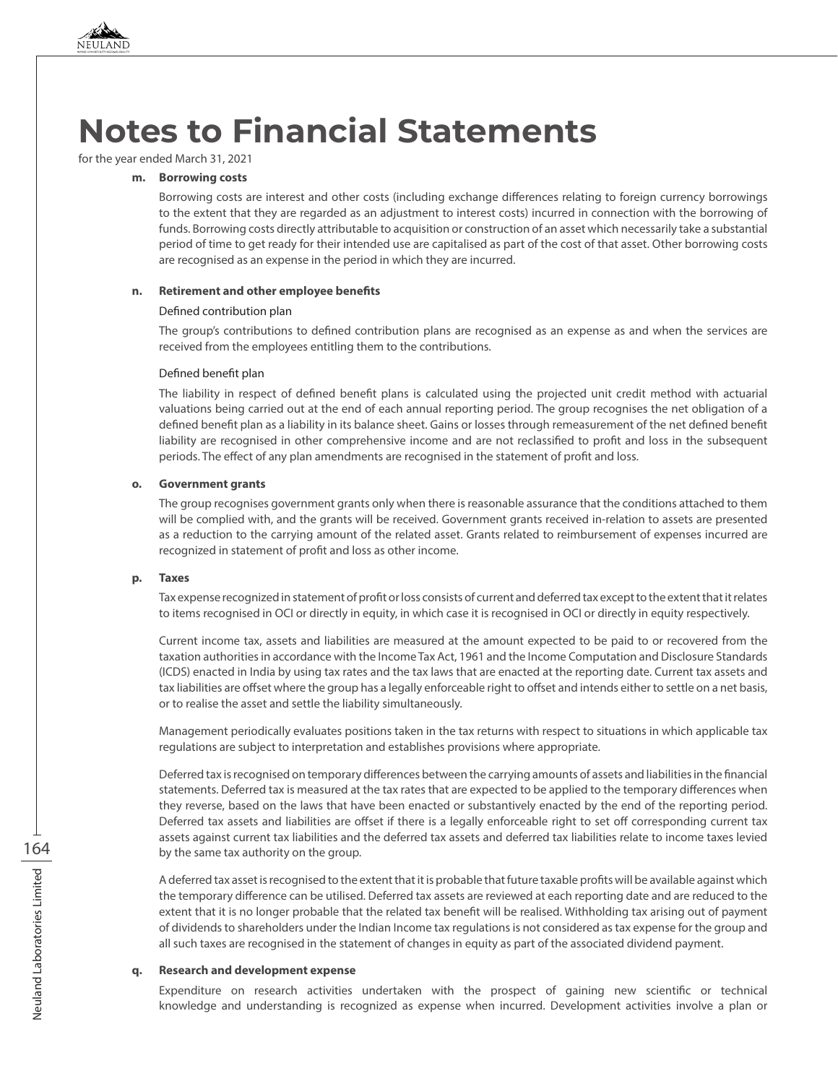

for the year ended March 31, 2021

### **m. Borrowing costs**

 Borrowing costs are interest and other costs (including exchange differences relating to foreign currency borrowings to the extent that they are regarded as an adjustment to interest costs) incurred in connection with the borrowing of funds. Borrowing costs directly attributable to acquisition or construction of an asset which necessarily take a substantial period of time to get ready for their intended use are capitalised as part of the cost of that asset. Other borrowing costs are recognised as an expense in the period in which they are incurred.

### **n. Retirement and other employee benefits**

### Defined contribution plan

 The group's contributions to defined contribution plans are recognised as an expense as and when the services are received from the employees entitling them to the contributions.

### Defined benefit plan

 The liability in respect of defined benefit plans is calculated using the projected unit credit method with actuarial valuations being carried out at the end of each annual reporting period. The group recognises the net obligation of a defined benefit plan as a liability in its balance sheet. Gains or losses through remeasurement of the net defined benefit liability are recognised in other comprehensive income and are not reclassified to profit and loss in the subsequent periods. The effect of any plan amendments are recognised in the statement of profit and loss.

### **o. Government grants**

 The group recognises government grants only when there is reasonable assurance that the conditions attached to them will be complied with, and the grants will be received. Government grants received in-relation to assets are presented as a reduction to the carrying amount of the related asset. Grants related to reimbursement of expenses incurred are recognized in statement of profit and loss as other income.

### **p. Taxes**

 Tax expense recognized in statement of profit or loss consists of current and deferred tax except to the extent that it relates to items recognised in OCI or directly in equity, in which case it is recognised in OCI or directly in equity respectively.

 Current income tax, assets and liabilities are measured at the amount expected to be paid to or recovered from the taxation authorities in accordance with the Income Tax Act, 1961 and the Income Computation and Disclosure Standards (ICDS) enacted in India by using tax rates and the tax laws that are enacted at the reporting date. Current tax assets and tax liabilities are offset where the group has a legally enforceable right to offset and intends either to settle on a net basis, or to realise the asset and settle the liability simultaneously.

 Management periodically evaluates positions taken in the tax returns with respect to situations in which applicable tax regulations are subject to interpretation and establishes provisions where appropriate.

 Deferred tax is recognised on temporary differences between the carrying amounts of assets and liabilities in the financial statements. Deferred tax is measured at the tax rates that are expected to be applied to the temporary differences when they reverse, based on the laws that have been enacted or substantively enacted by the end of the reporting period. Deferred tax assets and liabilities are offset if there is a legally enforceable right to set off corresponding current tax assets against current tax liabilities and the deferred tax assets and deferred tax liabilities relate to income taxes levied by the same tax authority on the group.

 A deferred tax asset is recognised to the extent that it is probable that future taxable profits will be available against which the temporary difference can be utilised. Deferred tax assets are reviewed at each reporting date and are reduced to the extent that it is no longer probable that the related tax benefit will be realised. Withholding tax arising out of payment of dividends to shareholders under the Indian Income tax regulations is not considered as tax expense for the group and all such taxes are recognised in the statement of changes in equity as part of the associated dividend payment.

### **q. Research and development expense**

 Expenditure on research activities undertaken with the prospect of gaining new scientific or technical knowledge and understanding is recognized as expense when incurred. Development activities involve a plan or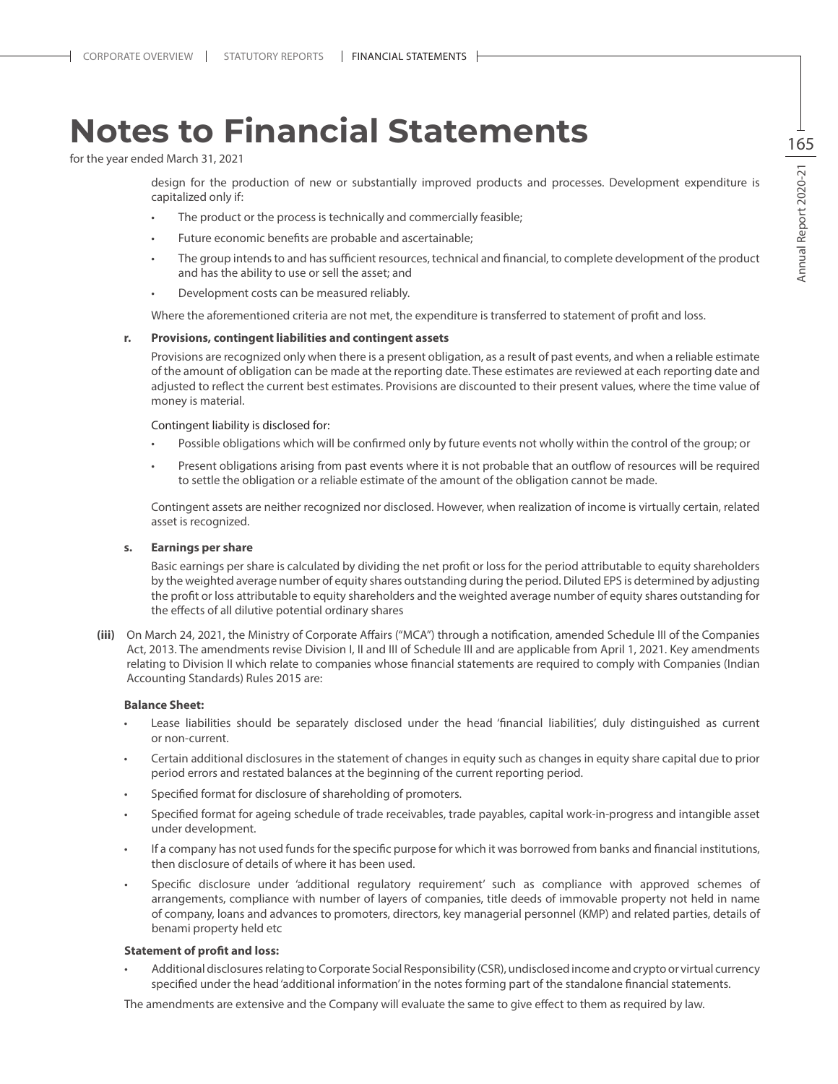for the year ended March 31, 2021

design for the production of new or substantially improved products and processes. Development expenditure is capitalized only if:

- The product or the process is technically and commercially feasible;
- Future economic benefits are probable and ascertainable;
- The group intends to and has sufficient resources, technical and financial, to complete development of the product and has the ability to use or sell the asset; and
- Development costs can be measured reliably.

Where the aforementioned criteria are not met, the expenditure is transferred to statement of profit and loss.

### **r. Provisions, contingent liabilities and contingent assets**

 Provisions are recognized only when there is a present obligation, as a result of past events, and when a reliable estimate of the amount of obligation can be made at the reporting date. These estimates are reviewed at each reporting date and adjusted to reflect the current best estimates. Provisions are discounted to their present values, where the time value of money is material.

### Contingent liability is disclosed for:

- Possible obligations which will be confirmed only by future events not wholly within the control of the group; or
- Present obligations arising from past events where it is not probable that an outflow of resources will be required to settle the obligation or a reliable estimate of the amount of the obligation cannot be made.

 Contingent assets are neither recognized nor disclosed. However, when realization of income is virtually certain, related asset is recognized.

### **s. Earnings per share**

 Basic earnings per share is calculated by dividing the net profit or loss for the period attributable to equity shareholders by the weighted average number of equity shares outstanding during the period. Diluted EPS is determined by adjusting the profit or loss attributable to equity shareholders and the weighted average number of equity shares outstanding for the effects of all dilutive potential ordinary shares

**(iii)** On March 24, 2021, the Ministry of Corporate Affairs ("MCA") through a notification, amended Schedule III of the Companies Act, 2013. The amendments revise Division I, II and III of Schedule III and are applicable from April 1, 2021. Key amendments relating to Division II which relate to companies whose financial statements are required to comply with Companies (Indian Accounting Standards) Rules 2015 are:

### **Balance Sheet:**

- Lease liabilities should be separately disclosed under the head 'financial liabilities', duly distinguished as current or non-current.
- Certain additional disclosures in the statement of changes in equity such as changes in equity share capital due to prior period errors and restated balances at the beginning of the current reporting period.
- Specified format for disclosure of shareholding of promoters.
- Specified format for ageing schedule of trade receivables, trade payables, capital work-in-progress and intangible asset under development.
- If a company has not used funds for the specific purpose for which it was borrowed from banks and financial institutions, then disclosure of details of where it has been used.
- Specific disclosure under 'additional regulatory requirement' such as compliance with approved schemes of arrangements, compliance with number of layers of companies, title deeds of immovable property not held in name of company, loans and advances to promoters, directors, key managerial personnel (KMP) and related parties, details of benami property held etc

### **Statement of profit and loss:**

Additional disclosures relating to Corporate Social Responsibility (CSR), undisclosed income and crypto or virtual currency specified under the head 'additional information' in the notes forming part of the standalone financial statements.

The amendments are extensive and the Company will evaluate the same to give effect to them as required by law.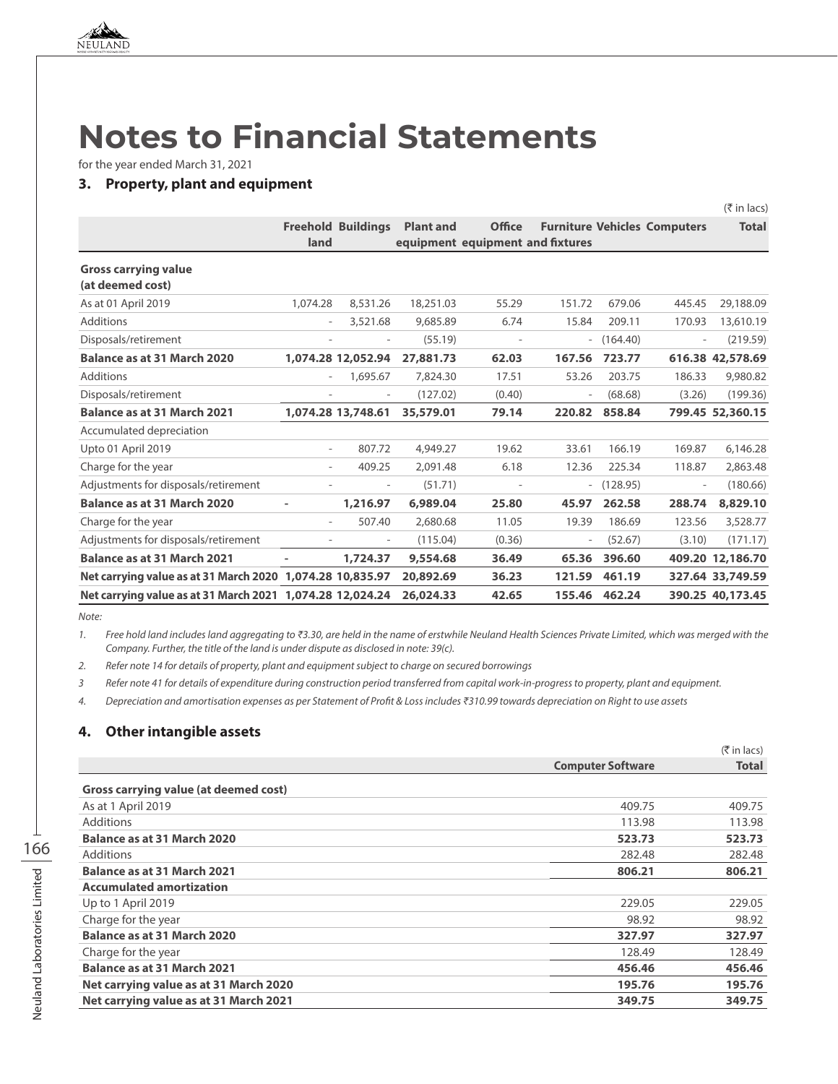for the year ended March 31, 2021

### **3. Property, plant and equipment**

|                                                           |                          |                           |                  |                                  |                          |          |                                     | $(\overline{\tau}$ in lacs) |
|-----------------------------------------------------------|--------------------------|---------------------------|------------------|----------------------------------|--------------------------|----------|-------------------------------------|-----------------------------|
|                                                           |                          | <b>Freehold Buildings</b> | <b>Plant and</b> | <b>Office</b>                    |                          |          | <b>Furniture Vehicles Computers</b> | <b>Total</b>                |
|                                                           | land                     |                           |                  | equipment equipment and fixtures |                          |          |                                     |                             |
| <b>Gross carrying value</b><br>(at deemed cost)           |                          |                           |                  |                                  |                          |          |                                     |                             |
| As at 01 April 2019                                       | 1,074.28                 | 8,531.26                  | 18,251.03        | 55.29                            | 151.72                   | 679.06   | 445.45                              | 29,188.09                   |
| <b>Additions</b>                                          | $\overline{\phantom{a}}$ | 3,521.68                  | 9,685.89         | 6.74                             | 15.84                    | 209.11   | 170.93                              | 13,610.19                   |
| Disposals/retirement                                      | $\overline{\phantom{a}}$ | $\overline{\phantom{a}}$  | (55.19)          | $\overline{\phantom{a}}$         | $\overline{\phantom{a}}$ | (164.40) | $\overline{\phantom{a}}$            | (219.59)                    |
| <b>Balance as at 31 March 2020</b>                        |                          | 1,074.28 12,052.94        | 27,881.73        | 62.03                            | 167.56                   | 723.77   |                                     | 616.38 42,578.69            |
| <b>Additions</b>                                          | $\overline{\phantom{a}}$ | 1,695.67                  | 7,824.30         | 17.51                            | 53.26                    | 203.75   | 186.33                              | 9,980.82                    |
| Disposals/retirement                                      | $\bar{a}$                | $\overline{\phantom{a}}$  | (127.02)         | (0.40)                           | $\overline{\phantom{0}}$ | (68.68)  | (3.26)                              | (199.36)                    |
| <b>Balance as at 31 March 2021</b>                        |                          | 1,074.28 13,748.61        | 35,579.01        | 79.14                            | 220.82                   | 858.84   |                                     | 799.45 52,360.15            |
| Accumulated depreciation                                  |                          |                           |                  |                                  |                          |          |                                     |                             |
| Upto 01 April 2019                                        | $\overline{\phantom{a}}$ | 807.72                    | 4,949.27         | 19.62                            | 33.61                    | 166.19   | 169.87                              | 6,146.28                    |
| Charge for the year                                       | $\overline{\phantom{a}}$ | 409.25                    | 2,091.48         | 6.18                             | 12.36                    | 225.34   | 118.87                              | 2,863.48                    |
| Adjustments for disposals/retirement                      | $\sim$                   | $\overline{\phantom{a}}$  | (51.71)          | $\overline{\phantom{a}}$         | $\overline{\phantom{a}}$ | (128.95) | $\overline{\phantom{a}}$            | (180.66)                    |
| <b>Balance as at 31 March 2020</b>                        | $\overline{a}$           | 1,216.97                  | 6,989.04         | 25.80                            | 45.97                    | 262.58   | 288.74                              | 8,829.10                    |
| Charge for the year                                       | $\overline{\phantom{a}}$ | 507.40                    | 2,680.68         | 11.05                            | 19.39                    | 186.69   | 123.56                              | 3,528.77                    |
| Adjustments for disposals/retirement                      | $\overline{\phantom{a}}$ | $\overline{\phantom{a}}$  | (115.04)         | (0.36)                           | $\overline{\phantom{a}}$ | (52.67)  | (3.10)                              | (171.17)                    |
| <b>Balance as at 31 March 2021</b>                        | ٠                        | 1,724.37                  | 9,554.68         | 36.49                            | 65.36                    | 396.60   |                                     | 409.20 12,186.70            |
| Net carrying value as at 31 March 2020 1,074.28 10,835.97 |                          |                           | 20,892.69        | 36.23                            | 121.59                   | 461.19   |                                     | 327.64 33,749.59            |
| Net carrying value as at 31 March 2021 1,074.28 12,024.24 |                          |                           | 26,024.33        | 42.65                            | 155.46                   | 462.24   |                                     | 390.25 40,173.45            |

*Note:*

*1. Free hold land includes land aggregating to ₹3.30, are held in the name of erstwhile Neuland Health Sciences Private Limited, which was merged with the Company. Further, the title of the land is under dispute as disclosed in note: 39(c).*

*2. Refer note 14 for details of property, plant and equipment subject to charge on secured borrowings*

*3 Refer note 41 for details of expenditure during construction period transferred from capital work-in-progress to property, plant and equipment.*

*4. Depreciation and amortisation expenses as per Statement of Profit & Loss includes ₹310.99 towards depreciation on Right to use assets*

### **4. Other intangible assets**

|                                        |                          | $(\overline{\mathfrak{F}})$ in lacs) |
|----------------------------------------|--------------------------|--------------------------------------|
|                                        | <b>Computer Software</b> | <b>Total</b>                         |
| Gross carrying value (at deemed cost)  |                          |                                      |
| As at 1 April 2019                     | 409.75                   | 409.75                               |
| <b>Additions</b>                       | 113.98                   | 113.98                               |
| <b>Balance as at 31 March 2020</b>     | 523.73                   | 523.73                               |
| <b>Additions</b>                       | 282.48                   | 282.48                               |
| <b>Balance as at 31 March 2021</b>     | 806.21                   | 806.21                               |
| <b>Accumulated amortization</b>        |                          |                                      |
| Up to 1 April 2019                     | 229.05                   | 229.05                               |
| Charge for the year                    | 98.92                    | 98.92                                |
| <b>Balance as at 31 March 2020</b>     | 327.97                   | 327.97                               |
| Charge for the year                    | 128.49                   | 128.49                               |
| <b>Balance as at 31 March 2021</b>     | 456.46                   | 456.46                               |
| Net carrying value as at 31 March 2020 | 195.76                   | 195.76                               |
| Net carrying value as at 31 March 2021 | 349.75                   | 349.75                               |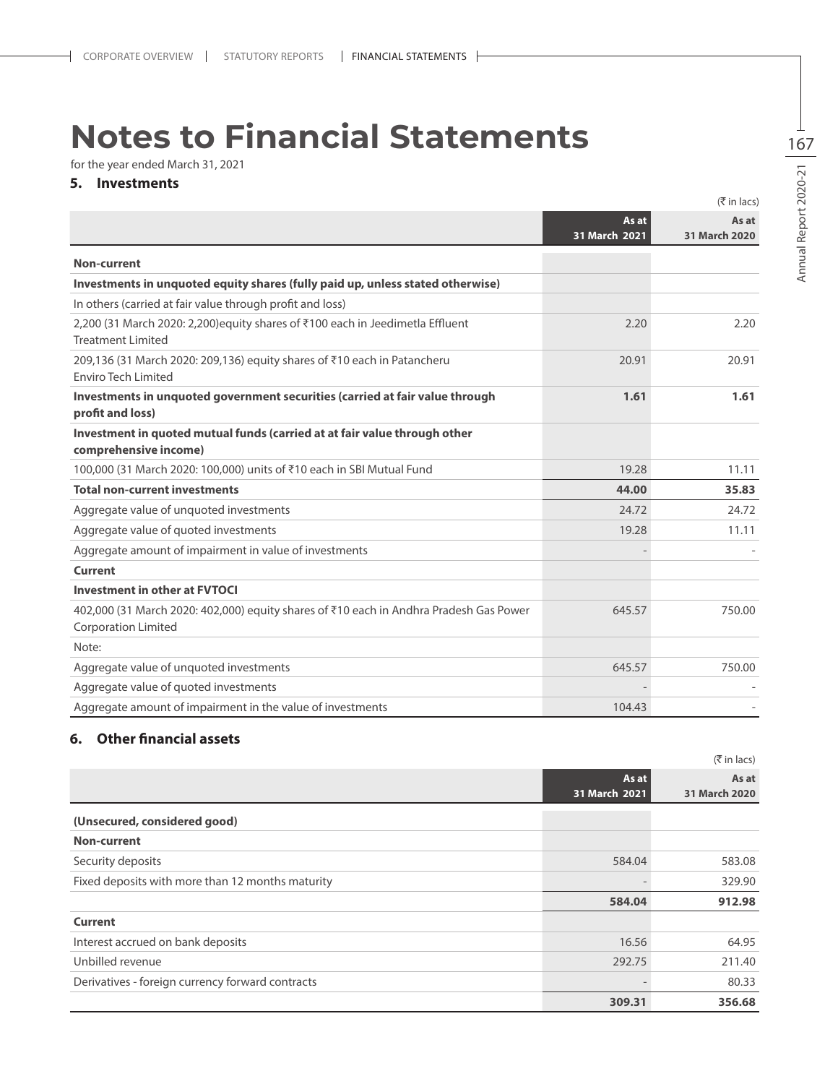for the year ended March 31, 2021

### **5. Investments**

|                                                                                                                      |                        | $(\overline{\mathfrak{k}})$ in lacs) |
|----------------------------------------------------------------------------------------------------------------------|------------------------|--------------------------------------|
|                                                                                                                      | As at<br>31 March 2021 | As at<br>31 March 2020               |
| Non-current                                                                                                          |                        |                                      |
| Investments in unquoted equity shares (fully paid up, unless stated otherwise)                                       |                        |                                      |
| In others (carried at fair value through profit and loss)                                                            |                        |                                      |
| 2,200 (31 March 2020: 2,200) equity shares of ₹100 each in Jeedimetla Effluent<br><b>Treatment Limited</b>           | 2.20                   | 2.20                                 |
| 209,136 (31 March 2020: 209,136) equity shares of ₹10 each in Patancheru<br><b>Fnviro Tech Limited</b>               | 20.91                  | 20.91                                |
| Investments in unquoted government securities (carried at fair value through<br>profit and loss)                     | 1.61                   | 1.61                                 |
| Investment in quoted mutual funds (carried at at fair value through other<br>comprehensive income)                   |                        |                                      |
| 100,000 (31 March 2020: 100,000) units of ₹10 each in SBI Mutual Fund                                                | 19.28                  | 11.11                                |
| <b>Total non-current investments</b>                                                                                 | 44.00                  | 35.83                                |
| Aggregate value of unguoted investments                                                                              | 24.72                  | 24.72                                |
| Aggregate value of quoted investments                                                                                | 19.28                  | 11.11                                |
| Aggregate amount of impairment in value of investments                                                               |                        |                                      |
| Current                                                                                                              |                        |                                      |
| <b>Investment in other at FVTOCI</b>                                                                                 |                        |                                      |
| 402,000 (31 March 2020: 402,000) equity shares of ₹10 each in Andhra Pradesh Gas Power<br><b>Corporation Limited</b> | 645.57                 | 750.00                               |
| Note:                                                                                                                |                        |                                      |
| Aggregate value of unquoted investments                                                                              | 645.57                 | 750.00                               |
| Aggregate value of quoted investments                                                                                |                        |                                      |
| Aggregate amount of impairment in the value of investments                                                           | 104.43                 |                                      |

### **6. Other financial assets**

|                                                  |                        | $(\overline{\mathfrak{k}}$ in lacs) |
|--------------------------------------------------|------------------------|-------------------------------------|
|                                                  | As at<br>31 March 2021 | As at<br>31 March 2020              |
|                                                  |                        |                                     |
| (Unsecured, considered good)                     |                        |                                     |
| Non-current                                      |                        |                                     |
| Security deposits                                | 584.04                 | 583.08                              |
| Fixed deposits with more than 12 months maturity |                        | 329.90                              |
|                                                  | 584.04                 | 912.98                              |
| <b>Current</b>                                   |                        |                                     |
| Interest accrued on bank deposits                | 16.56                  | 64.95                               |
| Unbilled revenue                                 | 292.75                 | 211.40                              |
| Derivatives - foreign currency forward contracts |                        | 80.33                               |
|                                                  | 309.31                 | 356.68                              |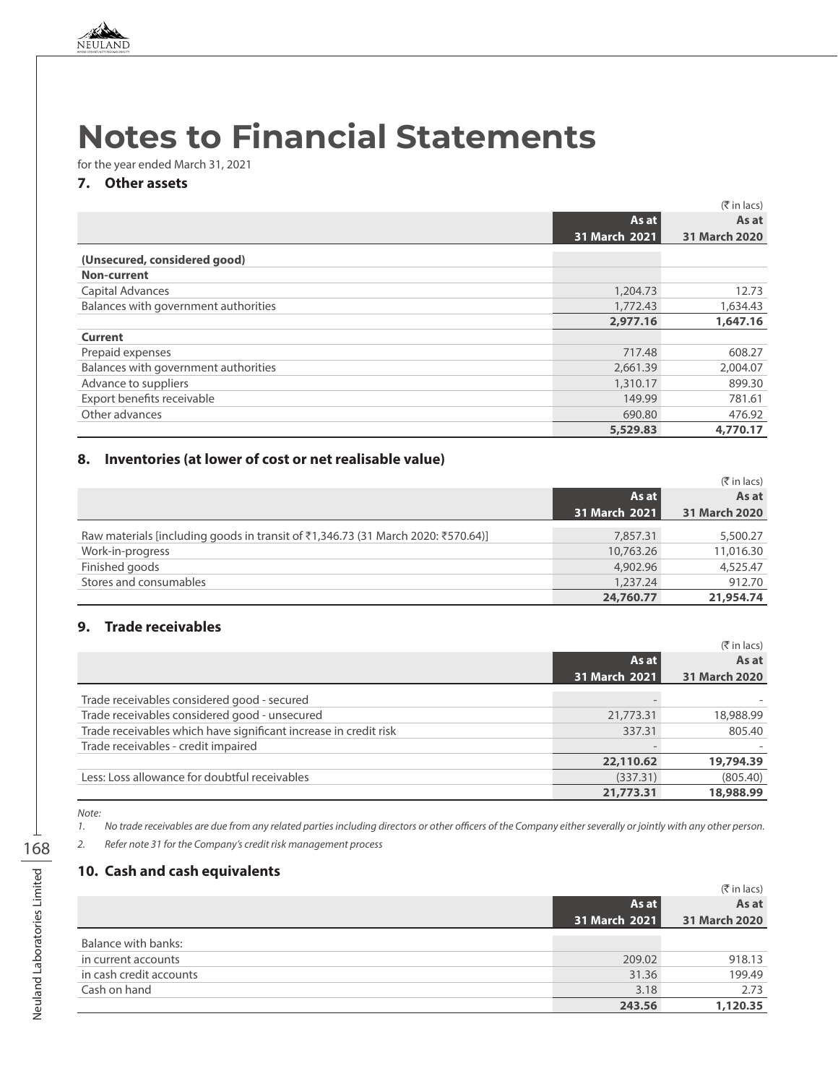for the year ended March 31, 2021

### **7. Other assets**

|                                      |               | $(\overline{\mathfrak{k}}$ in lacs) |
|--------------------------------------|---------------|-------------------------------------|
|                                      | As at         | As at                               |
|                                      | 31 March 2021 | 31 March 2020                       |
| (Unsecured, considered good)         |               |                                     |
| Non-current                          |               |                                     |
| Capital Advances                     | 1,204.73      | 12.73                               |
| Balances with government authorities | 1,772.43      | 1,634.43                            |
|                                      | 2,977.16      | 1,647.16                            |
| Current                              |               |                                     |
| Prepaid expenses                     | 717.48        | 608.27                              |
| Balances with government authorities | 2,661.39      | 2,004.07                            |
| Advance to suppliers                 | 1,310.17      | 899.30                              |
| Export benefits receivable           | 149.99        | 781.61                              |
| Other advances                       | 690.80        | 476.92                              |
|                                      | 5,529.83      | 4,770.17                            |

### **8. Inventories (at lower of cost or net realisable value)**

|                                                                                  |               | $(\overline{\mathfrak{k}}$ in lacs) |
|----------------------------------------------------------------------------------|---------------|-------------------------------------|
|                                                                                  | As at         | As at                               |
|                                                                                  | 31 March 2021 | 31 March 2020                       |
| Raw materials [including goods in transit of ₹1,346.73 (31 March 2020: ₹570.64)] | 7,857.31      | 5,500.27                            |
| Work-in-progress                                                                 | 10,763.26     | 11,016.30                           |
| Finished goods                                                                   | 4,902.96      | 4,525.47                            |
| Stores and consumables                                                           | 1,237.24      | 912.70                              |
|                                                                                  | 24,760,77     | 21,954.74                           |

### **9. Trade receivables**

|                                                                  |               | $(\overline{\mathfrak{k}})$ in lacs) |
|------------------------------------------------------------------|---------------|--------------------------------------|
|                                                                  | As at         | As at                                |
|                                                                  | 31 March 2021 | 31 March 2020                        |
| Trade receivables considered good - secured                      |               |                                      |
| Trade receivables considered good - unsecured                    | 21,773.31     | 18,988.99                            |
| Trade receivables which have significant increase in credit risk | 337.31        | 805.40                               |
| Trade receivables - credit impaired                              |               |                                      |
|                                                                  | 22,110.62     | 19,794.39                            |
| Less: Loss allowance for doubtful receivables                    | (337.31)      | (805.40)                             |
|                                                                  | 21,773.31     | 18,988.99                            |

*Note:*

*1. No trade receivables are due from any related parties including directors or other officers of the Company either severally or jointly with any other person.*

*2. Refer note 31 for the Company's credit risk management process*

### **10. Cash and cash equivalents**

|                         |               | (₹ in lacs)   |
|-------------------------|---------------|---------------|
|                         | As at         | As at         |
|                         | 31 March 2021 | 31 March 2020 |
| Balance with banks:     |               |               |
| in current accounts     | 209.02        | 918.13        |
| in cash credit accounts | 31.36         | 199.49        |
| Cash on hand            | 3.18          | 2.73          |
|                         | 243.56        | 1,120.35      |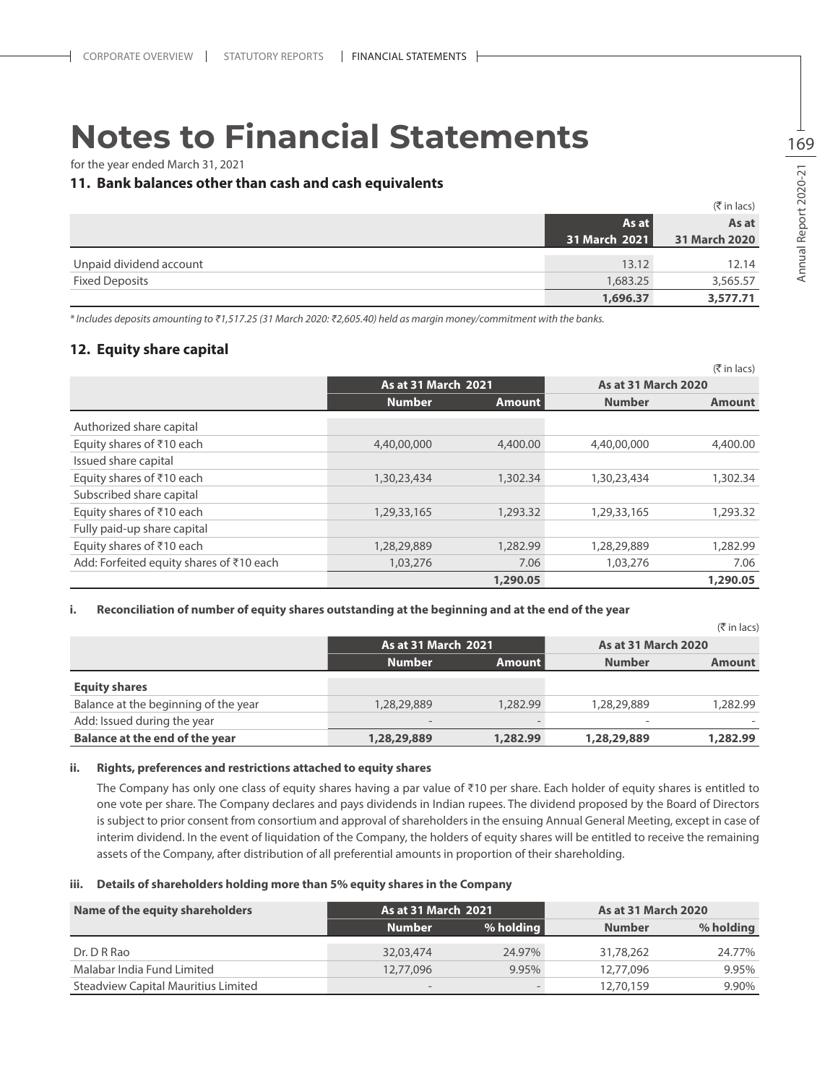for the year ended March 31, 2021

### **11. Bank balances other than cash and cash equivalents**

|                         |                 | $(\overline{\mathfrak{k}}$ in lacs) |
|-------------------------|-----------------|-------------------------------------|
|                         | As at           | As at                               |
|                         | 31 March 2021 l | 31 March 2020                       |
|                         |                 |                                     |
| Unpaid dividend account | 13.12           | 12.14                               |
| <b>Fixed Deposits</b>   | 1,683.25        | 3,565.57                            |
|                         | 1,696.37        | 3,577.71                            |

*\* Includes deposits amounting to ₹1,517.25 (31 March 2020: ₹2,605.40) held as margin money/commitment with the banks.*

### **12. Equity share capital**

|                                          |                            |               |                            | $(\overline{\mathfrak{k}})$ in lacs) |
|------------------------------------------|----------------------------|---------------|----------------------------|--------------------------------------|
|                                          | <b>As at 31 March 2021</b> |               | <b>As at 31 March 2020</b> |                                      |
|                                          | <b>Number</b>              | <b>Amount</b> | <b>Number</b>              | <b>Amount</b>                        |
| Authorized share capital                 |                            |               |                            |                                      |
| Equity shares of ₹10 each                | 4,40,00,000                | 4,400.00      | 4,40,00,000                | 4,400.00                             |
| Issued share capital                     |                            |               |                            |                                      |
| Equity shares of ₹10 each                | 1,30,23,434                | 1,302.34      | 1,30,23,434                | 1,302.34                             |
| Subscribed share capital                 |                            |               |                            |                                      |
| Equity shares of ₹10 each                | 1,29,33,165                | 1,293.32      | 1,29,33,165                | 1,293.32                             |
| Fully paid-up share capital              |                            |               |                            |                                      |
| Equity shares of ₹10 each                | 1,28,29,889                | 1,282.99      | 1,28,29,889                | 1,282.99                             |
| Add: Forfeited equity shares of ₹10 each | 1,03,276                   | 7.06          | 1,03,276                   | 7.06                                 |
|                                          |                            | 1,290.05      |                            | 1,290.05                             |

### **i. Reconciliation of number of equity shares outstanding at the beginning and at the end of the year**

|                                      |                          |               |                            | $(\overline{\xi}$ in lacs) |
|--------------------------------------|--------------------------|---------------|----------------------------|----------------------------|
|                                      | As at 31 March 2021      |               | <b>As at 31 March 2020</b> |                            |
|                                      | <b>Number</b>            | <b>Amount</b> | <b>Number</b>              | <b>Amount</b>              |
| <b>Equity shares</b>                 |                          |               |                            |                            |
| Balance at the beginning of the year | 1,28,29,889              | 1,282.99      | 1,28,29,889                | 1,282.99                   |
| Add: Issued during the year          | $\overline{\phantom{a}}$ |               | $\overline{\phantom{a}}$   |                            |
| Balance at the end of the year       | 1,28,29,889              | 1,282.99      | 1,28,29,889                | 1,282.99                   |

### **ii. Rights, preferences and restrictions attached to equity shares**

The Company has only one class of equity shares having a par value of ₹10 per share. Each holder of equity shares is entitled to one vote per share. The Company declares and pays dividends in Indian rupees. The dividend proposed by the Board of Directors is subject to prior consent from consortium and approval of shareholders in the ensuing Annual General Meeting, except in case of interim dividend. In the event of liquidation of the Company, the holders of equity shares will be entitled to receive the remaining assets of the Company, after distribution of all preferential amounts in proportion of their shareholding.

### **iii. Details of shareholders holding more than 5% equity shares in the Company**

| Name of the equity shareholders     | As at 31 March 2021      |           | <b>As at 31 March 2020</b> |             |
|-------------------------------------|--------------------------|-----------|----------------------------|-------------|
|                                     | <b>Number</b>            | % holding | <b>Number</b>              | $%$ holding |
| Dr. D R Rao                         | 32,03,474                | 24.97%    | 31,78,262                  | 24.77%      |
| Malabar India Fund Limited          | 12,77,096                | 9.95%     | 12,77,096                  | 9.95%       |
| Steadview Capital Mauritius Limited | $\overline{\phantom{a}}$ |           | 12,70,159                  | 9.90%       |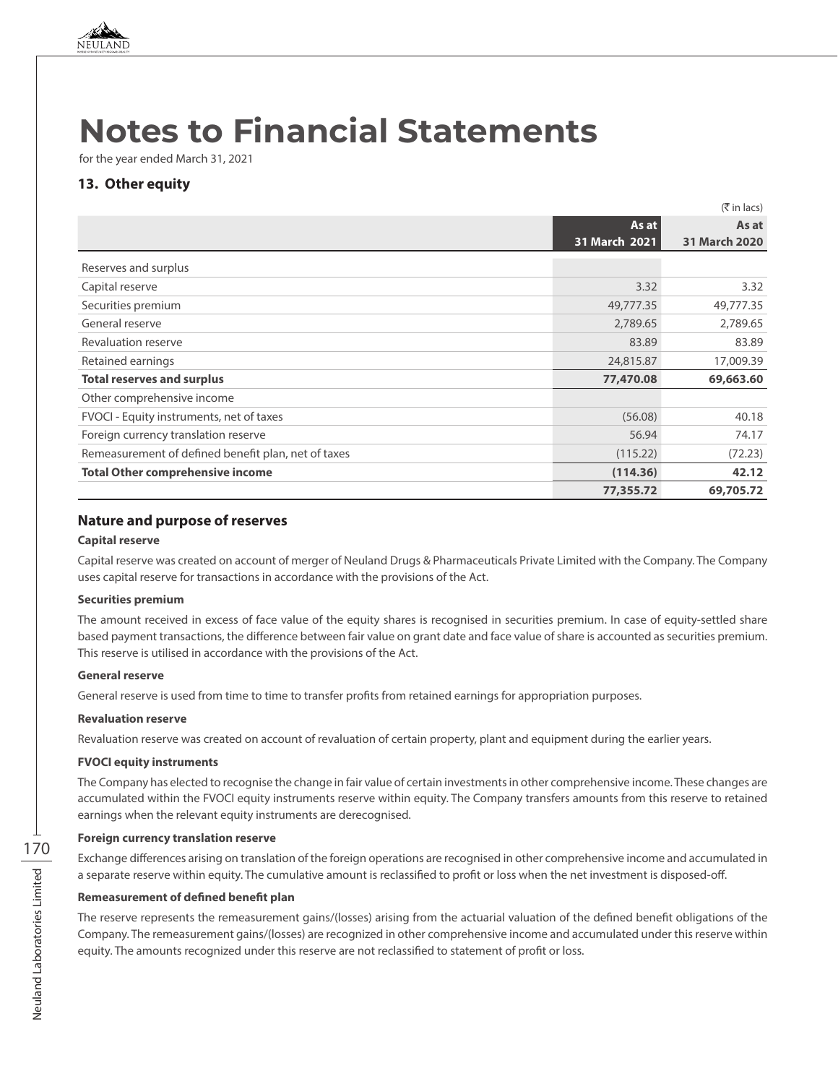for the year ended March 31, 2021

### **13. Other equity**

|                                                     |               | $(\overline{\mathfrak{F}})$ in lacs) |
|-----------------------------------------------------|---------------|--------------------------------------|
|                                                     | As at         | As at                                |
|                                                     | 31 March 2021 | <b>31 March 2020</b>                 |
| Reserves and surplus                                |               |                                      |
| Capital reserve                                     | 3.32          | 3.32                                 |
| Securities premium                                  | 49,777.35     | 49,777.35                            |
| General reserve                                     | 2,789.65      | 2,789.65                             |
| Revaluation reserve                                 | 83.89         | 83.89                                |
| Retained earnings                                   | 24,815.87     | 17,009.39                            |
| <b>Total reserves and surplus</b>                   | 77,470.08     | 69,663.60                            |
| Other comprehensive income                          |               |                                      |
| FVOCI - Equity instruments, net of taxes            | (56.08)       | 40.18                                |
| Foreign currency translation reserve                | 56.94         | 74.17                                |
| Remeasurement of defined benefit plan, net of taxes | (115.22)      | (72.23)                              |
| <b>Total Other comprehensive income</b>             | (114.36)      | 42.12                                |
|                                                     | 77,355.72     | 69,705.72                            |

### **Nature and purpose of reserves**

### **Capital reserve**

Capital reserve was created on account of merger of Neuland Drugs & Pharmaceuticals Private Limited with the Company. The Company uses capital reserve for transactions in accordance with the provisions of the Act.

### **Securities premium**

The amount received in excess of face value of the equity shares is recognised in securities premium. In case of equity-settled share based payment transactions, the difference between fair value on grant date and face value of share is accounted as securities premium. This reserve is utilised in accordance with the provisions of the Act.

### **General reserve**

General reserve is used from time to time to transfer profits from retained earnings for appropriation purposes.

### **Revaluation reserve**

Revaluation reserve was created on account of revaluation of certain property, plant and equipment during the earlier years.

### **FVOCI equity instruments**

The Company has elected to recognise the change in fair value of certain investments in other comprehensive income. These changes are accumulated within the FVOCI equity instruments reserve within equity. The Company transfers amounts from this reserve to retained earnings when the relevant equity instruments are derecognised.

### **Foreign currency translation reserve**

Exchange differences arising on translation of the foreign operations are recognised in other comprehensive income and accumulated in a separate reserve within equity. The cumulative amount is reclassified to profit or loss when the net investment is disposed-off.

### **Remeasurement of defined benefit plan**

The reserve represents the remeasurement gains/(losses) arising from the actuarial valuation of the defined benefit obligations of the Company. The remeasurement gains/(losses) are recognized in other comprehensive income and accumulated under this reserve within equity. The amounts recognized under this reserve are not reclassified to statement of profit or loss.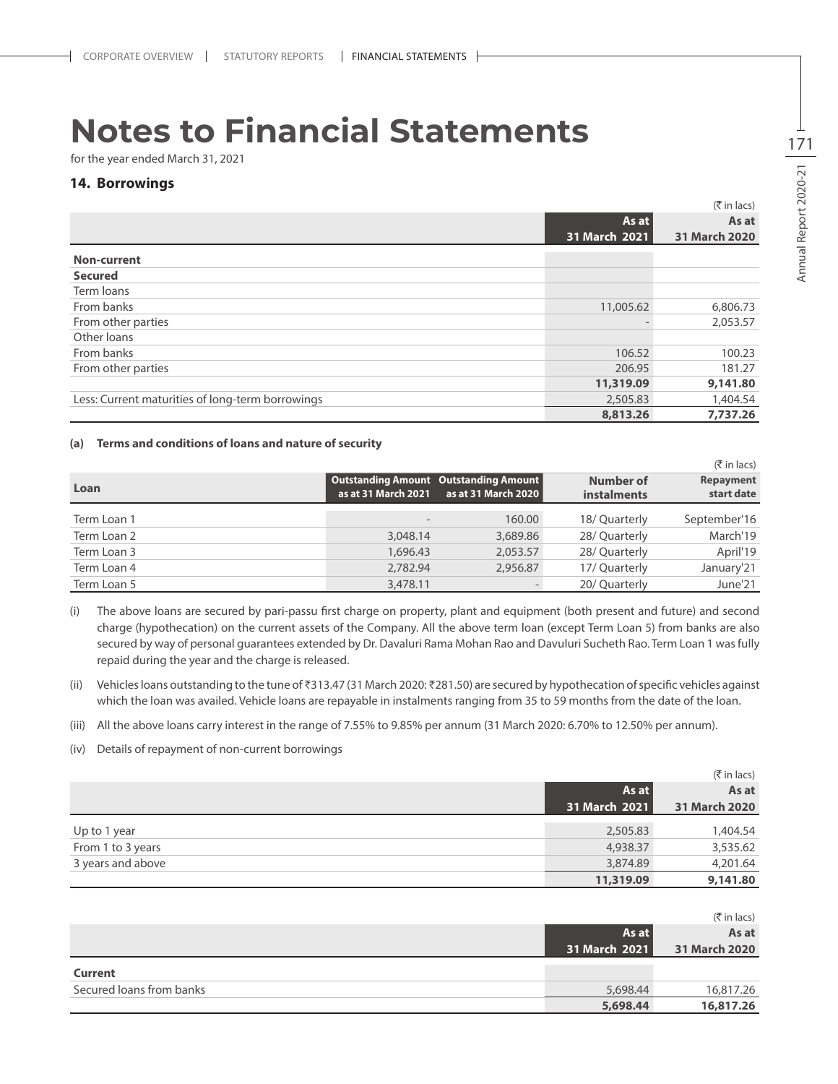for the year ended March 31, 2021

### **14. Borrowings**

|                                                  |               | (K in lacs)   |
|--------------------------------------------------|---------------|---------------|
|                                                  | As at         | As at         |
|                                                  | 31 March 2021 | 31 March 2020 |
| Non-current                                      |               |               |
| <b>Secured</b>                                   |               |               |
| Term loans                                       |               |               |
| From banks                                       | 11,005.62     | 6,806.73      |
| From other parties                               |               | 2,053.57      |
| Other loans                                      |               |               |
| From banks                                       | 106.52        | 100.23        |
| From other parties                               | 206.95        | 181.27        |
|                                                  | 11,319.09     | 9,141.80      |
| Less: Current maturities of long-term borrowings | 2,505.83      | 1,404.54      |
|                                                  | 8,813.26      | 7,737.26      |

### **(a) Terms and conditions of loans and nature of security**

|             |                     |                                                              |                                 | $(\overline{\mathfrak{F}}$ in lacs) |
|-------------|---------------------|--------------------------------------------------------------|---------------------------------|-------------------------------------|
| Loan        | as at 31 March 2021 | Outstanding Amount Outstanding Amount<br>as at 31 March 2020 | Number of<br><b>instalments</b> | Repayment<br>start date             |
| Term Loan 1 |                     | 160.00                                                       | 18/ Quarterly                   | September'16                        |
| Term Loan 2 | 3,048.14            | 3,689.86                                                     | 28/ Quarterly                   | March'19                            |
| Term Loan 3 | 1,696.43            | 2,053.57                                                     | 28/ Quarterly                   | April'19                            |
| Term Loan 4 | 2,782.94            | 2,956.87                                                     | 17/ Quarterly                   | January'21                          |
| Term Loan 5 | 3,478.11            |                                                              | 20/ Quarterly                   | June'21                             |

- (i) The above loans are secured by pari-passu first charge on property, plant and equipment (both present and future) and second charge (hypothecation) on the current assets of the Company. All the above term loan (except Term Loan 5) from banks are also secured by way of personal guarantees extended by Dr. Davaluri Rama Mohan Rao and Davuluri Sucheth Rao. Term Loan 1 was fully repaid during the year and the charge is released.
- (ii) Vehicles loans outstanding to the tune of ₹313.47 (31 March 2020: ₹281.50) are secured by hypothecation of specific vehicles against which the loan was availed. Vehicle loans are repayable in instalments ranging from 35 to 59 months from the date of the loan.
- (iii) All the above loans carry interest in the range of 7.55% to 9.85% per annum (31 March 2020: 6.70% to 12.50% per annum).
- (iv) Details of repayment of non-current borrowings

|                   |               | (₹ in lacs)   |
|-------------------|---------------|---------------|
|                   | As at I       | As at         |
|                   | 31 March 2021 | 31 March 2020 |
|                   |               |               |
| Up to 1 year      | 2,505.83      | 1,404.54      |
| From 1 to 3 years | 4,938.37      | 3,535.62      |
| 3 years and above | 3,874.89      | 4,201.64      |
|                   | 11,319.09     | 9,141.80      |

|                          |               | $(\overline{\mathfrak{k}}$ in lacs) |
|--------------------------|---------------|-------------------------------------|
|                          | As at         | As at                               |
|                          | 31 March 2021 | 31 March 2020                       |
| Current                  |               |                                     |
| Secured loans from banks | 5,698.44      | 16,817.26                           |
|                          | 5,698.44      | 16,817.26                           |

 $\rightarrow$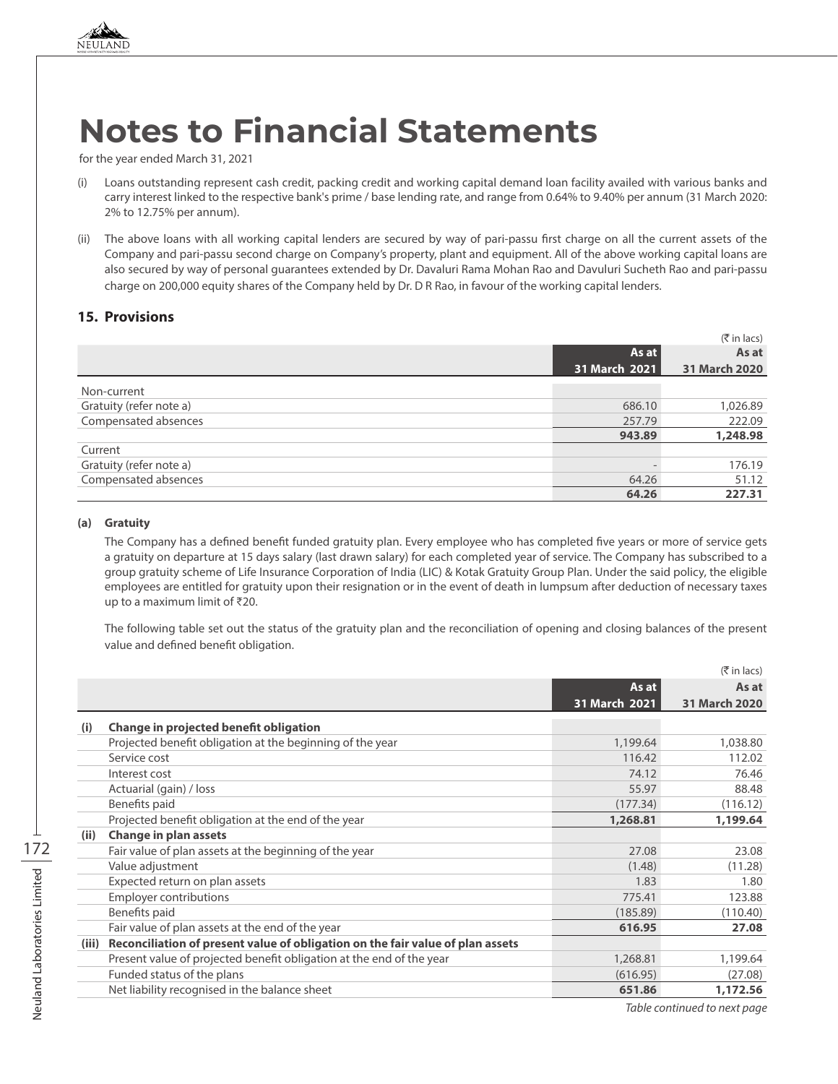for the year ended March 31, 2021

- (i) Loans outstanding represent cash credit, packing credit and working capital demand loan facility availed with various banks and carry interest linked to the respective bank's prime / base lending rate, and range from 0.64% to 9.40% per annum (31 March 2020: 2% to 12.75% per annum).
- (ii) The above loans with all working capital lenders are secured by way of pari-passu first charge on all the current assets of the Company and pari-passu second charge on Company's property, plant and equipment. All of the above working capital loans are also secured by way of personal guarantees extended by Dr. Davaluri Rama Mohan Rao and Davuluri Sucheth Rao and pari-passu charge on 200,000 equity shares of the Company held by Dr. D R Rao, in favour of the working capital lenders.

### **15. Provisions**

|                         |               | $(\overline{\mathfrak{k}})$ in lacs) |
|-------------------------|---------------|--------------------------------------|
|                         | As at         | As at                                |
|                         | 31 March 2021 | 31 March 2020                        |
| Non-current             |               |                                      |
| Gratuity (refer note a) | 686.10        | 1,026.89                             |
| Compensated absences    | 257.79        | 222.09                               |
|                         | 943.89        | 1,248.98                             |
| Current                 |               |                                      |
| Gratuity (refer note a) |               | 176.19                               |
| Compensated absences    | 64.26         | 51.12                                |
|                         | 64.26         | 227.31                               |

### **(a) Gratuity**

The Company has a defined benefit funded gratuity plan. Every employee who has completed five years or more of service gets a gratuity on departure at 15 days salary (last drawn salary) for each completed year of service. The Company has subscribed to a group gratuity scheme of Life Insurance Corporation of India (LIC) & Kotak Gratuity Group Plan. Under the said policy, the eligible employees are entitled for gratuity upon their resignation or in the event of death in lumpsum after deduction of necessary taxes up to a maximum limit of ₹20.

The following table set out the status of the gratuity plan and the reconciliation of opening and closing balances of the present value and defined benefit obligation.

|       |                                                                                |               | $(\overline{\mathfrak{k}})$ in lacs) |
|-------|--------------------------------------------------------------------------------|---------------|--------------------------------------|
|       |                                                                                | As at         | As at                                |
|       |                                                                                | 31 March 2021 | 31 March 2020                        |
| (i)   | Change in projected benefit obligation                                         |               |                                      |
|       | Projected benefit obligation at the beginning of the year                      | 1,199.64      | 1,038.80                             |
|       | Service cost                                                                   | 116.42        | 112.02                               |
|       | Interest cost                                                                  | 74.12         | 76.46                                |
|       | Actuarial (gain) / loss                                                        | 55.97         | 88.48                                |
|       | Benefits paid                                                                  | (177.34)      | (116.12)                             |
|       | Projected benefit obligation at the end of the year                            | 1,268.81      | 1,199.64                             |
| (ii)  | <b>Change in plan assets</b>                                                   |               |                                      |
|       | Fair value of plan assets at the beginning of the year                         | 27.08         | 23.08                                |
|       | Value adjustment                                                               | (1.48)        | (11.28)                              |
|       | Expected return on plan assets                                                 | 1.83          | 1.80                                 |
|       | <b>Employer contributions</b>                                                  | 775.41        | 123.88                               |
|       | Benefits paid                                                                  | (185.89)      | (110.40)                             |
|       | Fair value of plan assets at the end of the year                               | 616.95        | 27.08                                |
| (iii) | Reconciliation of present value of obligation on the fair value of plan assets |               |                                      |
|       | Present value of projected benefit obligation at the end of the year           | 1,268.81      | 1,199.64                             |
|       | Funded status of the plans                                                     | (616.95)      | (27.08)                              |
|       | Net liability recognised in the balance sheet                                  | 651.86        | 1,172.56                             |
|       |                                                                                |               | Table continued to next page         |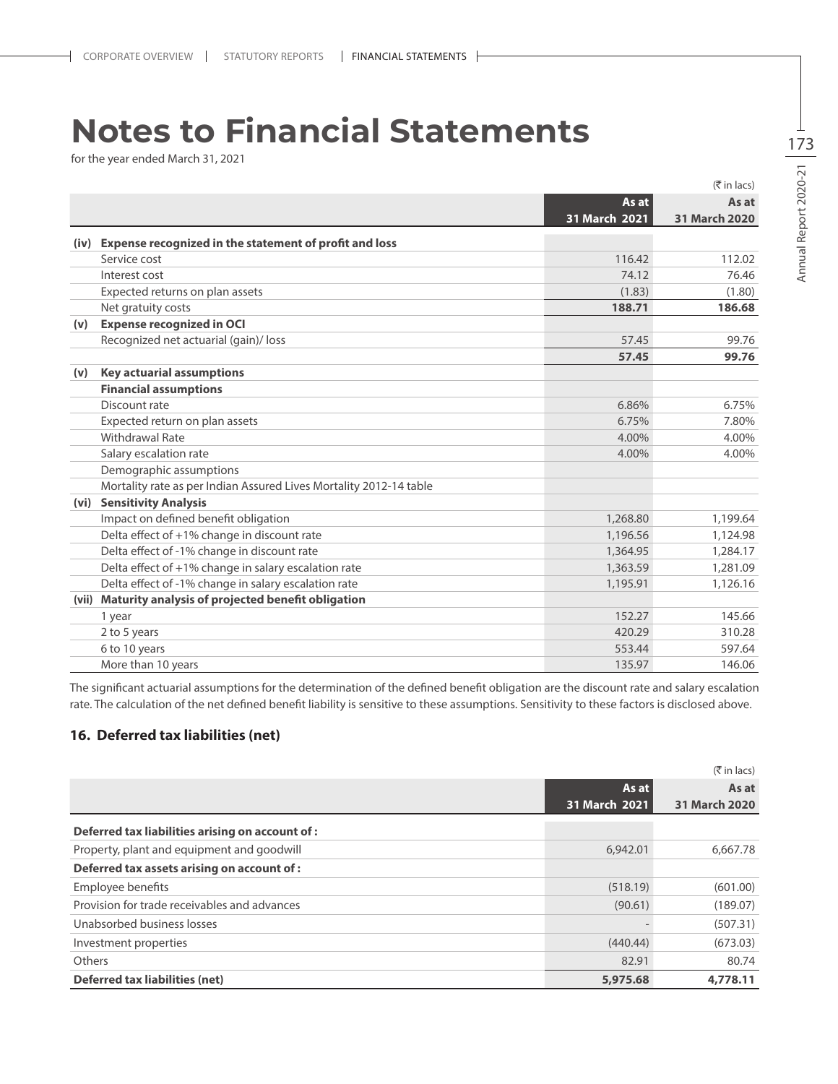for the year ended March 31, 2021

┫

|      |                                                                    |               | $(\overline{\zeta}$ in lacs) |
|------|--------------------------------------------------------------------|---------------|------------------------------|
|      |                                                                    | As at         | As at                        |
|      |                                                                    | 31 March 2021 | 31 March 2020                |
|      | (iv) Expense recognized in the statement of profit and loss        |               |                              |
|      | Service cost                                                       | 116.42        | 112.02                       |
|      | Interest cost                                                      | 74.12         | 76.46                        |
|      | Expected returns on plan assets                                    | (1.83)        | (1.80)                       |
|      | Net gratuity costs                                                 | 188.71        | 186.68                       |
| (v)  | <b>Expense recognized in OCI</b>                                   |               |                              |
|      | Recognized net actuarial (gain)/ loss                              | 57.45         | 99.76                        |
|      |                                                                    | 57.45         | 99.76                        |
| (v)  | <b>Key actuarial assumptions</b>                                   |               |                              |
|      | <b>Financial assumptions</b>                                       |               |                              |
|      | Discount rate                                                      | 6.86%         | 6.75%                        |
|      | Expected return on plan assets                                     | 6.75%         | 7.80%                        |
|      | Withdrawal Rate                                                    | 4.00%         | 4.00%                        |
|      | Salary escalation rate                                             | 4.00%         | 4.00%                        |
|      | Demographic assumptions                                            |               |                              |
|      | Mortality rate as per Indian Assured Lives Mortality 2012-14 table |               |                              |
| (vi) | <b>Sensitivity Analysis</b>                                        |               |                              |
|      | Impact on defined benefit obligation                               | 1,268.80      | 1,199.64                     |
|      | Delta effect of +1% change in discount rate                        | 1,196.56      | 1,124.98                     |
|      | Delta effect of -1% change in discount rate                        | 1,364.95      | 1,284.17                     |
|      | Delta effect of +1% change in salary escalation rate               | 1,363.59      | 1,281.09                     |
|      | Delta effect of -1% change in salary escalation rate               | 1,195.91      | 1,126.16                     |
|      | (vii) Maturity analysis of projected benefit obligation            |               |                              |
|      | 1 year                                                             | 152.27        | 145.66                       |
|      | 2 to 5 years                                                       | 420.29        | 310.28                       |
|      | 6 to 10 years                                                      | 553.44        | 597.64                       |
|      | More than 10 years                                                 | 135.97        | 146.06                       |

The significant actuarial assumptions for the determination of the defined benefit obligation are the discount rate and salary escalation rate. The calculation of the net defined benefit liability is sensitive to these assumptions. Sensitivity to these factors is disclosed above.

### **16. Deferred tax liabilities (net)**

|                                                  |               | $(\overline{\mathfrak{k}}$ in lacs) |
|--------------------------------------------------|---------------|-------------------------------------|
|                                                  | As at         | As at                               |
|                                                  | 31 March 2021 | 31 March 2020                       |
| Deferred tax liabilities arising on account of : |               |                                     |
| Property, plant and equipment and goodwill       | 6,942.01      | 6,667.78                            |
| Deferred tax assets arising on account of :      |               |                                     |
| Employee benefits                                | (518.19)      | (601.00)                            |
| Provision for trade receivables and advances     | (90.61)       | (189.07)                            |
| Unabsorbed business losses                       |               | (507.31)                            |
| Investment properties                            | (440.44)      | (673.03)                            |
| Others                                           | 82.91         | 80.74                               |
| Deferred tax liabilities (net)                   | 5,975.68      | 4,778.11                            |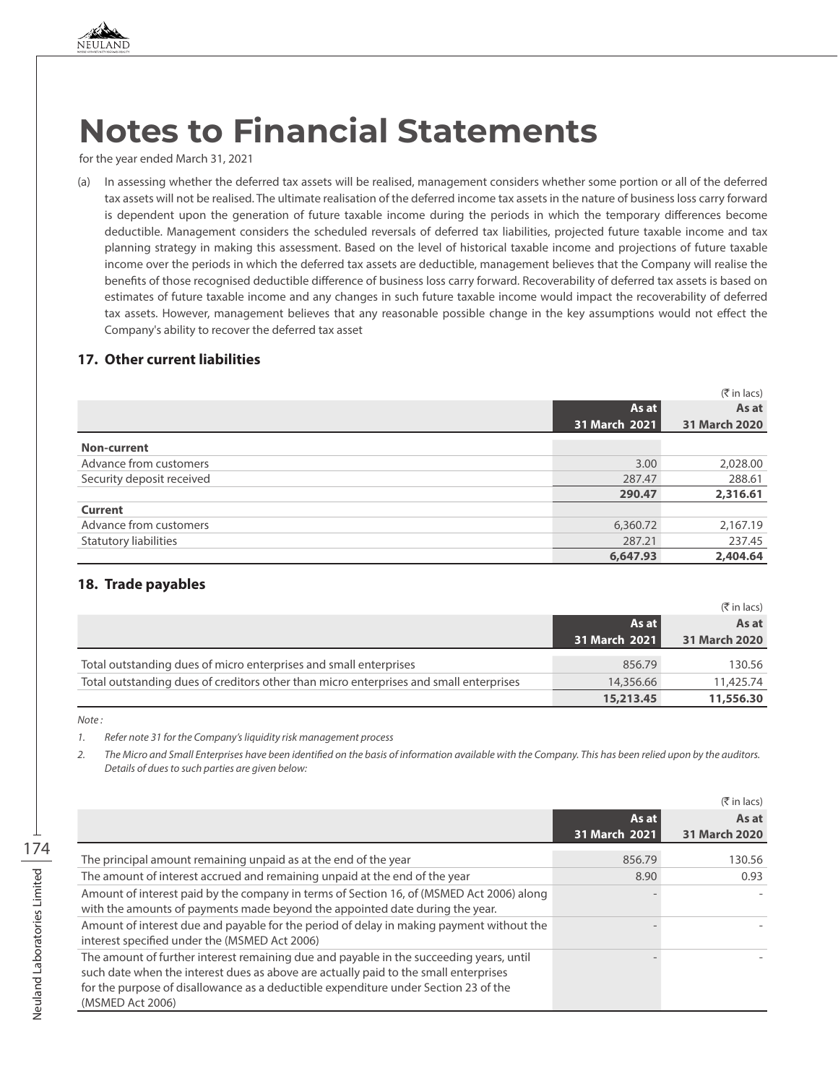

for the year ended March 31, 2021

(a) In assessing whether the deferred tax assets will be realised, management considers whether some portion or all of the deferred tax assets will not be realised. The ultimate realisation of the deferred income tax assets in the nature of business loss carry forward is dependent upon the generation of future taxable income during the periods in which the temporary differences become deductible. Management considers the scheduled reversals of deferred tax liabilities, projected future taxable income and tax planning strategy in making this assessment. Based on the level of historical taxable income and projections of future taxable income over the periods in which the deferred tax assets are deductible, management believes that the Company will realise the benefits of those recognised deductible difference of business loss carry forward. Recoverability of deferred tax assets is based on estimates of future taxable income and any changes in such future taxable income would impact the recoverability of deferred tax assets. However, management believes that any reasonable possible change in the key assumptions would not effect the Company's ability to recover the deferred tax asset

### **17. Other current liabilities**

|                              |               | $(\overline{\mathfrak{F}}$ in lacs) |
|------------------------------|---------------|-------------------------------------|
|                              | As at         | As at                               |
|                              | 31 March 2021 | 31 March 2020                       |
| <b>Non-current</b>           |               |                                     |
| Advance from customers       | 3.00          | 2,028.00                            |
| Security deposit received    | 287.47        | 288.61                              |
|                              | 290.47        | 2,316.61                            |
| Current                      |               |                                     |
| Advance from customers       | 6,360.72      | 2,167.19                            |
| <b>Statutory liabilities</b> | 287.21        | 237.45                              |
|                              | 6,647.93      | 2,404.64                            |

### **18. Trade payables**

|                                                                                        |               | $(\overline{\mathfrak{F}}$ in lacs) |
|----------------------------------------------------------------------------------------|---------------|-------------------------------------|
|                                                                                        | As at I       | As at                               |
|                                                                                        | 31 March 2021 | <b>31 March 2020</b>                |
| Total outstanding dues of micro enterprises and small enterprises                      | 856.79        | 130.56                              |
| Total outstanding dues of creditors other than micro enterprises and small enterprises | 14,356.66     | 11,425.74                           |
|                                                                                        | 15,213.45     | 11,556.30                           |

*Note :*

*1. Refer note 31 for the Company's liquidity risk management process*

*2. The Micro and Small Enterprises have been identified on the basis of information available with the Company. This has been relied upon by the auditors. Details of dues to such parties are given below:*

|                                                                                                                                                                                                                                                                                            |                        | $(\overline{\mathfrak{k}}$ in lacs) |
|--------------------------------------------------------------------------------------------------------------------------------------------------------------------------------------------------------------------------------------------------------------------------------------------|------------------------|-------------------------------------|
|                                                                                                                                                                                                                                                                                            | As at<br>31 March 2021 | As at<br>31 March 2020              |
| The principal amount remaining unpaid as at the end of the year                                                                                                                                                                                                                            | 856.79                 | 130.56                              |
| The amount of interest accrued and remaining unpaid at the end of the year                                                                                                                                                                                                                 | 8.90                   | 0.93                                |
| Amount of interest paid by the company in terms of Section 16, of (MSMED Act 2006) along<br>with the amounts of payments made beyond the appointed date during the year.                                                                                                                   |                        |                                     |
| Amount of interest due and payable for the period of delay in making payment without the<br>interest specified under the (MSMED Act 2006)                                                                                                                                                  |                        |                                     |
| The amount of further interest remaining due and payable in the succeeding years, until<br>such date when the interest dues as above are actually paid to the small enterprises<br>for the purpose of disallowance as a deductible expenditure under Section 23 of the<br>(MSMED Act 2006) |                        |                                     |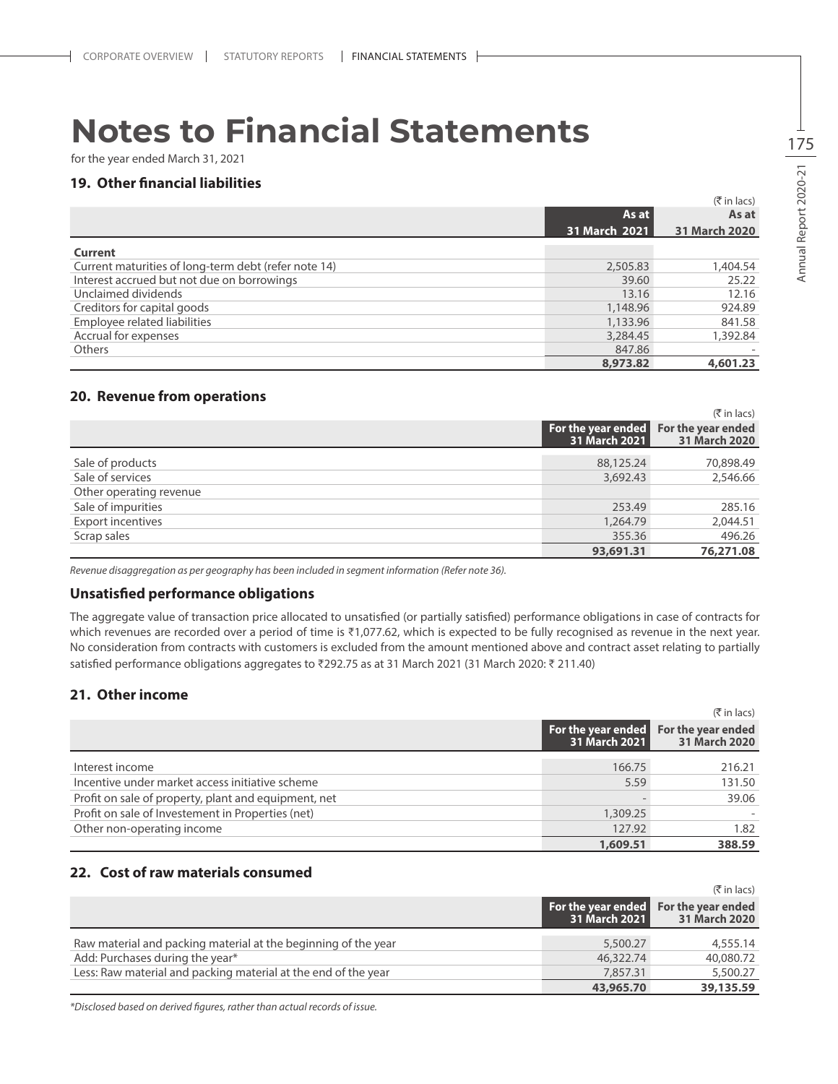for the year ended March 31, 2021

### **19. Other financial liabilities**

|                                                      |               | $(\overline{\mathfrak{k}})$ in lacs) |
|------------------------------------------------------|---------------|--------------------------------------|
|                                                      | As at         | As at                                |
|                                                      | 31 March 2021 | 31 March 2020                        |
| Current                                              |               |                                      |
| Current maturities of long-term debt (refer note 14) | 2,505.83      | 1,404.54                             |
| Interest accrued but not due on borrowings           | 39.60         | 25.22                                |
| Unclaimed dividends                                  | 13.16         | 12.16                                |
| Creditors for capital goods                          | 1,148.96      | 924.89                               |
| Employee related liabilities                         | 1,133.96      | 841.58                               |
| Accrual for expenses                                 | 3,284.45      | 1,392.84                             |
| <b>Others</b>                                        | 847.86        |                                      |
|                                                      | 8,973.82      | 4,601.23                             |

### **20. Revenue from operations**

|                          |                                                                   | $(\overline{\mathfrak{k}}$ in lacs) |
|--------------------------|-------------------------------------------------------------------|-------------------------------------|
|                          | $\blacksquare$ For the year ended $\blacksquare$<br>31 March 2021 | For the year ended<br>31 March 2020 |
| Sale of products         | 88,125.24                                                         | 70,898.49                           |
| Sale of services         | 3,692.43                                                          | 2,546.66                            |
| Other operating revenue  |                                                                   |                                     |
| Sale of impurities       | 253.49                                                            | 285.16                              |
| <b>Export incentives</b> | 1,264.79                                                          | 2,044.51                            |
| Scrap sales              | 355.36                                                            | 496.26                              |
|                          | 93,691.31                                                         | 76,271.08                           |

*Revenue disaggregation as per geography has been included in segment information (Refer note 36).*

### **Unsatisfied performance obligations**

The aggregate value of transaction price allocated to unsatisfied (or partially satisfied) performance obligations in case of contracts for which revenues are recorded over a period of time is ₹1,077.62, which is expected to be fully recognised as revenue in the next year. No consideration from contracts with customers is excluded from the amount mentioned above and contract asset relating to partially satisfied performance obligations aggregates to ₹292.75 as at 31 March 2021 (31 March 2020: ₹ 211.40)

### **21. Other income**

|                                                      |               | $(\overline{\mathfrak{k}}$ in lacs)                    |
|------------------------------------------------------|---------------|--------------------------------------------------------|
|                                                      | 31 March 2021 | For the year ended For the year ended<br>31 March 2020 |
| Interest income                                      | 166.75        | 216.21                                                 |
| Incentive under market access initiative scheme      | 5.59          | 131.50                                                 |
| Profit on sale of property, plant and equipment, net |               | 39.06                                                  |
| Profit on sale of Investement in Properties (net)    | 1,309.25      |                                                        |
| Other non-operating income                           | 127.92        | 1.82                                                   |
|                                                      | 1,609.51      | 388.59                                                 |

### **22. Cost of raw materials consumed**

|                                                                |                                                        | (₹ in lacs)   |
|----------------------------------------------------------------|--------------------------------------------------------|---------------|
|                                                                | For the year ended For the year ended<br>31 March 2021 | 31 March 2020 |
| Raw material and packing material at the beginning of the year | 5,500.27                                               | 4,555.14      |
| Add: Purchases during the year*                                | 46,322.74                                              | 40,080.72     |
| Less: Raw material and packing material at the end of the year | 7,857.31                                               | 5,500.27      |
|                                                                | 43,965.70                                              | 39,135.59     |

*\*Disclosed based on derived figures, rather than actual records of issue.*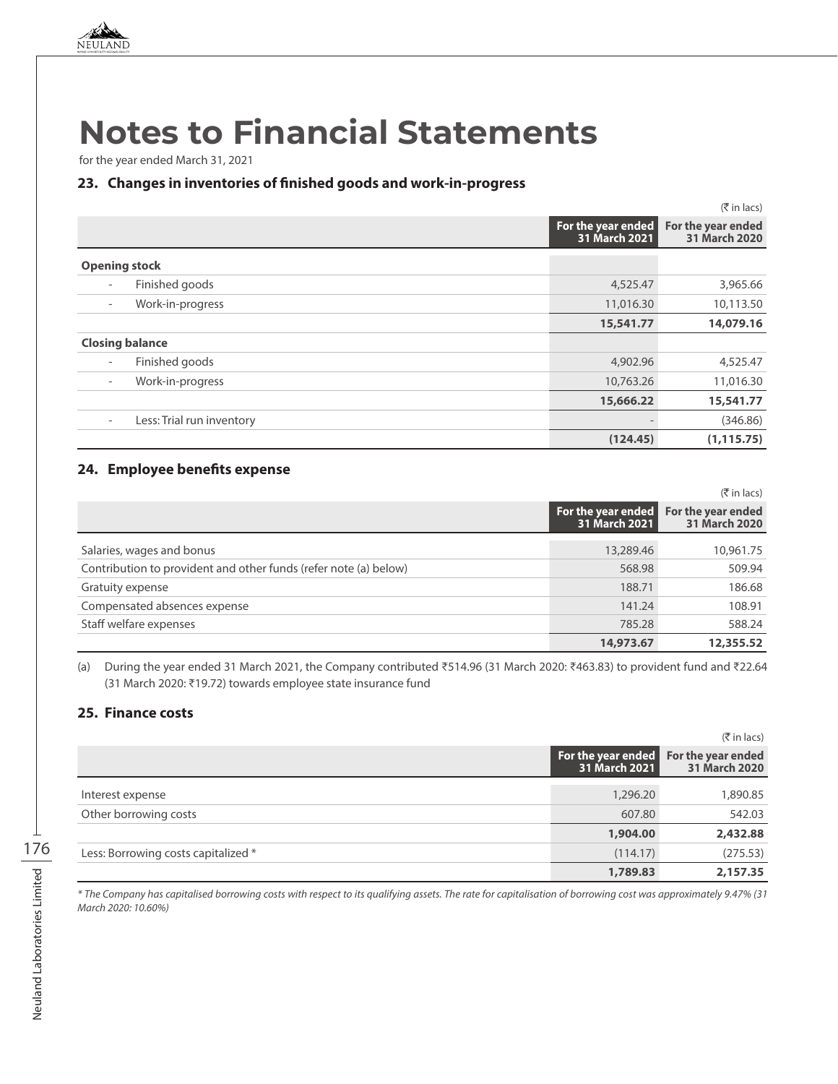for the year ended March 31, 2021

### **23. Changes in inventories of finished goods and work-in-progress**

|                                                       |                                     | $(\overline{\mathfrak{k}}$ in lacs) |
|-------------------------------------------------------|-------------------------------------|-------------------------------------|
|                                                       | For the year ended<br>31 March 2021 | For the year ended<br>31 March 2020 |
| <b>Opening stock</b>                                  |                                     |                                     |
| Finished goods<br>$\overline{\phantom{a}}$            | 4,525.47                            | 3,965.66                            |
| Work-in-progress<br>$\overline{\phantom{a}}$          | 11,016.30                           | 10,113.50                           |
|                                                       | 15,541.77                           | 14,079.16                           |
| <b>Closing balance</b>                                |                                     |                                     |
| Finished goods<br>$\overline{\phantom{a}}$            | 4,902.96                            | 4,525.47                            |
| Work-in-progress<br>$\overline{\phantom{a}}$          | 10,763.26                           | 11,016.30                           |
|                                                       | 15,666.22                           | 15,541.77                           |
| Less: Trial run inventory<br>$\overline{\phantom{a}}$ |                                     | (346.86)                            |
|                                                       | (124.45)                            | (1, 115.75)                         |

### **24. Employee benefits expense**

|                                                                  |                                     | $(\overline{\mathfrak{k}}$ in lacs) |
|------------------------------------------------------------------|-------------------------------------|-------------------------------------|
|                                                                  | For the year ended<br>31 March 2021 | For the year ended<br>31 March 2020 |
| Salaries, wages and bonus                                        | 13,289.46                           | 10,961.75                           |
| Contribution to provident and other funds (refer note (a) below) | 568.98                              | 509.94                              |
| Gratuity expense                                                 | 188.71                              | 186.68                              |
| Compensated absences expense                                     | 141.24                              | 108.91                              |
| Staff welfare expenses                                           | 785.28                              | 588.24                              |
|                                                                  | 14,973.67                           | 12,355.52                           |

(a) During the year ended 31 March 2021, the Company contributed ₹514.96 (31 March 2020: ₹463.83) to provident fund and ₹22.64 (31 March 2020: ₹19.72) towards employee state insurance fund

### **25. Finance costs**

|                                     |                                     | $(\overline{\mathfrak{T}}$ in lacs) |
|-------------------------------------|-------------------------------------|-------------------------------------|
|                                     | For the year ended<br>31 March 2021 | For the year ended<br>31 March 2020 |
| Interest expense                    | 1,296.20                            | 1,890.85                            |
| Other borrowing costs               | 607.80                              | 542.03                              |
|                                     | 1,904.00                            | 2,432.88                            |
| Less: Borrowing costs capitalized * | (114.17)                            | (275.53)                            |
|                                     | 1,789.83                            | 2,157.35                            |

*\* The Company has capitalised borrowing costs with respect to its qualifying assets. The rate for capitalisation of borrowing cost was approximately 9.47% (31 March 2020: 10.60%)*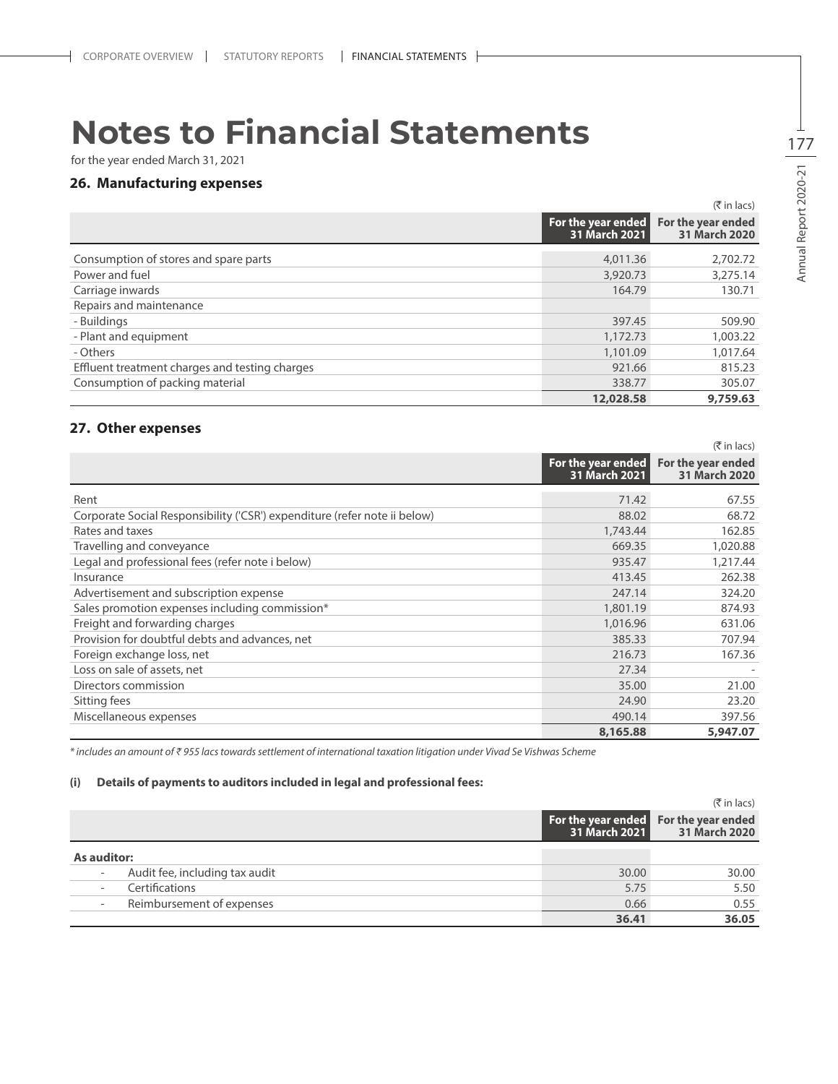for the year ended March 31, 2021

### **26. Manufacturing expenses**

|                                                |                                     | (K in idcs)                         |
|------------------------------------------------|-------------------------------------|-------------------------------------|
|                                                | For the year ended<br>31 March 2021 | For the year ended<br>31 March 2020 |
|                                                |                                     |                                     |
| Consumption of stores and spare parts          | 4,011.36                            | 2,702.72                            |
| Power and fuel                                 | 3,920.73                            | 3,275.14                            |
| Carriage inwards                               | 164.79                              | 130.71                              |
| Repairs and maintenance                        |                                     |                                     |
| - Buildings                                    | 397.45                              | 509.90                              |
| - Plant and equipment                          | 1,172.73                            | 1,003.22                            |
| - Others                                       | 1,101.09                            | 1,017.64                            |
| Effluent treatment charges and testing charges | 921.66                              | 815.23                              |
| Consumption of packing material                | 338.77                              | 305.07                              |
|                                                | 12,028.58                           | 9,759.63                            |

### **27. Other expenses**

|                                                                           |                                     | $(\overline{\mathfrak{k}})$ in lacs) |
|---------------------------------------------------------------------------|-------------------------------------|--------------------------------------|
|                                                                           | For the year ended<br>31 March 2021 | For the year ended<br>31 March 2020  |
| Rent                                                                      | 71.42                               | 67.55                                |
| Corporate Social Responsibility ('CSR') expenditure (refer note ii below) | 88.02                               | 68.72                                |
| Rates and taxes                                                           | 1,743.44                            | 162.85                               |
| Travelling and conveyance                                                 | 669.35                              | 1,020.88                             |
| Legal and professional fees (refer note i below)                          | 935.47                              | 1,217.44                             |
| Insurance                                                                 | 413.45                              | 262.38                               |
| Advertisement and subscription expense                                    | 247.14                              | 324.20                               |
| Sales promotion expenses including commission*                            | 1,801.19                            | 874.93                               |
| Freight and forwarding charges                                            | 1,016.96                            | 631.06                               |
| Provision for doubtful debts and advances, net                            | 385.33                              | 707.94                               |
| Foreign exchange loss, net                                                | 216.73                              | 167.36                               |
| Loss on sale of assets, net                                               | 27.34                               |                                      |
| Directors commission                                                      | 35.00                               | 21.00                                |
| Sitting fees                                                              | 24.90                               | 23.20                                |
| Miscellaneous expenses                                                    | 490.14                              | 397.56                               |
|                                                                           | 8,165.88                            | 5,947.07                             |

*\* includes an amount of ₹ 955 lacs towards settlement of international taxation litigation under Vivad Se Vishwas Scheme*

### **(i) Details of payments to auditors included in legal and professional fees:**

|                                                            |               | (₹ in lacs)                                            |
|------------------------------------------------------------|---------------|--------------------------------------------------------|
|                                                            | 31 March 2021 | For the year ended For the year ended<br>31 March 2020 |
| As auditor:                                                |               |                                                        |
| Audit fee, including tax audit<br>$\overline{\phantom{a}}$ | 30.00         | 30.00                                                  |
| Certifications<br>$\overline{\phantom{a}}$                 | 5.75          | 5.50                                                   |
| Reimbursement of expenses<br>$\overline{\phantom{a}}$      | 0.66          | 0.55                                                   |
|                                                            | 36.41         | 36.05                                                  |

 $(x - i)$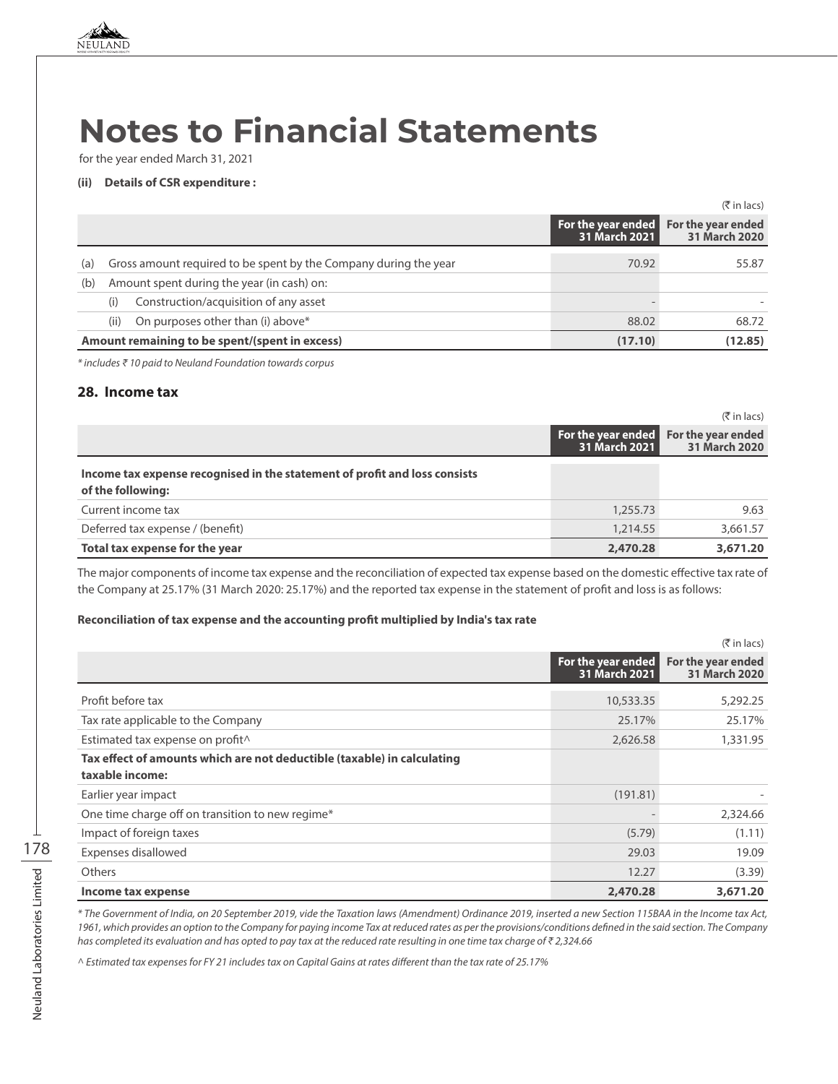for the year ended March 31, 2021

### **(ii) Details of CSR expenditure :**

|     |                                                                  |                                     | $(\overline{\mathfrak{k}}$ in lacs) |
|-----|------------------------------------------------------------------|-------------------------------------|-------------------------------------|
|     |                                                                  | For the year ended<br>31 March 2021 | For the year ended<br>31 March 2020 |
| (a) | Gross amount required to be spent by the Company during the year | 70.92                               | 55.87                               |
| (b) | Amount spent during the year (in cash) on:                       |                                     |                                     |
|     | Construction/acquisition of any asset<br>(i)                     |                                     |                                     |
|     | On purposes other than (i) above*<br>(ii)                        | 88.02                               | 68.72                               |
|     | Amount remaining to be spent/(spent in excess)                   | (17.10)                             | (12.85)                             |

*\* includes ₹ 10 paid to Neuland Foundation towards corpus*

### **28. Income tax**

|                                                                                                 |                                     | $(\overline{\mathfrak{F}}$ in lacs) |
|-------------------------------------------------------------------------------------------------|-------------------------------------|-------------------------------------|
|                                                                                                 | For the year ended<br>31 March 2021 | For the year ended<br>31 March 2020 |
| Income tax expense recognised in the statement of profit and loss consists<br>of the following: |                                     |                                     |
| Current income tax                                                                              | 1,255.73                            | 9.63                                |
| Deferred tax expense / (benefit)                                                                | 1,214.55                            | 3,661.57                            |
| Total tax expense for the year                                                                  | 2,470.28                            | 3,671.20                            |

The major components of income tax expense and the reconciliation of expected tax expense based on the domestic effective tax rate of the Company at 25.17% (31 March 2020: 25.17%) and the reported tax expense in the statement of profit and loss is as follows:

### **Reconciliation of tax expense and the accounting profit multiplied by India's tax rate**

|                                                                                            |                                     | $(\overline{\mathfrak{F}}$ in lacs) |
|--------------------------------------------------------------------------------------------|-------------------------------------|-------------------------------------|
|                                                                                            | For the year ended<br>31 March 2021 | For the year ended<br>31 March 2020 |
| Profit before tax                                                                          | 10,533.35                           | 5,292.25                            |
| Tax rate applicable to the Company                                                         | 25.17%                              | 25.17%                              |
| Estimated tax expense on profit^                                                           | 2,626.58                            | 1,331.95                            |
| Tax effect of amounts which are not deductible (taxable) in calculating<br>taxable income: |                                     |                                     |
| Earlier year impact                                                                        | (191.81)                            |                                     |
| One time charge off on transition to new regime*                                           |                                     | 2,324.66                            |
| Impact of foreign taxes                                                                    | (5.79)                              | (1.11)                              |
| Expenses disallowed                                                                        | 29.03                               | 19.09                               |
| <b>Others</b>                                                                              | 12.27                               | (3.39)                              |
| Income tax expense                                                                         | 2,470.28                            | 3,671.20                            |

*\* The Government of India, on 20 September 2019, vide the Taxation laws (Amendment) Ordinance 2019, inserted a new Section 115BAA in the Income tax Act, 1961, which provides an option to the Company for paying income Tax at reduced rates as per the provisions/conditions defined in the said section. The Company has completed its evaluation and has opted to pay tax at the reduced rate resulting in one time tax charge of ₹ 2,324.66* 

*^ Estimated tax expenses for FY 21 includes tax on Capital Gains at rates different than the tax rate of 25.17%*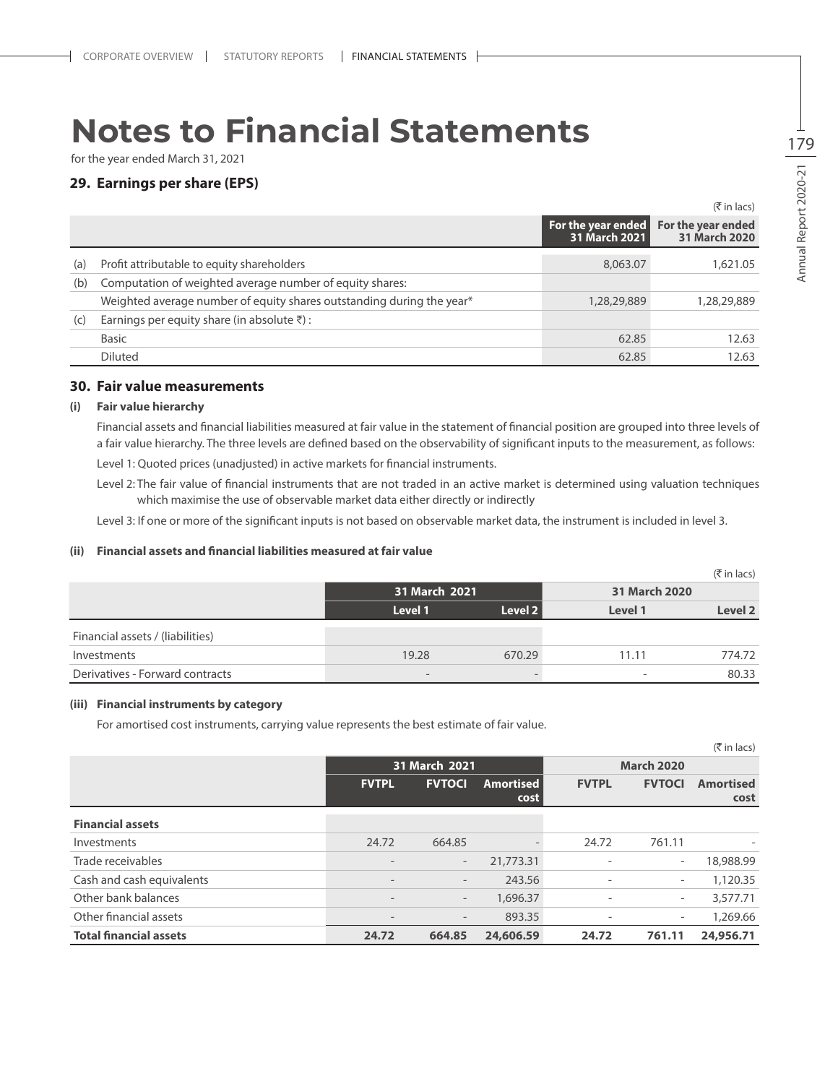for the year ended March 31, 2021

### **29. Earnings per share (EPS)**

|     |                                                                       |               | $\mathcal{L}$ in ideal                                 |
|-----|-----------------------------------------------------------------------|---------------|--------------------------------------------------------|
|     |                                                                       | 31 March 2021 | For the year ended For the year ended<br>31 March 2020 |
| (a) | Profit attributable to equity shareholders                            | 8,063.07      | 1,621.05                                               |
| (b) | Computation of weighted average number of equity shares:              |               |                                                        |
|     | Weighted average number of equity shares outstanding during the year* | 1,28,29,889   | 1,28,29,889                                            |
| (c) | Earnings per equity share (in absolute $\bar{z}$ ):                   |               |                                                        |
|     | <b>Basic</b>                                                          | 62.85         | 12.63                                                  |
|     | <b>Diluted</b>                                                        | 62.85         | 12.63                                                  |

### **30. Fair value measurements**

### **(i) Fair value hierarchy**

Financial assets and financial liabilities measured at fair value in the statement of financial position are grouped into three levels of a fair value hierarchy. The three levels are defined based on the observability of significant inputs to the measurement, as follows:

Level 1: Quoted prices (unadjusted) in active markets for financial instruments.

Level 2: The fair value of financial instruments that are not traded in an active market is determined using valuation techniques which maximise the use of observable market data either directly or indirectly

Level 3: If one or more of the significant inputs is not based on observable market data, the instrument is included in level 3.

### **(ii) Financial assets and financial liabilities measured at fair value**

|                                  |                          |         |                          | $(\overline{\mathfrak{k}}$ in lacs) |
|----------------------------------|--------------------------|---------|--------------------------|-------------------------------------|
|                                  | 31 March 2021            |         |                          | <b>31 March 2020</b>                |
|                                  | Level 1                  | Level 2 | Level 1                  | Level 2                             |
| Financial assets / (liabilities) |                          |         |                          |                                     |
| Investments                      | 19.28                    | 670.29  | 11.11                    | 774.72                              |
| Derivatives - Forward contracts  | $\overline{\phantom{a}}$ |         | $\overline{\phantom{0}}$ | 80.33                               |

### **(iii) Financial instruments by category**

For amortised cost instruments, carrying value represents the best estimate of fair value.

|                               |                          |                                    |                   |                          |                          | $(\overline{\mathfrak{k}}$ in lacs) |
|-------------------------------|--------------------------|------------------------------------|-------------------|--------------------------|--------------------------|-------------------------------------|
|                               |                          | <b>March 2020</b><br>31 March 2021 |                   |                          |                          |                                     |
|                               | <b>FVTPL</b>             | <b>FVTOCI</b>                      | Amortised<br>cost | <b>FVTPL</b>             | <b>FVTOCI</b>            | <b>Amortised</b><br>cost            |
| <b>Financial assets</b>       |                          |                                    |                   |                          |                          |                                     |
| Investments                   | 24.72                    | 664.85                             |                   | 24.72                    | 761.11                   |                                     |
| Trade receivables             |                          | $\overline{\phantom{a}}$           | 21,773.31         | $\qquad \qquad$          | $\overline{\phantom{a}}$ | 18,988.99                           |
| Cash and cash equivalents     | $\qquad \qquad -$        | $\qquad \qquad -$                  | 243.56            | $\overline{\phantom{a}}$ | $\overline{\phantom{a}}$ | 1,120.35                            |
| Other bank balances           | $\overline{\phantom{a}}$ | $\overline{\phantom{0}}$           | 1,696.37          | $\overline{\phantom{a}}$ | $\overline{\phantom{a}}$ | 3,577.71                            |
| Other financial assets        | $\overline{\phantom{a}}$ |                                    | 893.35            | $\overline{\phantom{a}}$ | $\overline{\phantom{a}}$ | 1,269.66                            |
| <b>Total financial assets</b> | 24.72                    | 664.85                             | 24,606.59         | 24.72                    | 761.11                   | 24,956.71                           |

 $(\pm \infty)$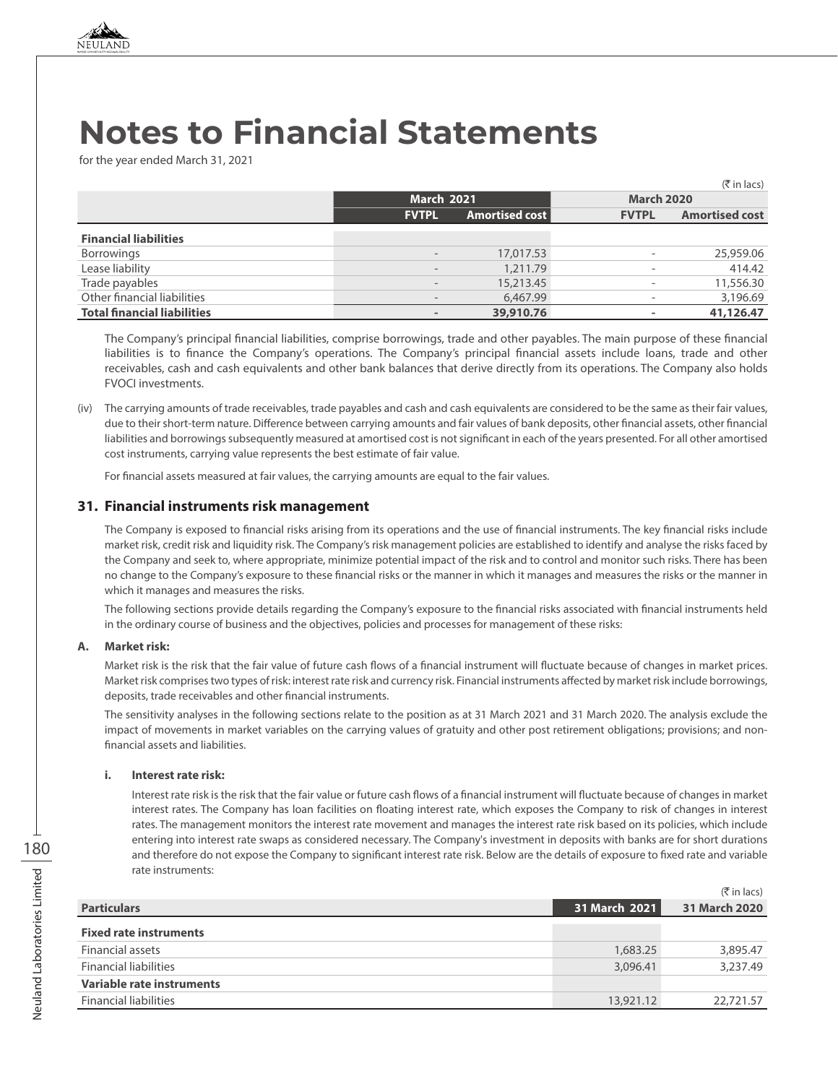for the year ended March 31, 2021

|                                    |                          |                |                          | $(\overline{\mathfrak{F}})$ in lacs) |
|------------------------------------|--------------------------|----------------|--------------------------|--------------------------------------|
|                                    | <b>March 2021</b>        |                | <b>March 2020</b>        |                                      |
|                                    | <b>FVTPL</b>             | Amortised cost | <b>FVTPL</b>             | <b>Amortised cost</b>                |
| <b>Financial liabilities</b>       |                          |                |                          |                                      |
| <b>Borrowings</b>                  |                          | 17,017.53      | $\overline{\phantom{a}}$ | 25,959.06                            |
| Lease liability                    |                          | 1,211.79       | $\overline{\phantom{a}}$ | 414.42                               |
| Trade payables                     | $\overline{\phantom{0}}$ | 15,213.45      | $\overline{\phantom{a}}$ | 11,556.30                            |
| Other financial liabilities        |                          | 6,467.99       | $\overline{\phantom{a}}$ | 3,196.69                             |
| <b>Total financial liabilities</b> |                          | 39,910.76      | ٠                        | 41,126.47                            |

The Company's principal financial liabilities, comprise borrowings, trade and other payables. The main purpose of these financial liabilities is to finance the Company's operations. The Company's principal financial assets include loans, trade and other receivables, cash and cash equivalents and other bank balances that derive directly from its operations. The Company also holds FVOCI investments.

(iv) The carrying amounts of trade receivables, trade payables and cash and cash equivalents are considered to be the same as their fair values, due to their short-term nature. Difference between carrying amounts and fair values of bank deposits, other financial assets, other financial liabilities and borrowings subsequently measured at amortised cost is not significant in each of the years presented. For all other amortised cost instruments, carrying value represents the best estimate of fair value.

For financial assets measured at fair values, the carrying amounts are equal to the fair values.

### **31. Financial instruments risk management**

The Company is exposed to financial risks arising from its operations and the use of financial instruments. The key financial risks include market risk, credit risk and liquidity risk. The Company's risk management policies are established to identify and analyse the risks faced by the Company and seek to, where appropriate, minimize potential impact of the risk and to control and monitor such risks. There has been no change to the Company's exposure to these financial risks or the manner in which it manages and measures the risks or the manner in which it manages and measures the risks.

The following sections provide details regarding the Company's exposure to the financial risks associated with financial instruments held in the ordinary course of business and the objectives, policies and processes for management of these risks:

### **A. Market risk:**

 Market risk is the risk that the fair value of future cash flows of a financial instrument will fluctuate because of changes in market prices. Market risk comprises two types of risk: interest rate risk and currency risk. Financial instruments affected by market risk include borrowings, deposits, trade receivables and other financial instruments.

The sensitivity analyses in the following sections relate to the position as at 31 March 2021 and 31 March 2020. The analysis exclude the impact of movements in market variables on the carrying values of gratuity and other post retirement obligations; provisions; and nonfinancial assets and liabilities.

### **i. Interest rate risk:**

 Interest rate risk is the risk that the fair value or future cash flows of a financial instrument will fluctuate because of changes in market interest rates. The Company has loan facilities on floating interest rate, which exposes the Company to risk of changes in interest rates. The management monitors the interest rate movement and manages the interest rate risk based on its policies, which include entering into interest rate swaps as considered necessary. The Company's investment in deposits with banks are for short durations and therefore do not expose the Company to significant interest rate risk. Below are the details of exposure to fixed rate and variable rate instruments:

|                               |               | (₹ in lacs)   |
|-------------------------------|---------------|---------------|
| <b>Particulars</b>            | 31 March 2021 | 31 March 2020 |
| <b>Fixed rate instruments</b> |               |               |
| Financial assets              | 1,683.25      | 3,895.47      |
| <b>Financial liabilities</b>  | 3,096.41      | 3,237.49      |
| Variable rate instruments     |               |               |
| <b>Financial liabilities</b>  | 13,921.12     | 22,721.57     |
|                               |               |               |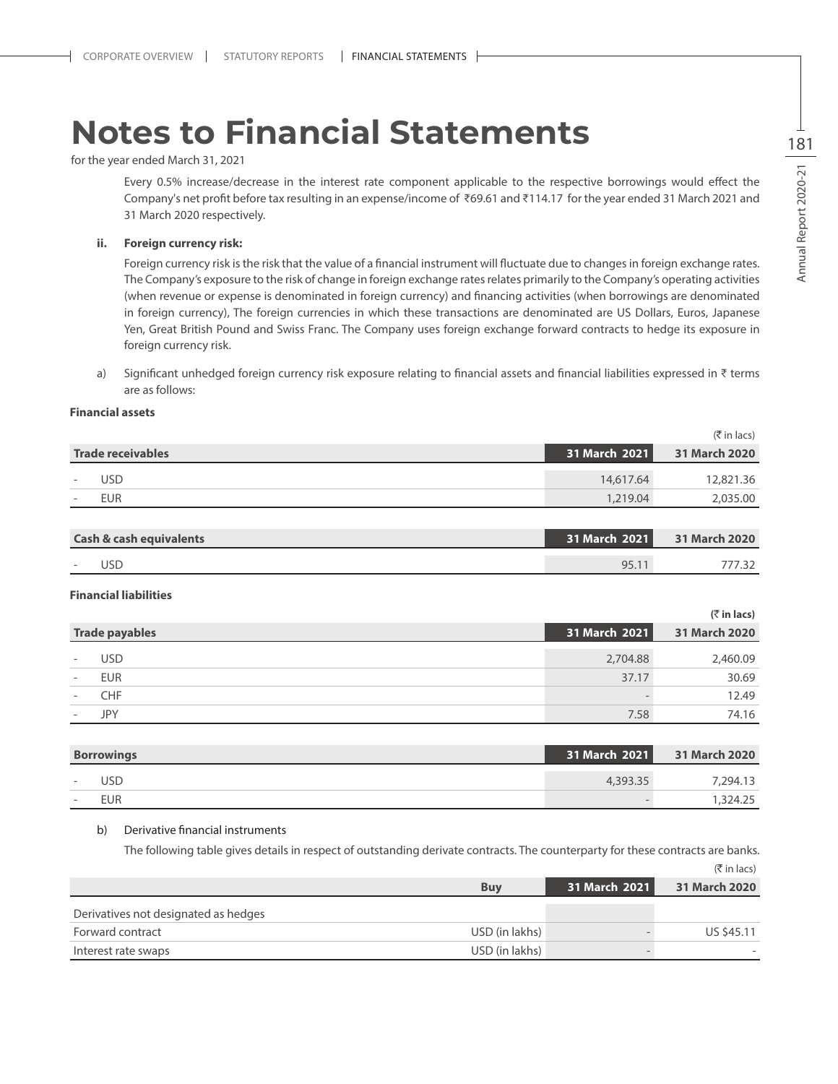for the year ended March 31, 2021

 Every 0.5% increase/decrease in the interest rate component applicable to the respective borrowings would effect the Company's net profit before tax resulting in an expense/income of ₹69.61 and ₹114.17 for the year ended 31 March 2021 and 31 March 2020 respectively.

### **ii. Foreign currency risk:**

 Foreign currency risk is the risk that the value of a financial instrument will fluctuate due to changes in foreign exchange rates. The Company's exposure to the risk of change in foreign exchange rates relates primarily to the Company's operating activities (when revenue or expense is denominated in foreign currency) and financing activities (when borrowings are denominated in foreign currency), The foreign currencies in which these transactions are denominated are US Dollars, Euros, Japanese Yen, Great British Pound and Swiss Franc. The Company uses foreign exchange forward contracts to hedge its exposure in foreign currency risk.

a) Significant unhedged foreign currency risk exposure relating to financial assets and financial liabilities expressed in ₹ terms are as follows:

### **Financial assets**

|                                        |               | (र in lacs)          |
|----------------------------------------|---------------|----------------------|
| <b>Trade receivables</b>               | 31 March 2021 | <b>31 March 2020</b> |
| USD<br>$\overline{\phantom{a}}$        | 14,617.64     | 12,821.36            |
| <b>EUR</b><br>$\overline{\phantom{a}}$ | 1,219.04      | 2,035.00             |
|                                        |               |                      |

| <b>Cash &amp; cash equivalents</b> |       | 31 March 2021 31 March 2020 |
|------------------------------------|-------|-----------------------------|
| 'JSD<br>$\overline{\phantom{0}}$   | 95.11 |                             |

### **Financial liabilities**

|                          |                       |               | (₹ in lacs)   |
|--------------------------|-----------------------|---------------|---------------|
|                          | <b>Trade payables</b> | 31 March 2021 | 31 March 2020 |
| $\overline{\phantom{a}}$ | USD                   | 2,704.88      | 2,460.09      |
| $\overline{\phantom{a}}$ | <b>EUR</b>            | 37.17         | 30.69         |
| $\overline{\phantom{0}}$ | CHF                   |               | 12.49         |
| $\overline{\phantom{a}}$ | JPY                   | 7.58          | 74.16         |

|                          | <b>Borrowings</b> |          | 31 March 2021 31 March 2020 |
|--------------------------|-------------------|----------|-----------------------------|
| $\overline{\phantom{0}}$ | USD               | 4,393.35 | 7,294.13                    |
| $\overline{\phantom{a}}$ | <b>EUR</b>        |          | 1,324.25                    |

### b) Derivative financial instruments

The following table gives details in respect of outstanding derivate contracts. The counterparty for these contracts are banks.

|                                      |                |               | (₹ in lacs)          |
|--------------------------------------|----------------|---------------|----------------------|
|                                      | <b>Buv</b>     | 31 March 2021 | <b>31 March 2020</b> |
| Derivatives not designated as hedges |                |               |                      |
| Forward contract                     | USD (in lakhs) |               | US \$45.11           |
| Interest rate swaps                  | USD (in lakhs) |               |                      |

 $\sim$  in lacks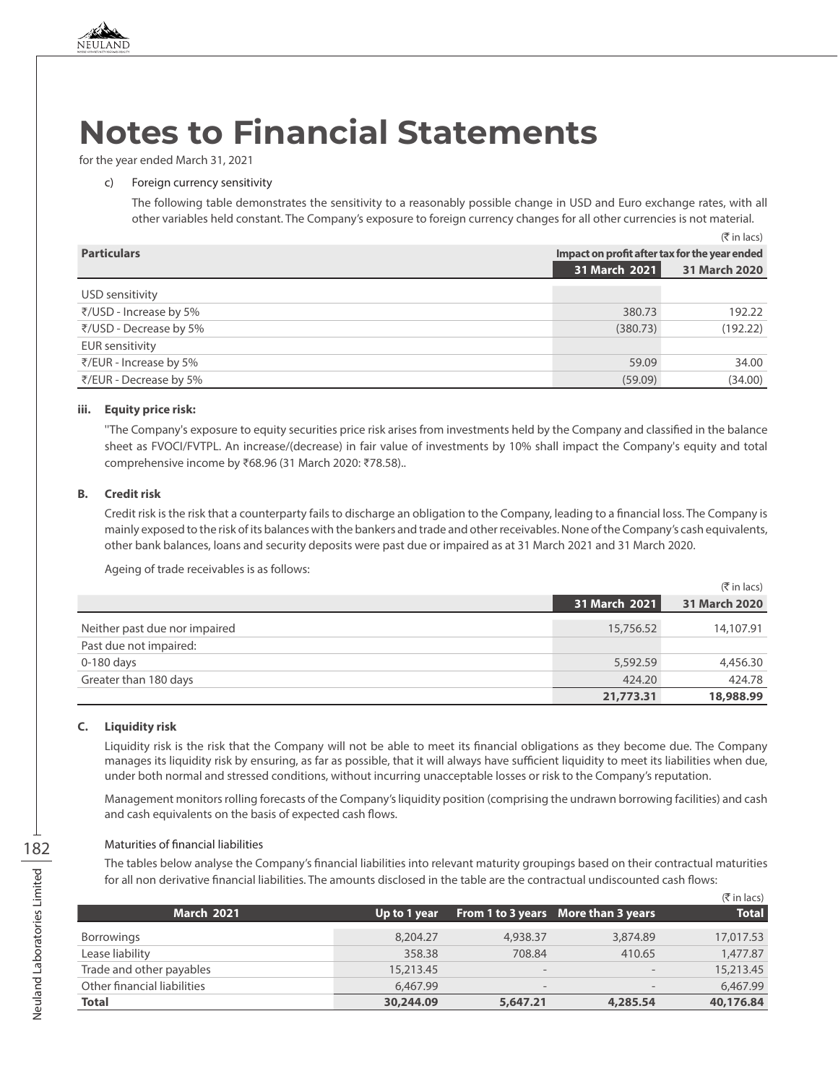for the year ended March 31, 2021

### c) Foreign currency sensitivity

The following table demonstrates the sensitivity to a reasonably possible change in USD and Euro exchange rates, with all other variables held constant. The Company's exposure to foreign currency changes for all other currencies is not material.

| Impact on profit after tax for the year ended<br><b>Particulars</b><br>31 March 2021<br>31 March 2020<br>USD sensitivity<br>₹/USD - Increase by 5%<br>192.22<br>380.73<br>₹/USD - Decrease by 5%<br>(192.22)<br>(380.73)<br>EUR sensitivity<br>₹/EUR - Increase by 5%<br>34.00<br>59.09 |                        |         | $(\overline{\mathfrak{k}})$ in lacs) |
|-----------------------------------------------------------------------------------------------------------------------------------------------------------------------------------------------------------------------------------------------------------------------------------------|------------------------|---------|--------------------------------------|
|                                                                                                                                                                                                                                                                                         |                        |         |                                      |
|                                                                                                                                                                                                                                                                                         |                        |         |                                      |
|                                                                                                                                                                                                                                                                                         |                        |         |                                      |
|                                                                                                                                                                                                                                                                                         |                        |         |                                      |
|                                                                                                                                                                                                                                                                                         |                        |         |                                      |
|                                                                                                                                                                                                                                                                                         |                        |         |                                      |
|                                                                                                                                                                                                                                                                                         |                        |         |                                      |
|                                                                                                                                                                                                                                                                                         | ₹/EUR - Decrease by 5% | (59.09) | (34.00)                              |

### **iii. Equity price risk:**

''The Company's exposure to equity securities price risk arises from investments held by the Company and classified in the balance sheet as FVOCI/FVTPL. An increase/(decrease) in fair value of investments by 10% shall impact the Company's equity and total comprehensive income by ₹68.96 (31 March 2020: ₹78.58)..

### **B. Credit risk**

Credit risk is the risk that a counterparty fails to discharge an obligation to the Company, leading to a financial loss. The Company is mainly exposed to the risk of its balances with the bankers and trade and other receivables. None of the Company's cash equivalents, other bank balances, loans and security deposits were past due or impaired as at 31 March 2021 and 31 March 2020.

Ageing of trade receivables is as follows:

|                               |               | $(\overline{\mathfrak{F}}$ in lacs) |
|-------------------------------|---------------|-------------------------------------|
|                               | 31 March 2021 | 31 March 2020                       |
| Neither past due nor impaired | 15,756.52     | 14,107.91                           |
| Past due not impaired:        |               |                                     |
| $0-180$ days                  | 5,592.59      | 4,456.30                            |
| Greater than 180 days         | 424.20        | 424.78                              |
|                               | 21,773.31     | 18,988.99                           |

### **C. Liquidity risk**

Liquidity risk is the risk that the Company will not be able to meet its financial obligations as they become due. The Company manages its liquidity risk by ensuring, as far as possible, that it will always have sufficient liquidity to meet its liabilities when due, under both normal and stressed conditions, without incurring unacceptable losses or risk to the Company's reputation.

Management monitors rolling forecasts of the Company's liquidity position (comprising the undrawn borrowing facilities) and cash and cash equivalents on the basis of expected cash flows.

### Maturities of financial liabilities

The tables below analyse the Company's financial liabilities into relevant maturity groupings based on their contractual maturities for all non derivative financial liabilities. The amounts disclosed in the table are the contractual undiscounted cash flows:

|                             |              |                                 |                                     | $(\overline{\mathfrak{k}})$ in lacs) |
|-----------------------------|--------------|---------------------------------|-------------------------------------|--------------------------------------|
| March 2021                  | Up to 1 year |                                 | From 1 to 3 years More than 3 years | <b>Total</b>                         |
| <b>Borrowings</b>           | 8,204.27     | 4,938.37                        | 3,874.89                            | 17,017.53                            |
| Lease liability             | 358.38       | 708.84                          | 410.65                              | 1,477.87                             |
| Trade and other payables    | 15,213.45    | $\hspace{0.1mm}-\hspace{0.1mm}$ | $\qquad \qquad -$                   | 15,213.45                            |
| Other financial liabilities | 6,467.99     | $\hspace{0.1mm}-\hspace{0.1mm}$ | $\overline{\phantom{a}}$            | 6,467.99                             |
| <b>Total</b>                | 30,244.09    | 5,647.21                        | 4,285.54                            | 40,176.84                            |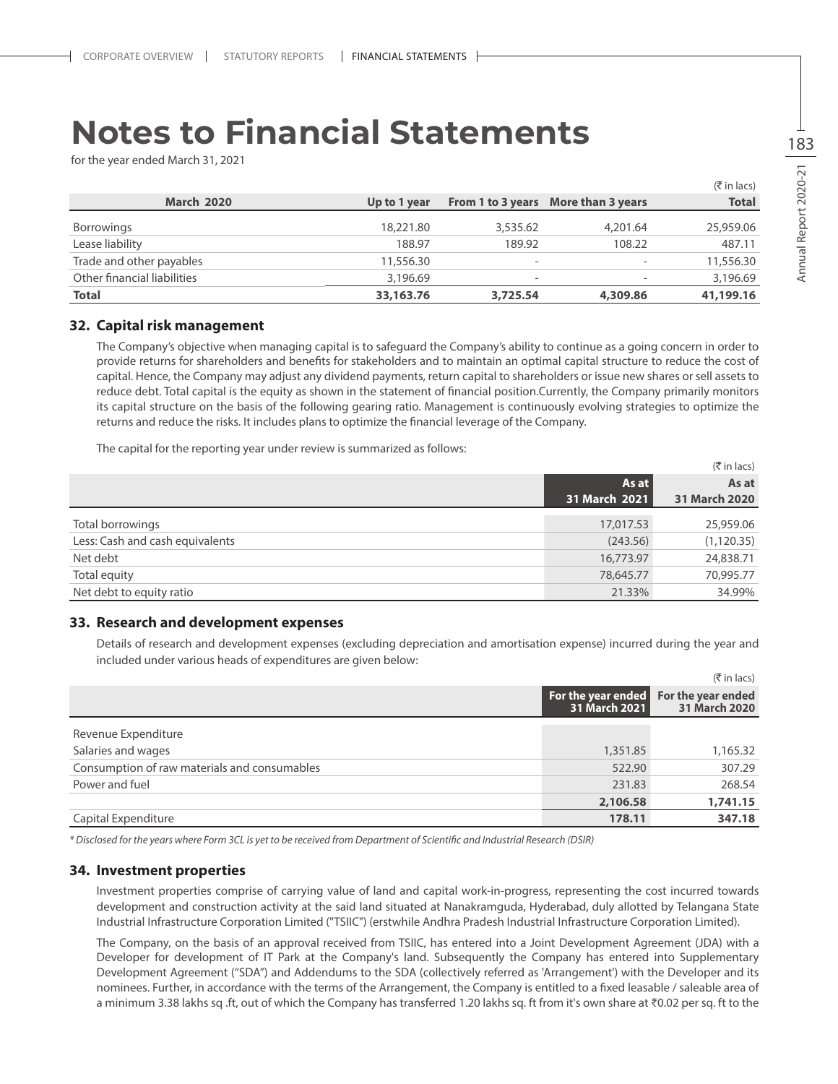for the year ended March 31, 2021

|                             |              |          |                                     | $(\overline{\mathfrak{k}}$ in lacs) |
|-----------------------------|--------------|----------|-------------------------------------|-------------------------------------|
| <b>March 2020</b>           | Up to 1 year |          | From 1 to 3 years More than 3 years | <b>Total</b>                        |
| <b>Borrowings</b>           | 18,221.80    | 3,535.62 | 4,201.64                            | 25,959.06                           |
| Lease liability             | 188.97       | 189.92   | 108.22                              | 487.11                              |
| Trade and other payables    | 11,556.30    |          |                                     | 11,556.30                           |
| Other financial liabilities | 3,196.69     |          |                                     | 3,196.69                            |
| <b>Total</b>                | 33,163.76    | 3,725.54 | 4,309.86                            | 41,199.16                           |

### **32. Capital risk management**

The Company's objective when managing capital is to safeguard the Company's ability to continue as a going concern in order to provide returns for shareholders and benefits for stakeholders and to maintain an optimal capital structure to reduce the cost of capital. Hence, the Company may adjust any dividend payments, return capital to shareholders or issue new shares or sell assets to reduce debt. Total capital is the equity as shown in the statement of financial position.Currently, the Company primarily monitors its capital structure on the basis of the following gearing ratio. Management is continuously evolving strategies to optimize the returns and reduce the risks. It includes plans to optimize the financial leverage of the Company.

The capital for the reporting year under review is summarized as follows:

|                                 |               | $(\overline{\mathfrak{k}}$ in lacs) |
|---------------------------------|---------------|-------------------------------------|
|                                 | As at I       | As at                               |
|                                 | 31 March 2021 | <b>31 March 2020</b>                |
| Total borrowings                | 17,017.53     | 25,959.06                           |
| Less: Cash and cash equivalents | (243.56)      | (1, 120.35)                         |
| Net debt                        | 16,773.97     | 24,838.71                           |
| Total equity                    | 78,645.77     | 70,995.77                           |
| Net debt to equity ratio        | 21.33%        | 34.99%                              |

### **33. Research and development expenses**

 Details of research and development expenses (excluding depreciation and amortisation expense) incurred during the year and included under various heads of expenditures are given below:

|                                              |                                     | $(\overline{\mathfrak{k}}$ in lacs) |
|----------------------------------------------|-------------------------------------|-------------------------------------|
|                                              | For the year ended<br>31 March 2021 | For the year ended<br>31 March 2020 |
| Revenue Expenditure                          |                                     |                                     |
| Salaries and wages                           | 1,351.85                            | 1,165.32                            |
| Consumption of raw materials and consumables | 522.90                              | 307.29                              |
| Power and fuel                               | 231.83                              | 268.54                              |
|                                              | 2,106.58                            | 1,741.15                            |
| Capital Expenditure                          | 178.11                              | 347.18                              |

*\* Disclosed for the years where Form 3CL is yet to be received from Department of Scientific and Industrial Research (DSIR)*

### **34. Investment properties**

 Investment properties comprise of carrying value of land and capital work-in-progress, representing the cost incurred towards development and construction activity at the said land situated at Nanakramguda, Hyderabad, duly allotted by Telangana State Industrial Infrastructure Corporation Limited ("TSIIC") (erstwhile Andhra Pradesh Industrial Infrastructure Corporation Limited).

 The Company, on the basis of an approval received from TSIIC, has entered into a Joint Development Agreement (JDA) with a Developer for development of IT Park at the Company's land. Subsequently the Company has entered into Supplementary Development Agreement ("SDA") and Addendums to the SDA (collectively referred as 'Arrangement') with the Developer and its nominees. Further, in accordance with the terms of the Arrangement, the Company is entitled to a fixed leasable / saleable area of a minimum 3.38 lakhs sq .ft, out of which the Company has transferred 1.20 lakhs sq. ft from it's own share at ₹0.02 per sq. ft to the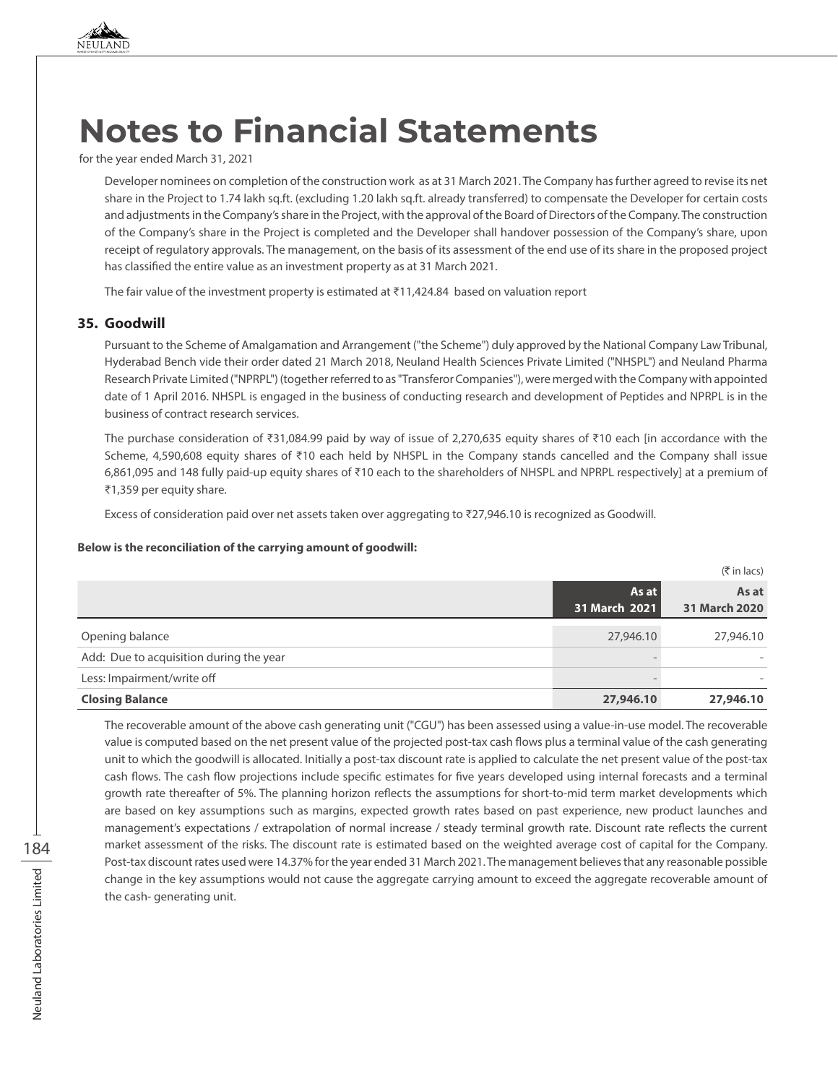for the year ended March 31, 2021

Developer nominees on completion of the construction work as at 31 March 2021. The Company has further agreed to revise its net share in the Project to 1.74 lakh sq.ft. (excluding 1.20 lakh sq.ft. already transferred) to compensate the Developer for certain costs and adjustments in the Company's share in the Project, with the approval of the Board of Directors of the Company. The construction of the Company's share in the Project is completed and the Developer shall handover possession of the Company's share, upon receipt of regulatory approvals. The management, on the basis of its assessment of the end use of its share in the proposed project has classified the entire value as an investment property as at 31 March 2021.

The fair value of the investment property is estimated at ₹11,424.84 based on valuation report

### **35. Goodwill**

 Pursuant to the Scheme of Amalgamation and Arrangement ("the Scheme") duly approved by the National Company Law Tribunal, Hyderabad Bench vide their order dated 21 March 2018, Neuland Health Sciences Private Limited ("NHSPL") and Neuland Pharma Research Private Limited ("NPRPL") (together referred to as "Transferor Companies"), were merged with the Company with appointed date of 1 April 2016. NHSPL is engaged in the business of conducting research and development of Peptides and NPRPL is in the business of contract research services.

The purchase consideration of ₹31,084.99 paid by way of issue of 2,270,635 equity shares of ₹10 each [in accordance with the Scheme, 4,590,608 equity shares of ₹10 each held by NHSPL in the Company stands cancelled and the Company shall issue 6,861,095 and 148 fully paid-up equity shares of ₹10 each to the shareholders of NHSPL and NPRPL respectively] at a premium of ₹1,359 per equity share.

Excess of consideration paid over net assets taken over aggregating to ₹27,946.10 is recognized as Goodwill.

### **Below is the reconciliation of the carrying amount of goodwill:**

|                                         |               | $(\overline{\mathfrak{k}}$ in lacs) |
|-----------------------------------------|---------------|-------------------------------------|
|                                         | As at         | As at                               |
|                                         | 31 March 2021 | 31 March 2020                       |
|                                         |               |                                     |
| Opening balance                         | 27,946.10     | 27,946.10                           |
| Add: Due to acquisition during the year |               |                                     |
| Less: Impairment/write off              |               |                                     |
| <b>Closing Balance</b>                  | 27,946.10     | 27,946.10                           |

The recoverable amount of the above cash generating unit ("CGU") has been assessed using a value-in-use model. The recoverable value is computed based on the net present value of the projected post-tax cash flows plus a terminal value of the cash generating unit to which the goodwill is allocated. Initially a post-tax discount rate is applied to calculate the net present value of the post-tax cash flows. The cash flow projections include specific estimates for five years developed using internal forecasts and a terminal growth rate thereafter of 5%. The planning horizon reflects the assumptions for short-to-mid term market developments which are based on key assumptions such as margins, expected growth rates based on past experience, new product launches and management's expectations / extrapolation of normal increase / steady terminal growth rate. Discount rate reflects the current market assessment of the risks. The discount rate is estimated based on the weighted average cost of capital for the Company. Post-tax discount rates used were 14.37% for the year ended 31 March 2021. The management believes that any reasonable possible change in the key assumptions would not cause the aggregate carrying amount to exceed the aggregate recoverable amount of the cash- generating unit.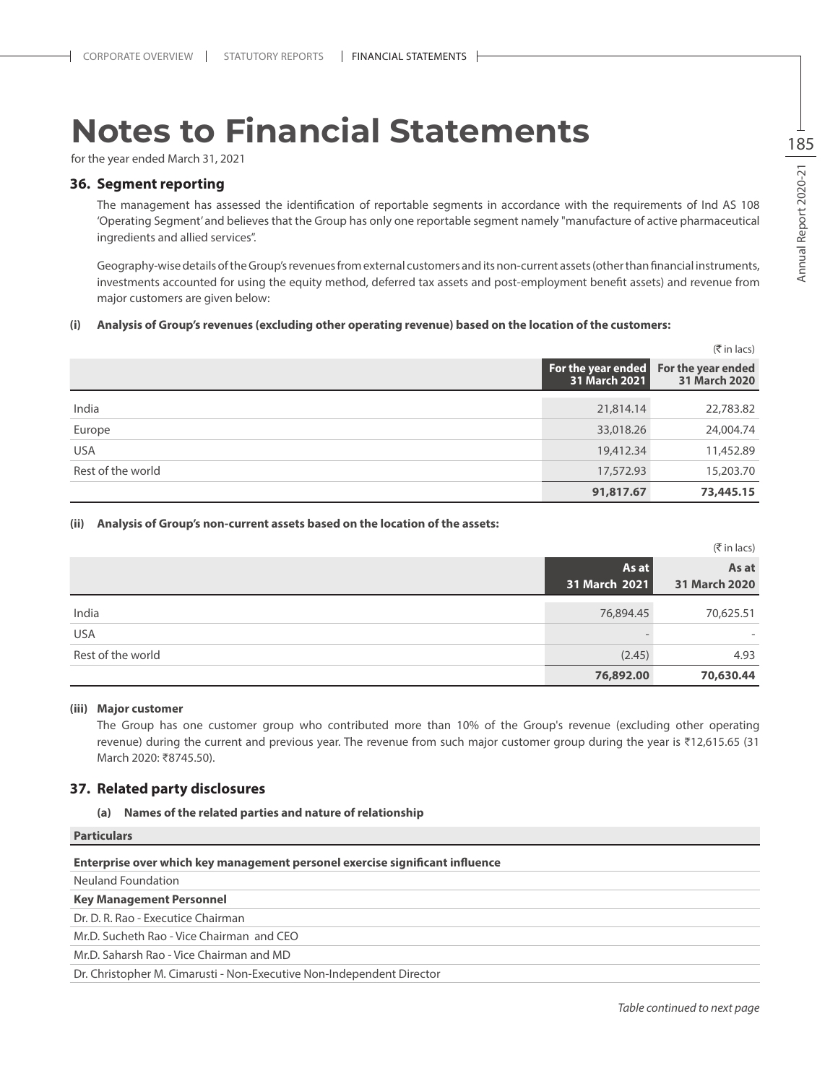for the year ended March 31, 2021

### **36. Segment reporting**

The management has assessed the identification of reportable segments in accordance with the requirements of Ind AS 108 'Operating Segment' and believes that the Group has only one reportable segment namely "manufacture of active pharmaceutical ingredients and allied services".

Geography-wise details of the Group's revenues from external customers and its non-current assets (other than financial instruments, investments accounted for using the equity method, deferred tax assets and post-employment benefit assets) and revenue from major customers are given below:

### **(i) Analysis of Group's revenues (excluding other operating revenue) based on the location of the customers:**

|                   |                                     | (₹ in lacs)                         |
|-------------------|-------------------------------------|-------------------------------------|
|                   | For the year ended<br>31 March 2021 | For the year ended<br>31 March 2020 |
|                   |                                     |                                     |
| India             | 21,814.14                           | 22,783.82                           |
| Europe            | 33,018.26                           | 24,004.74                           |
| <b>USA</b>        | 19,412.34                           | 11,452.89                           |
| Rest of the world | 17,572.93                           | 15,203.70                           |
|                   | 91,817.67                           | 73,445.15                           |

### **(ii) Analysis of Group's non-current assets based on the location of the assets:**

|                   |                        | (₹ in lacs)            |
|-------------------|------------------------|------------------------|
|                   | As at<br>31 March 2021 | As at<br>31 March 2020 |
| India             | 76,894.45              | 70,625.51              |
| <b>USA</b>        |                        |                        |
| Rest of the world | (2.45)                 | 4.93                   |
|                   | 76,892.00              | 70,630.44              |

### **(iii) Major customer**

The Group has one customer group who contributed more than 10% of the Group's revenue (excluding other operating revenue) during the current and previous year. The revenue from such major customer group during the year is ₹12,615.65 (31 March 2020: ₹8745.50).

### **37. Related party disclosures**

**(a) Names of the related parties and nature of relationship**

**Particulars**

**Enterprise over which key management personel exercise significant influence**

Neuland Foundation

**Key Management Personnel**

Dr. D. R. Rao - Executice Chairman

Mr.D. Sucheth Rao - Vice Chairman and CEO

Mr.D. Saharsh Rao - Vice Chairman and MD

Dr. Christopher M. Cimarusti - Non-Executive Non-Independent Director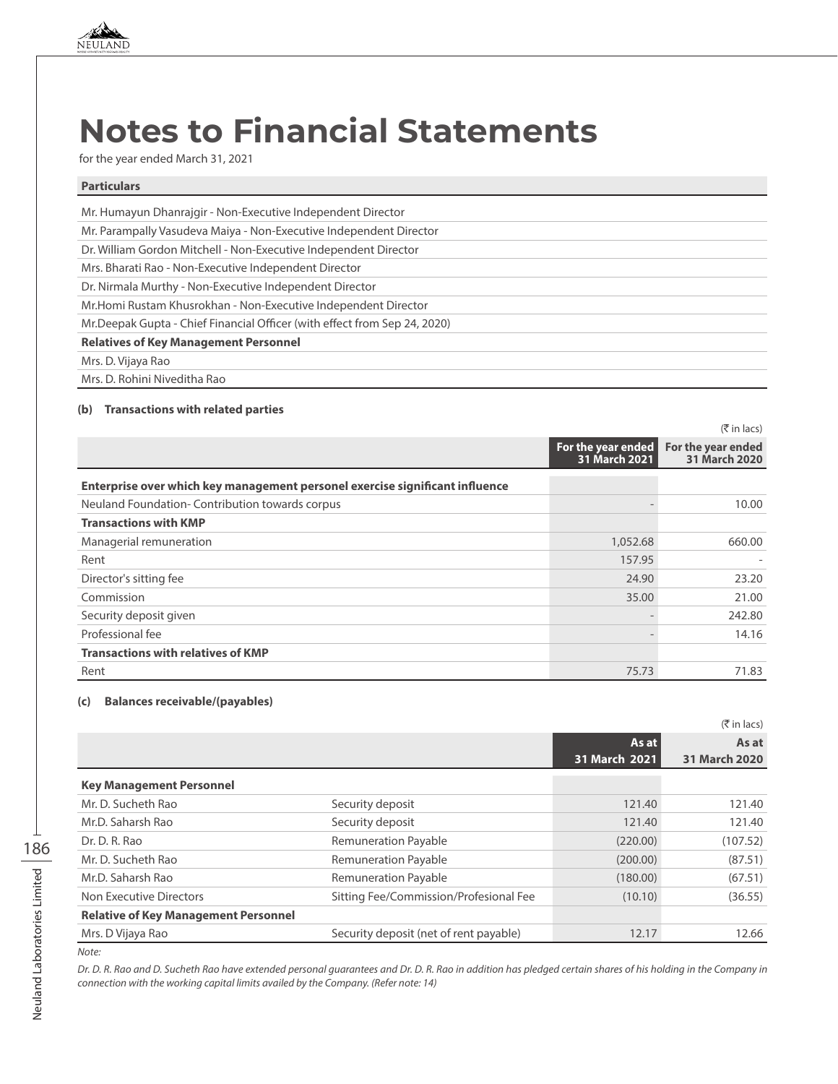for the year ended March 31, 2021

### **Particulars**

Mr. Humayun Dhanrajgir - Non-Executive Independent Director

Mr. Parampally Vasudeva Maiya - Non-Executive Independent Director

Dr. William Gordon Mitchell - Non-Executive Independent Director

Mrs. Bharati Rao - Non-Executive Independent Director

Dr. Nirmala Murthy - Non-Executive Independent Director

Mr.Homi Rustam Khusrokhan - Non-Executive Independent Director

Mr.Deepak Gupta - Chief Financial Officer (with effect from Sep 24, 2020)

### **Relatives of Key Management Personnel**

Mrs. D. Vijaya Rao

Mrs. D. Rohini Niveditha Rao

### **(b) Transactions with related parties**

|                                                                              |                                     | $(\overline{\mathfrak{k}}$ in lacs) |
|------------------------------------------------------------------------------|-------------------------------------|-------------------------------------|
|                                                                              | For the year ended<br>31 March 2021 | For the year ended<br>31 March 2020 |
| Enterprise over which key management personel exercise significant influence |                                     |                                     |
| Neuland Foundation- Contribution towards corpus                              |                                     | 10.00                               |
| <b>Transactions with KMP</b>                                                 |                                     |                                     |
| Managerial remuneration                                                      | 1,052.68                            | 660.00                              |
| Rent                                                                         | 157.95                              |                                     |
| Director's sitting fee                                                       | 24.90                               | 23.20                               |
| Commission                                                                   | 35.00                               | 21.00                               |
| Security deposit given                                                       |                                     | 242.80                              |
| Professional fee                                                             |                                     | 14.16                               |
| <b>Transactions with relatives of KMP</b>                                    |                                     |                                     |
| Rent                                                                         | 75.73                               | 71.83                               |

### **(c) Balances receivable/(payables)**

|                                             |                                        |               | $(\overline{\mathfrak{k}})$ in lacs) |
|---------------------------------------------|----------------------------------------|---------------|--------------------------------------|
|                                             |                                        | As at         | As at                                |
|                                             |                                        | 31 March 2021 | 31 March 2020                        |
| <b>Key Management Personnel</b>             |                                        |               |                                      |
| Mr. D. Sucheth Rao                          | Security deposit                       | 121.40        | 121.40                               |
| Mr.D. Saharsh Rao                           | Security deposit                       | 121.40        | 121.40                               |
| Dr. D. R. Rao                               | <b>Remuneration Payable</b>            | (220.00)      | (107.52)                             |
| Mr. D. Sucheth Rao                          | <b>Remuneration Payable</b>            | (200.00)      | (87.51)                              |
| Mr.D. Saharsh Rao                           | <b>Remuneration Payable</b>            | (180.00)      | (67.51)                              |
| Non Executive Directors                     | Sitting Fee/Commission/Profesional Fee | (10.10)       | (36.55)                              |
| <b>Relative of Key Management Personnel</b> |                                        |               |                                      |
| Mrs. D Vijaya Rao                           | Security deposit (net of rent payable) | 12.17         | 12.66                                |
|                                             |                                        |               |                                      |

*Note:*

Dr. D. R. Rao and D. Sucheth Rao have extended personal guarantees and Dr. D. R. Rao in addition has pledged certain shares of his holding in the Company in *connection with the working capital limits availed by the Company. (Refer note: 14)*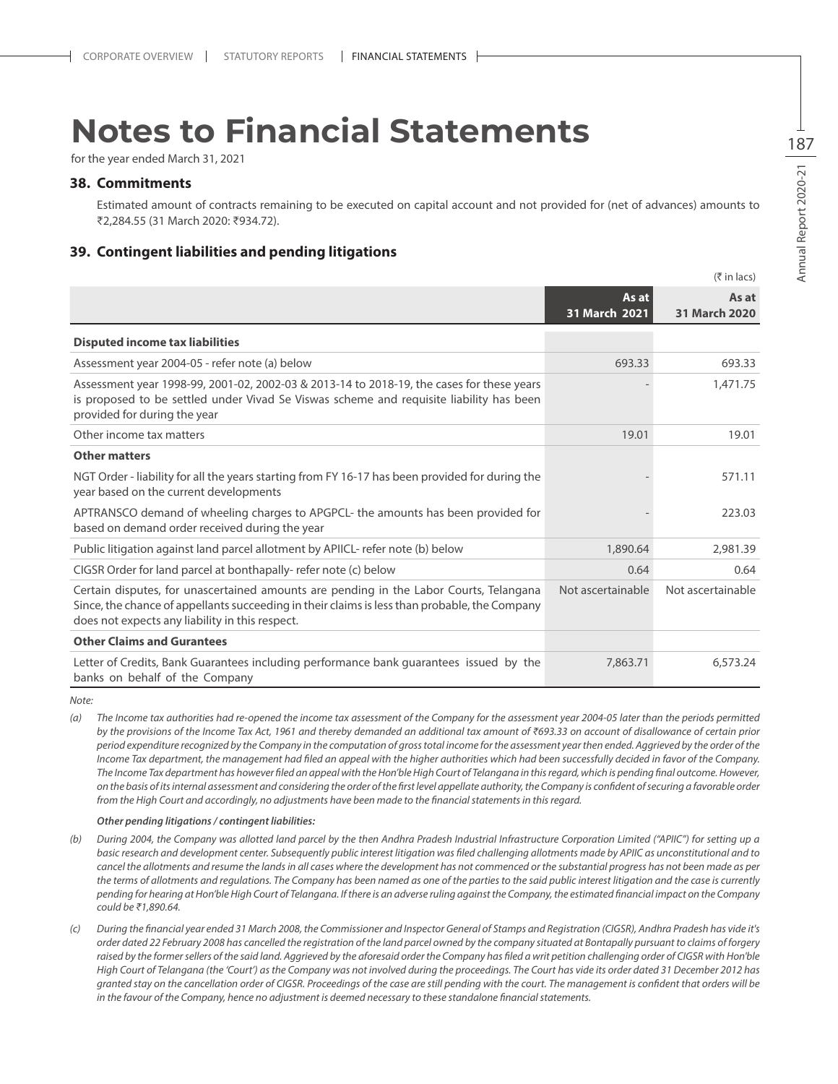for the year ended March 31, 2021

### **38. Commitments**

 Estimated amount of contracts remaining to be executed on capital account and not provided for (net of advances) amounts to ₹2,284.55 (31 March 2020: ₹934.72).

### **39. Contingent liabilities and pending litigations**

|                                                                                                                                                                                                                                            |                        | $(5 \in \mathsf{In} \mathsf{lacs})$ |
|--------------------------------------------------------------------------------------------------------------------------------------------------------------------------------------------------------------------------------------------|------------------------|-------------------------------------|
|                                                                                                                                                                                                                                            | As at<br>31 March 2021 | As at<br>31 March 2020              |
| <b>Disputed income tax liabilities</b>                                                                                                                                                                                                     |                        |                                     |
| Assessment year 2004-05 - refer note (a) below                                                                                                                                                                                             | 693.33                 | 693.33                              |
| Assessment year 1998-99, 2001-02, 2002-03 & 2013-14 to 2018-19, the cases for these years<br>is proposed to be settled under Vivad Se Viswas scheme and requisite liability has been<br>provided for during the year                       |                        | 1,471.75                            |
| Other income tax matters                                                                                                                                                                                                                   | 19.01                  | 19.01                               |
| <b>Other matters</b>                                                                                                                                                                                                                       |                        |                                     |
| NGT Order - liability for all the years starting from FY 16-17 has been provided for during the<br>year based on the current developments                                                                                                  |                        | 571.11                              |
| APTRANSCO demand of wheeling charges to APGPCL- the amounts has been provided for<br>based on demand order received during the year                                                                                                        |                        | 223.03                              |
| Public litigation against land parcel allotment by APIICL- refer note (b) below                                                                                                                                                            | 1,890.64               | 2,981.39                            |
| CIGSR Order for land parcel at bonthapally- refer note (c) below                                                                                                                                                                           | 0.64                   | 0.64                                |
| Certain disputes, for unascertained amounts are pending in the Labor Courts, Telangana<br>Since, the chance of appellants succeeding in their claims is less than probable, the Company<br>does not expects any liability in this respect. | Not ascertainable      | Not ascertainable                   |
| <b>Other Claims and Gurantees</b>                                                                                                                                                                                                          |                        |                                     |
| Letter of Credits, Bank Guarantees including performance bank guarantees issued by the<br>banks on behalf of the Company                                                                                                                   | 7,863.71               | 6,573.24                            |

*Note:*

*(a) The Income tax authorities had re-opened the income tax assessment of the Company for the assessment year 2004-05 later than the periods permitted by the provisions of the Income Tax Act, 1961 and thereby demanded an additional tax amount of ₹693.33 on account of disallowance of certain prior period expenditure recognized by the Company in the computation of gross total income for the assessment year then ended. Aggrieved by the order of the Income Tax department, the management had filed an appeal with the higher authorities which had been successfully decided in favor of the Company.*  The Income Tax department has however filed an appeal with the Hon'ble High Court of Telangana in this regard, which is pending final outcome. However, *on the basis of its internal assessment and considering the order of the first level appellate authority, the Company is confident of securing a favorable order from the High Court and accordingly, no adjustments have been made to the financial statements in this regard.*

### *Other pending litigations / contingent liabilities:*

- *(b) During 2004, the Company was allotted land parcel by the then Andhra Pradesh Industrial Infrastructure Corporation Limited ("APIIC") for setting up a basic research and development center. Subsequently public interest litigation was filed challenging allotments made by APIIC as unconstitutional and to*  cancel the allotments and resume the lands in all cases where the development has not commenced or the substantial progress has not been made as per *the terms of allotments and regulations. The Company has been named as one of the parties to the said public interest litigation and the case is currently pending for hearing at Hon'ble High Court of Telangana. If there is an adverse ruling against the Company, the estimated financial impact on the Company could be ₹1,890.64.*
- *(c) During the financial year ended 31 March 2008, the Commissioner and Inspector General of Stamps and Registration (CIGSR), Andhra Pradesh has vide it's order dated 22 February 2008 has cancelled the registration of the land parcel owned by the company situated at Bontapally pursuant to claims of forgery*  raised by the former sellers of the said land. Aggrieved by the aforesaid order the Company has filed a writ petition challenging order of CIGSR with Hon'ble *High Court of Telangana (the 'Court') as the Company was not involved during the proceedings. The Court has vide its order dated 31 December 2012 has granted stay on the cancellation order of CIGSR. Proceedings of the case are still pending with the court. The management is confident that orders will be in the favour of the Company, hence no adjustment is deemed necessary to these standalone financial statements.*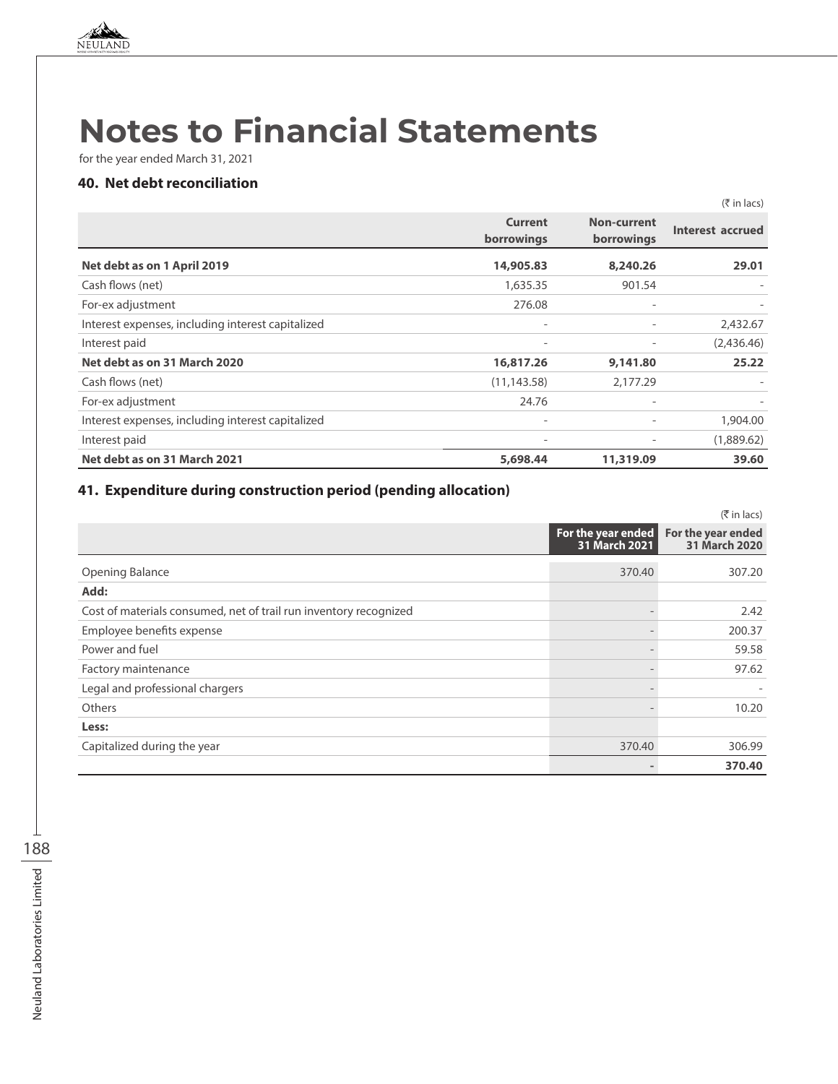for the year ended March 31, 2021

### **40. Net debt reconciliation**

|                                                   |                              |                           | $(5 \in \mathsf{In} \mathsf{lacs})$ |
|---------------------------------------------------|------------------------------|---------------------------|-------------------------------------|
|                                                   | <b>Current</b><br>borrowings | Non-current<br>borrowings | Interest accrued                    |
| Net debt as on 1 April 2019                       | 14,905.83                    | 8,240.26                  | 29.01                               |
| Cash flows (net)                                  | 1,635.35                     | 901.54                    |                                     |
| For-ex adjustment                                 | 276.08                       | $\overline{\phantom{a}}$  |                                     |
| Interest expenses, including interest capitalized | $\overline{\phantom{a}}$     | $\overline{\phantom{a}}$  | 2,432.67                            |
| Interest paid                                     | $\overline{\phantom{a}}$     | $\overline{\phantom{a}}$  | (2,436.46)                          |
| Net debt as on 31 March 2020                      | 16,817.26                    | 9,141.80                  | 25.22                               |
| Cash flows (net)                                  | (11, 143.58)                 | 2,177.29                  |                                     |
| For-ex adjustment                                 | 24.76                        | $\overline{\phantom{0}}$  |                                     |
| Interest expenses, including interest capitalized | $\overline{\phantom{a}}$     | $\overline{\phantom{a}}$  | 1,904.00                            |
| Interest paid                                     | $\overline{\phantom{a}}$     | $\overline{\phantom{0}}$  | (1,889.62)                          |
| Net debt as on 31 March 2021                      | 5,698.44                     | 11,319.09                 | 39.60                               |

### **41. Expenditure during construction period (pending allocation)**

|                                                                   |                                     | $(\overline{\mathfrak{k}}$ in lacs) |
|-------------------------------------------------------------------|-------------------------------------|-------------------------------------|
|                                                                   | For the year ended<br>31 March 2021 | For the year ended<br>31 March 2020 |
| <b>Opening Balance</b>                                            | 370.40                              | 307.20                              |
| Add:                                                              |                                     |                                     |
| Cost of materials consumed, net of trail run inventory recognized |                                     | 2.42                                |
| Employee benefits expense                                         |                                     | 200.37                              |
| Power and fuel                                                    |                                     | 59.58                               |
| Factory maintenance                                               |                                     | 97.62                               |
| Legal and professional chargers                                   |                                     | $\overline{\phantom{a}}$            |
| Others                                                            |                                     | 10.20                               |
| Less:                                                             |                                     |                                     |
| Capitalized during the year                                       | 370.40                              | 306.99                              |
|                                                                   |                                     | 370.40                              |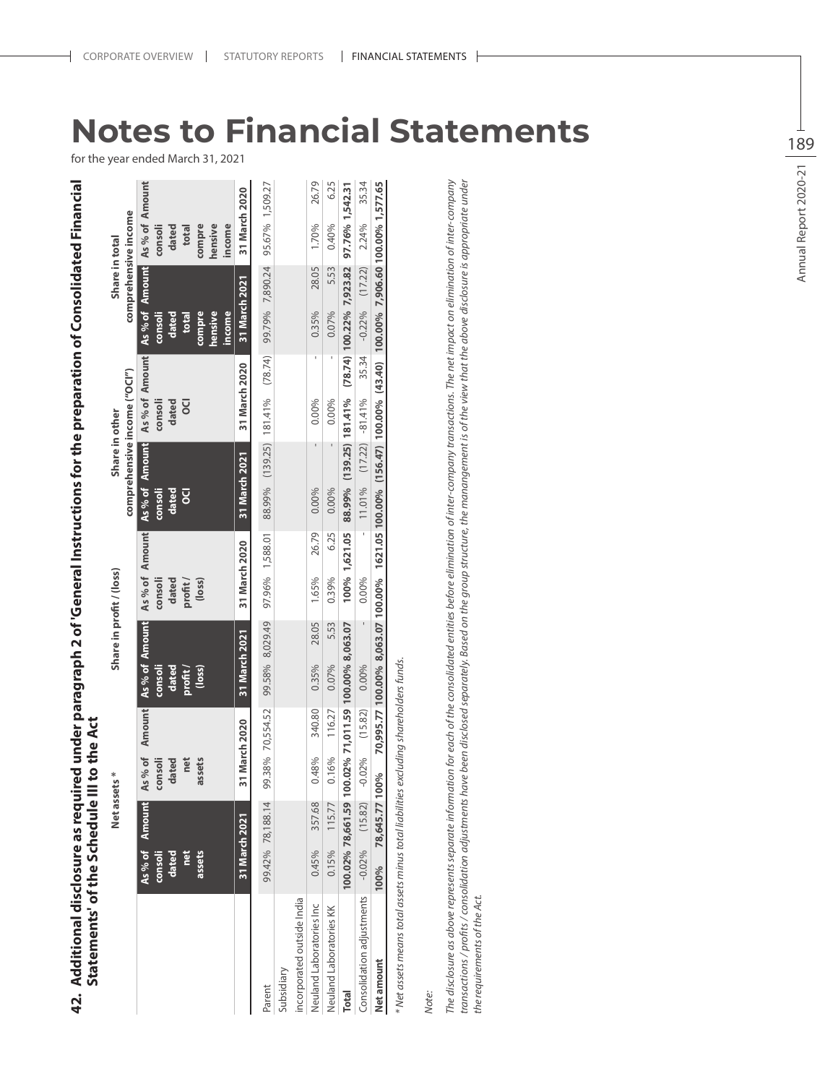# **42. Additional disclosure as required under paragraph 2 of 'General Instructions for the preparation of Consolidated Financial**  42. Additional disclosure as required under paragraph 2 of 'General Instructions for the preparation of Consolidated Financial Statements' of the Schedule III to the Act **Statements' of the Schedule III to the Act**

|                                                                                       |                                                         | Net assets     | ∗                |         |                                                                                                               |       | Share in profit / (loss) |                 |                | Share in other              |                                 |       |                             | Share in total      |                                 |       |
|---------------------------------------------------------------------------------------|---------------------------------------------------------|----------------|------------------|---------|---------------------------------------------------------------------------------------------------------------|-------|--------------------------|-----------------|----------------|-----------------------------|---------------------------------|-------|-----------------------------|---------------------|---------------------------------|-------|
|                                                                                       |                                                         |                |                  |         |                                                                                                               |       |                          |                 |                |                             | comprehensive income ("OCI")    |       |                             |                     | comprehensive income            |       |
|                                                                                       | As% of Amount                                           |                | % of<br>å        |         | <b>Amount</b> As% of Amount                                                                                   |       |                          |                 |                | As% of Amount As% of Amount |                                 |       | As% of Amount As% of Amount |                     | As% of Amount                   |       |
|                                                                                       | consoli                                                 |                | consoli          |         | consoli                                                                                                       |       | consoli                  |                 | consoli        |                             | consoli                         |       | consoli                     |                     | consoli                         |       |
|                                                                                       | dated                                                   |                | dated            |         | dated                                                                                                         |       | dated                    |                 | dated          |                             | dated                           |       | dated                       |                     | dated                           |       |
|                                                                                       | net                                                     |                | net              |         | profit/                                                                                                       |       | profit /                 |                 | $\overline{5}$ |                             | $\overline{a}$                  |       | total                       |                     | total                           |       |
|                                                                                       | assets                                                  |                | assets           |         | (loss)                                                                                                        |       | (loss)                   |                 |                |                             |                                 |       | compre                      |                     | compre                          |       |
|                                                                                       |                                                         |                |                  |         |                                                                                                               |       |                          |                 |                |                             |                                 |       | <b>Income</b><br>hensive    |                     | hensive<br>income               |       |
|                                                                                       | 31 March 2021                                           |                | 31 March 2020    |         | 31 March 2021                                                                                                 |       | 31 March 2020            |                 | 31 March 2021  |                             | 31 March 2020                   |       | 31 March 2021               |                     | 31 March 2020                   |       |
|                                                                                       |                                                         |                |                  |         |                                                                                                               |       |                          |                 |                |                             |                                 |       |                             |                     |                                 |       |
| Parent                                                                                | 99.42% 78,188.14                                        |                | 99.38% 70,554.52 |         | 99.58% 8,029.49                                                                                               |       |                          | 97.96% 1,588.01 |                |                             | 88.99% (139.25) 181.41% (78.74) |       |                             |                     | 99.79% 7,890.24 95.67% 1,509.27 |       |
| Subsidiary                                                                            |                                                         |                |                  |         |                                                                                                               |       |                          |                 |                |                             |                                 |       |                             |                     |                                 |       |
| incorporated outside India                                                            |                                                         |                |                  |         |                                                                                                               |       |                          |                 |                |                             |                                 |       |                             |                     |                                 |       |
| Neuland Laboratories Inc                                                              | 0.45%                                                   | 357.68         | 0.48%            | 340.80  | 0.35%                                                                                                         | 28.05 | 1.65%                    | 26.79           | 0.00%          |                             | 0.00%                           | $\,$  | 0.35%                       | 28.05               | 1.70%                           | 26.79 |
| Neuland Laboratories KK                                                               | 0.15%                                                   | 115.77         | 0.16%            | 116.27  | 0.07%                                                                                                         | 5.53  | 0.39%                    | 6.25            | 0.00%          |                             | 0.00%                           | ï     | 0.07%                       | 5.53                | 0.40%                           | 6.25  |
| <b>Total</b>                                                                          | $100.02\%$ 78,661.59 100.02% 71,011.59 100.00% 8,063.07 |                |                  |         |                                                                                                               |       |                          | 100% 1,621.05   |                |                             | 88.99% (139.25) 181.41%         |       | $(78.74)$ 100.22% 7,923.82  |                     | 97.76% 1,542.31                 |       |
| Consolidation adjustments                                                             | $-0.02\%$ (15.82)                                       |                | 0.02%            | (15.82) | 0.00%                                                                                                         |       | 0.00%                    | ï               | 11.01%         | (17.22)                     | $-81.41%$                       | 35.34 |                             | $-0.22\%$ $(17.22)$ | 2.24%                           | 35.34 |
| Net amount                                                                            | 100%                                                    | 78,645.77 100% |                  |         | 70,995.77 100.00% 8,063.07 100.00% 1621.05 100.00% (156.47) 100.00% (43.40) 100.00% 7,906.60 100.00% 1,577.65 |       |                          |                 |                |                             |                                 |       |                             |                     |                                 |       |
| * Net assets means total assets minus total liabilities excluding shareholders funds. |                                                         |                |                  |         |                                                                                                               |       |                          |                 |                |                             |                                 |       |                             |                     |                                 |       |

*Note:*

The disclosure as above represents separate information for each of the consolidated entities before elimination of inter-company transactions. The net impact on elimination of inter-company *The disclosure as above represents separate information for each of the consolidated entities before elimination of inter-company transactions. The net impact on elimination of inter-company*  transactions / profits / consolidation adjustments have been disclosed separately. Based on the group structure, the manangement is of the view that the above disclosure is appropriate under *transactions / profits / consolidation adjustments have been disclosed separately. Based on the group structure, the manangement is of the view that the above disclosure is appropriate under*  the requirements of the Act. *the requirements of the Act.*

for the year ended March 31, 2021

**Notes to Financial Statements**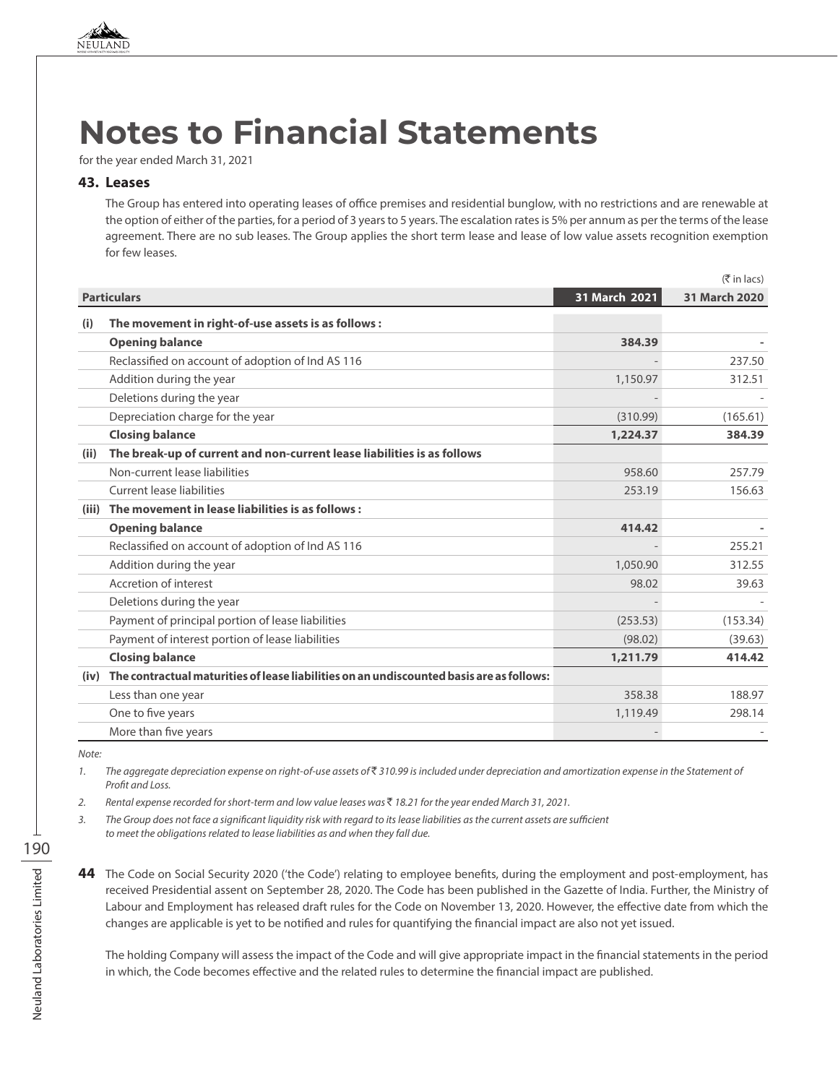for the year ended March 31, 2021

### **43. Leases**

 The Group has entered into operating leases of office premises and residential bunglow, with no restrictions and are renewable at the option of either of the parties, for a period of 3 years to 5 years. The escalation rates is 5% per annum as per the terms of the lease agreement. There are no sub leases. The Group applies the short term lease and lease of low value assets recognition exemption for few leases.

|       |                                                                                          |               | (₹ in lacs)   |
|-------|------------------------------------------------------------------------------------------|---------------|---------------|
|       | <b>Particulars</b>                                                                       | 31 March 2021 | 31 March 2020 |
| (i)   | The movement in right-of-use assets is as follows :                                      |               |               |
|       | <b>Opening balance</b>                                                                   | 384.39        |               |
|       | Reclassified on account of adoption of Ind AS 116                                        |               | 237.50        |
|       | Addition during the year                                                                 | 1,150.97      | 312.51        |
|       | Deletions during the year                                                                |               |               |
|       | Depreciation charge for the year                                                         | (310.99)      | (165.61)      |
|       | <b>Closing balance</b>                                                                   | 1,224.37      | 384.39        |
| (ii)  | The break-up of current and non-current lease liabilities is as follows                  |               |               |
|       | Non-current lease liabilities                                                            | 958.60        | 257.79        |
|       | Current lease liabilities                                                                | 253.19        | 156.63        |
| (iii) | The movement in lease liabilities is as follows:                                         |               |               |
|       | <b>Opening balance</b>                                                                   | 414.42        |               |
|       | Reclassified on account of adoption of Ind AS 116                                        |               | 255.21        |
|       | Addition during the year                                                                 | 1,050.90      | 312.55        |
|       | Accretion of interest                                                                    | 98.02         | 39.63         |
|       | Deletions during the year                                                                |               |               |
|       | Payment of principal portion of lease liabilities                                        | (253.53)      | (153.34)      |
|       | Payment of interest portion of lease liabilities                                         | (98.02)       | (39.63)       |
|       | <b>Closing balance</b>                                                                   | 1,211.79      | 414.42        |
| (iv)  | The contractual maturities of lease liabilities on an undiscounted basis are as follows: |               |               |
|       | Less than one year                                                                       | 358.38        | 188.97        |
|       | One to five years                                                                        | 1,119.49      | 298.14        |
|       | More than five years                                                                     |               |               |

*Note:*

1. The aggregate depreciation expense on right-of-use assets of₹ 310.99 is included under depreciation and amortization expense in the Statement of *Profit and Loss.*

*2. Rental expense recorded for short-term and low value leases was* ` *18.21 for the year ended March 31, 2021.*

*3. The Group does not face a significant liquidity risk with regard to its lease liabilities as the current assets are sufficient to meet the obligations related to lease liabilities as and when they fall due.*

**44** The Code on Social Security 2020 ('the Code') relating to employee benefits, during the employment and post-employment, has received Presidential assent on September 28, 2020. The Code has been published in the Gazette of India. Further, the Ministry of Labour and Employment has released draft rules for the Code on November 13, 2020. However, the effective date from which the changes are applicable is yet to be notified and rules for quantifying the financial impact are also not yet issued.

The holding Company will assess the impact of the Code and will give appropriate impact in the financial statements in the period in which, the Code becomes effective and the related rules to determine the financial impact are published.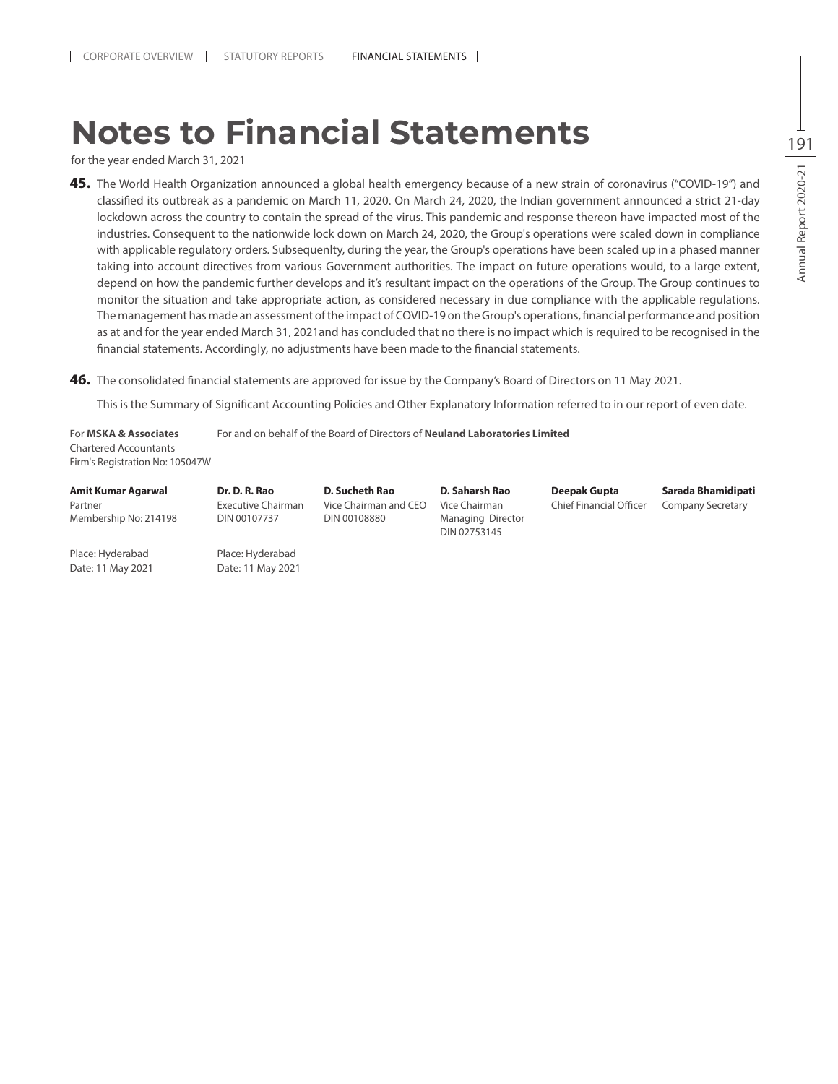for the year ended March 31, 2021

**45.** The World Health Organization announced a global health emergency because of a new strain of coronavirus ("COVID-19") and classified its outbreak as a pandemic on March 11, 2020. On March 24, 2020, the Indian government announced a strict 21-day lockdown across the country to contain the spread of the virus. This pandemic and response thereon have impacted most of the industries. Consequent to the nationwide lock down on March 24, 2020, the Group's operations were scaled down in compliance with applicable regulatory orders. Subsequenlty, during the year, the Group's operations have been scaled up in a phased manner taking into account directives from various Government authorities. The impact on future operations would, to a large extent, depend on how the pandemic further develops and it's resultant impact on the operations of the Group. The Group continues to monitor the situation and take appropriate action, as considered necessary in due compliance with the applicable regulations. The management has made an assessment of the impact of COVID-19 on the Group's operations, financial performance and position as at and for the year ended March 31, 2021and has concluded that no there is no impact which is required to be recognised in the financial statements. Accordingly, no adjustments have been made to the financial statements.

**46.** The consolidated financial statements are approved for issue by the Company's Board of Directors on 11 May 2021.

This is the Summary of Significant Accounting Policies and Other Explanatory Information referred to in our report of even date.

For **MSKA & Associates** For and on behalf of the Board of Directors of **Neuland Laboratories Limited** Chartered Accountants Firm's Registration No: 105047W

| Amit Kumar Agarwal<br>Partner<br>Membership No: 214198 | Dr. D. R. Rao<br>Executive Chairman<br>DIN 00107737 | D. Sucheth Rao<br>Vice Chairman and CEO<br>DIN 00108880 | D. Saharsh Rao<br>Vice Chairman<br>Managing Director<br>DIN 02753145 | Deepak Gupta<br><b>Chief Financial Officer</b> | Sarada Bhamidipati<br><b>Company Secretary</b> |
|--------------------------------------------------------|-----------------------------------------------------|---------------------------------------------------------|----------------------------------------------------------------------|------------------------------------------------|------------------------------------------------|
| Place: Hyderabad                                       | Place: Hyderabad                                    |                                                         |                                                                      |                                                |                                                |
| Date: 11 May 2021                                      | Date: 11 May 2021                                   |                                                         |                                                                      |                                                |                                                |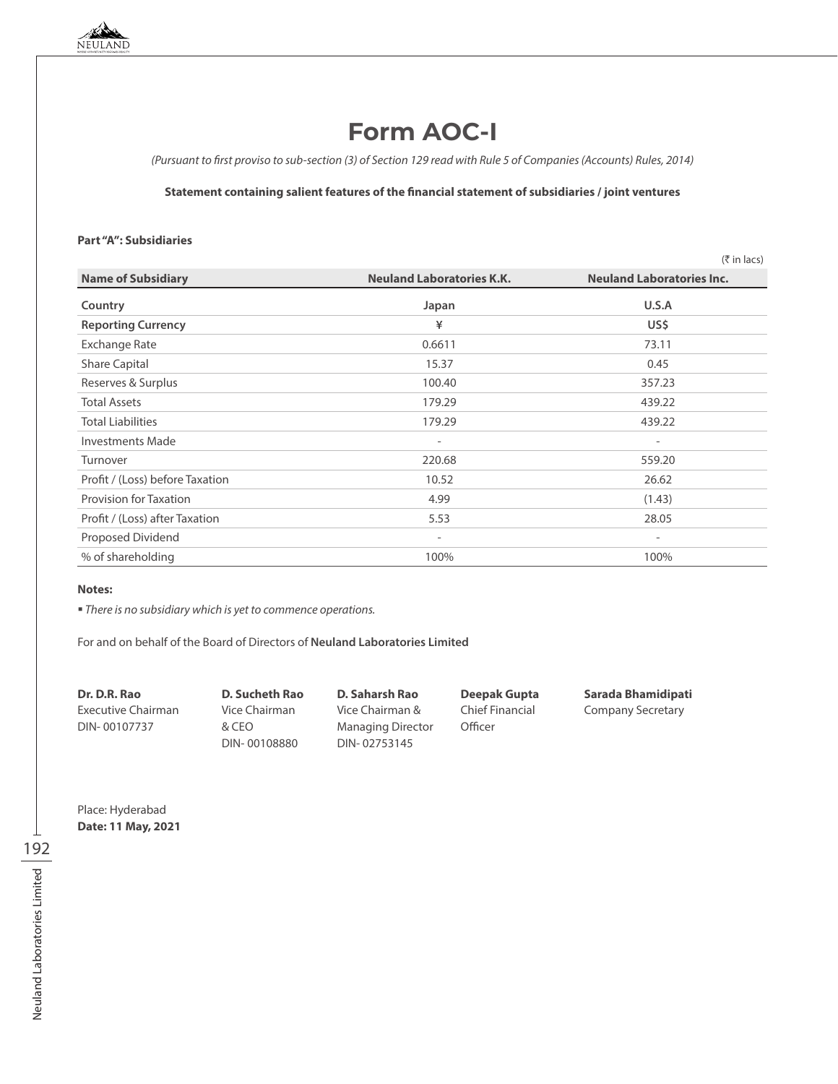

## **Form AOC-I**

*(Pursuant to first proviso to sub-section (3) of Section 129 read with Rule 5 of Companies (Accounts) Rules, 2014)*

### **Statement containing salient features of the financial statement of subsidiaries / joint ventures**

### **Part "A": Subsidiaries**

|                                 |                                  | $(5 \in \mathsf{In} \mathsf{lacs})$ |
|---------------------------------|----------------------------------|-------------------------------------|
| <b>Name of Subsidiary</b>       | <b>Neuland Laboratories K.K.</b> | <b>Neuland Laboratories Inc.</b>    |
| Country                         | Japan                            | U.S.A                               |
| <b>Reporting Currency</b>       | ¥                                | US\$                                |
| <b>Exchange Rate</b>            | 0.6611                           | 73.11                               |
| <b>Share Capital</b>            | 15.37                            | 0.45                                |
| Reserves & Surplus              | 100.40                           | 357.23                              |
| <b>Total Assets</b>             | 179.29                           | 439.22                              |
| <b>Total Liabilities</b>        | 179.29                           | 439.22                              |
| Investments Made                | $\overline{\phantom{a}}$         | $\qquad \qquad -$                   |
| Turnover                        | 220.68                           | 559.20                              |
| Profit / (Loss) before Taxation | 10.52                            | 26.62                               |
| <b>Provision for Taxation</b>   | 4.99                             | (1.43)                              |
| Profit / (Loss) after Taxation  | 5.53                             | 28.05                               |
| Proposed Dividend               | $\overline{\phantom{a}}$         | $\overline{\phantom{a}}$            |
| % of shareholding               | 100%                             | 100%                                |

### **Notes:**

*There is no subsidiary which is yet to commence operations.*

For and on behalf of the Board of Directors of **Neuland Laboratories Limited**

**Dr. D.R. Rao** Executive Chairman DIN- 00107737

**D. Sucheth Rao** Vice Chairman & CEO DIN- 00108880

**D. Saharsh Rao** Vice Chairman & Managing Director DIN- 02753145

**Deepak Gupta** Chief Financial **Officer** 

**Sarada Bhamidipati** Company Secretary

Place: Hyderabad **Date: 11 May, 2021**